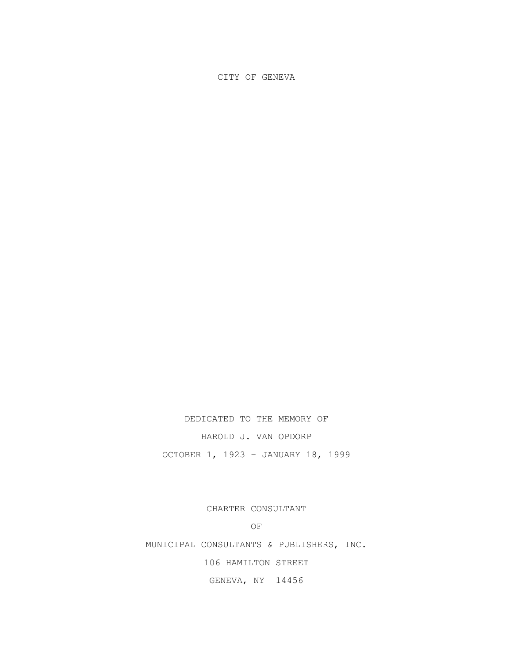## CITY OF GENEVA

DEDICATED TO THE MEMORY OF

HAROLD J. VAN OPDORP

OCTOBER 1, 1923 – JANUARY 18, 1999

CHARTER CONSULTANT

OF

MUNICIPAL CONSULTANTS & PUBLISHERS, INC.

106 HAMILTON STREET

GENEVA, NY 14456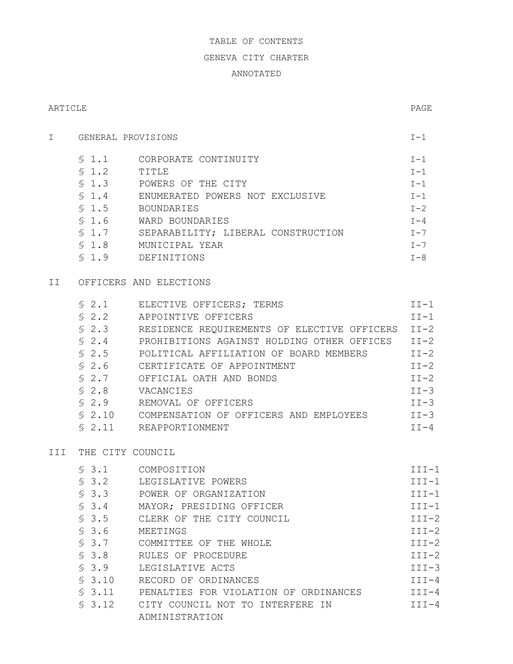# TABLE OF CONTENTS

## GENEVA CITY CHARTER

# ANNOTATED

## ARTICLE PAGE

| \$1.1 | CORPORATE CONTINUITY               | $T-1$   |
|-------|------------------------------------|---------|
| \$1.2 | TITLE                              | $I-1$   |
| \$1.3 | POWERS OF THE CITY                 | $I-1$   |
| \$1.4 | ENUMERATED POWERS NOT EXCLUSIVE    | $T-1$   |
| \$1.5 | <b>BOUNDARIES</b>                  | $I - 2$ |
| \$1.6 | WARD BOUNDARIES                    | $I - 4$ |
| \$1.7 | SEPARABILITY; LIBERAL CONSTRUCTION | $T - 7$ |
| \$1.8 | MUNICIPAL YEAR                     | $T - 7$ |
| \$1.9 | DEFINITIONS                        | $I - 8$ |

I GENERAL PROVISIONS  $I-1$ 

# II OFFICERS AND ELECTIONS

| \$2.1   | ELECTIVE OFFICERS; TERMS                    | $II-1$    |
|---------|---------------------------------------------|-----------|
| \$2.2   | APPOINTIVE OFFICERS                         | $TT-1$    |
| \$2.3   | RESIDENCE REQUIREMENTS OF ELECTIVE OFFICERS | $TT-2$    |
| $\$2.4$ | PROHIBITIONS AGAINST HOLDING OTHER OFFICES  | $TT-2$    |
| \$2.5   | POLITICAL AFFILIATION OF BOARD MEMBERS      | $TT-2$    |
| \$2.6   | CERTIFICATE OF APPOINTMENT                  | $TT-2$    |
| \$2.7   | OFFICIAL OATH AND BONDS                     | $II-2$    |
| \$2.8   | VACANCIES                                   | $TT - 3$  |
| \$2.9   | REMOVAL OF OFFICERS                         | $II-3$    |
| \$2.10  | COMPENSATION OF OFFICERS AND EMPLOYEES      | $II-3$    |
| \$2.11  | REAPPORTIONMENT                             | $T T - 4$ |

# III THE CITY COUNCIL

| \$3.1   | COMPOSITION                           | $III-1$ |
|---------|---------------------------------------|---------|
| $\$3.2$ | LEGISLATIVE POWERS                    | $III-1$ |
| \$3.3   | POWER OF ORGANIZATION                 | $III-1$ |
| \$3.4   | MAYOR; PRESIDING OFFICER              | $III-1$ |
| \$3.5   | CLERK OF THE CITY COUNCIL             | $TTT-2$ |
| \$3.6   | MEETINGS                              | $TTT-2$ |
| $\$3.7$ | COMMITTEE OF THE WHOLE                | $III-2$ |
| \$3.8   | RULES OF PROCEDURE                    | $III-2$ |
| \$3.9   | LEGISLATIVE ACTS                      | $III-3$ |
| \$3.10  | RECORD OF ORDINANCES                  | $III-4$ |
| \$3.11  | PENALTIES FOR VIOLATION OF ORDINANCES | $TTT-4$ |
| \$3.12  | CITY COUNCIL NOT TO INTERFERE IN      | $TTT-4$ |
|         | ADMINISTRATION                        |         |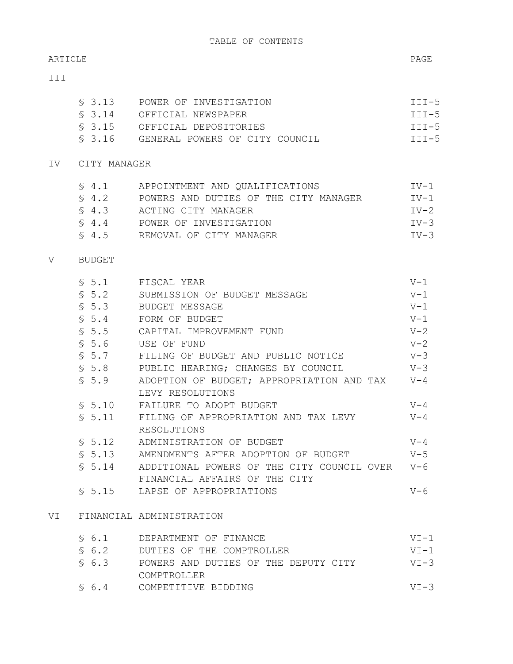#### ARTICLE PAGE

## III

| \$ 3.13 | POWER OF INVESTIGATION         | $III-5$ |
|---------|--------------------------------|---------|
| \$3.14  | OFFICIAL NEWSPAPER             | $III-5$ |
|         | S 3.15 OFFICIAL DEPOSITORIES   | $III-5$ |
| \$3.16  | GENERAL POWERS OF CITY COUNCIL | $III-5$ |

# IV CITY MANAGER

| S 4.1 | APPOINTMENT AND QUALIFICATIONS        | $TV-1$ |
|-------|---------------------------------------|--------|
| \$4.2 | POWERS AND DUTIES OF THE CITY MANAGER | $TV-1$ |
| \$4.3 | ACTING CITY MANAGER                   | $TV-2$ |
| \$4.4 | POWER OF INVESTIGATION                | $IV-3$ |
| S 4.5 | REMOVAL OF CITY MANAGER               | $IV-3$ |

## V BUDGET

|     | \$5.1  | FISCAL YEAR                                    | $V-1$   |
|-----|--------|------------------------------------------------|---------|
|     | \$5.2  | SUBMISSION OF BUDGET MESSAGE                   | $V-1$   |
|     | \$5.3  | BUDGET MESSAGE                                 | $V-1$   |
|     | \$5.4  | FORM OF BUDGET                                 | $V-1$   |
|     | \$5.5  | CAPITAL IMPROVEMENT FUND                       | $V - 2$ |
|     | \$5.6  | USE OF FUND                                    | $V - 2$ |
|     | \$5.7  | FILING OF BUDGET AND PUBLIC NOTICE             | $V-3$   |
|     | \$5.8  | PUBLIC HEARING; CHANGES BY COUNCIL             | $V-3$   |
|     | \$5.9  | ADOPTION OF BUDGET; APPROPRIATION AND TAX V-4  |         |
|     |        | LEVY RESOLUTIONS                               |         |
|     | \$5.10 | FAILURE TO ADOPT BUDGET                        | $V - 4$ |
|     | \$5.11 | FILING OF APPROPRIATION AND TAX LEVY           | $V - 4$ |
|     |        | RESOLUTIONS                                    |         |
|     | \$5.12 | ADMINISTRATION OF BUDGET                       | $V - 4$ |
|     | \$5.13 | AMENDMENTS AFTER ADOPTION OF BUDGET            | $V-5$   |
|     | \$5.14 | ADDITIONAL POWERS OF THE CITY COUNCIL OVER V-6 |         |
|     |        | FINANCIAL AFFAIRS OF THE CITY                  |         |
|     |        | \$5.15 LAPSE OF APPROPRIATIONS                 | $V - 6$ |
|     |        |                                                |         |
| VT. |        | FINANCIAL ADMINISTRATION                       |         |

| \$6.1    | DEPARTMENT OF FINANCE                | $VT-1$   |
|----------|--------------------------------------|----------|
| \$6.2    | DUTIES OF THE COMPTROLLER            | $VT-1$   |
| \$6.3    | POWERS AND DUTIES OF THE DEPUTY CITY | $VT - 3$ |
|          | COMPTROLLER                          |          |
| $\$$ 6.4 | COMPETITIVE BIDDING                  | $VT - 3$ |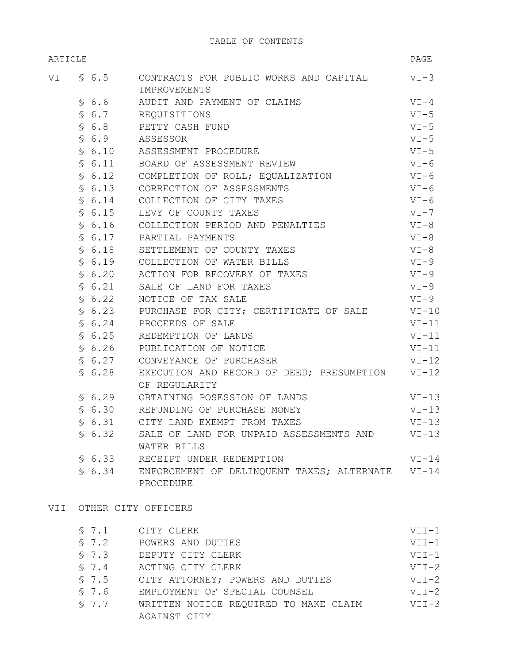| ARTICLE |  |        | PAGE                                                            |          |
|---------|--|--------|-----------------------------------------------------------------|----------|
|         |  |        | VI § 6.5 CONTRACTS FOR PUBLIC WORKS AND CAPITAL<br>IMPROVEMENTS | $VI-3$   |
|         |  | \$6.6  | AUDIT AND PAYMENT OF CLAIMS                                     | $VI-4$   |
|         |  |        | \$ 6.7 REQUISITIONS                                             | $VI - 5$ |
|         |  |        | \$ 6.8 PETTY CASH FUND                                          | $VI-5$   |
|         |  |        | \$ 6.9 ASSESSOR                                                 | $VI-5$   |
|         |  |        | § 6.10 ASSESSMENT PROCEDURE                                     | $VI-5$   |
|         |  |        | \$ 6.11 BOARD OF ASSESSMENT REVIEW                              | $VI - 6$ |
|         |  |        | \$ 6.12 COMPLETION OF ROLL; EQUALIZATION                        | VI-6     |
|         |  | \$6.13 | CORRECTION OF ASSESSMENTS                                       | VI-6     |
|         |  | \$6.14 | COLLECTION OF CITY TAXES                                        | $VI - 6$ |
|         |  | \$6.15 | LEVY OF COUNTY TAXES                                            | VI-7     |
|         |  |        | \$ 6.16 COLLECTION PERIOD AND PENALTIES                         | VI-8     |
|         |  |        | \$ 6.17 PARTIAL PAYMENTS                                        | $VI-8$   |
|         |  |        | \$ 6.18 SETTLEMENT OF COUNTY TAXES                              | $VI-8$   |
|         |  |        | \$ 6.19 COLLECTION OF WATER BILLS                               | $VI-9$   |
|         |  |        | \$ 6.20 ACTION FOR RECOVERY OF TAXES                            | $VI-9$   |
|         |  | \$6.21 | SALE OF LAND FOR TAXES                                          | $VI-9$   |
|         |  | \$6.22 | NOTICE OF TAX SALE                                              | $VI-9$   |
|         |  | \$6.23 | PURCHASE FOR CITY; CERTIFICATE OF SALE                          | $VI-10$  |
|         |  | \$6.24 | PROCEEDS OF SALE                                                | $VI-11$  |
|         |  | \$6.25 | REDEMPTION OF LANDS                                             | $VI-11$  |
|         |  | \$6.26 | PUBLICATION OF NOTICE                                           | $VI-11$  |
|         |  | \$6.27 | CONVEYANCE OF PURCHASER                                         | $VI-12$  |
|         |  | \$6.28 | EXECUTION AND RECORD OF DEED; PRESUMPTION VI-12                 |          |
|         |  |        | OF REGULARITY                                                   |          |
|         |  | \$6.29 | OBTAINING POSESSION OF LANDS                                    | $VI-13$  |
|         |  |        | \$ 6.30 REFUNDING OF PURCHASE MONEY                             | $VI-13$  |
|         |  | \$6.31 | CITY LAND EXEMPT FROM TAXES                                     | $VI-13$  |
|         |  | \$6.32 | SALE OF LAND FOR UNPAID ASSESSMENTS AND                         | $VI-13$  |
|         |  |        | WATER BILLS                                                     |          |
|         |  | \$6.33 | RECEIPT UNDER REDEMPTION                                        | $VI-14$  |
|         |  | \$6.34 | ENFORCEMENT OF DELINQUENT TAXES; ALTERNATE VI-14<br>PROCEDURE   |          |

## VII OTHER CITY OFFICERS

| \$7.1 | CITY CLERK                            | $VII-1$ |
|-------|---------------------------------------|---------|
| \$7.2 | POWERS AND DUTIES                     | $VII-1$ |
| \$7.3 | DEPUTY CITY CLERK                     | $VII-1$ |
| \$7.4 | ACTING CITY CLERK                     | $VTT-2$ |
| \$7.5 | CITY ATTORNEY; POWERS AND DUTIES      | $VTT-2$ |
| \$7.6 | EMPLOYMENT OF SPECIAL COUNSEL         | $VTT-2$ |
| \$7.7 | WRITTEN NOTICE REQUIRED TO MAKE CLAIM | $VII-3$ |
|       | AGAINST CITY                          |         |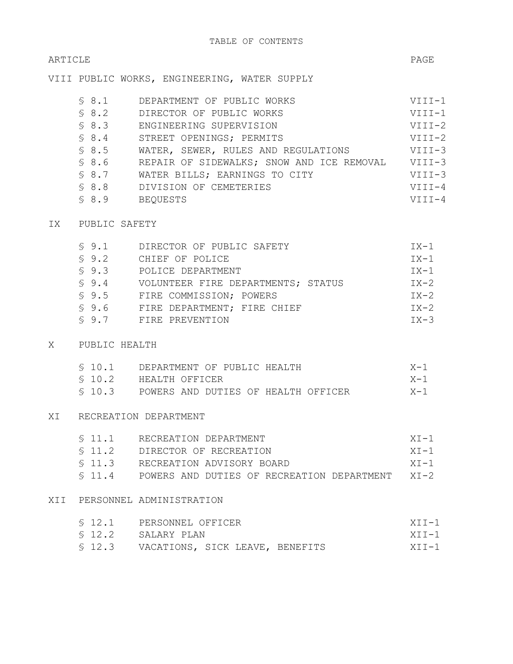## ARTICLE PAGE

VIII PUBLIC WORKS, ENGINEERING, WATER SUPPLY

| \$8.1 | DEPARTMENT OF PUBLIC WORKS                | $VIII-1$ |
|-------|-------------------------------------------|----------|
| \$8.2 | DIRECTOR OF PUBLIC WORKS                  | $VIII-1$ |
| \$8.3 | ENGINEERING SUPERVISION                   | $VIII-2$ |
| \$8.4 | STREET OPENINGS; PERMITS                  | $VIII-2$ |
| \$8.5 | WATER, SEWER, RULES AND REGULATIONS       | $VIII-3$ |
| \$8.6 | REPAIR OF SIDEWALKS; SNOW AND ICE REMOVAL | VIII-3   |
| \$8.7 | WATER BILLS; EARNINGS TO CITY             | $VIII-3$ |
| \$8.8 | DIVISION OF CEMETERIES                    | $VIII-4$ |
| \$8.9 | <b>BEOUESTS</b>                           | $VTTT-4$ |

## IX PUBLIC SAFETY

| $\$9.1$ | DIRECTOR OF PUBLIC SAFETY          | IX-1     |
|---------|------------------------------------|----------|
| \$9.2   | CHIEF OF POLICE                    | IX-1     |
| \$9.3   | POLICE DEPARTMENT                  | $TX-1$   |
| $\$9.4$ | VOLUNTEER FIRE DEPARTMENTS; STATUS | IX-2     |
| \$9.5   | FIRE COMMISSION; POWERS            | IX-2     |
| \$9.6   | FIRE DEPARTMENT: FIRE CHIEF        | IX-2     |
| \$9.7   | FIRE PREVENTION                    | $TX - 3$ |

## X PUBLIC HEALTH

|  | \$ 10.1 DEPARTMENT OF PUBLIC HEALTH         | $X-1$   |
|--|---------------------------------------------|---------|
|  | \$ 10.2 HEALTH OFFICER                      | $X - 1$ |
|  | \$ 10.3 POWERS AND DUTIES OF HEALTH OFFICER | $X-1$   |

## XI RECREATION DEPARTMENT

| \$11.1   | RECREATION DEPARTMENT                           | $XT-1$ |
|----------|-------------------------------------------------|--------|
| \$11.2   | DIRECTOR OF RECREATION                          | $XT-1$ |
| \$11.3   | RECREATION ADVISORY BOARD                       | $XT-1$ |
| $\$11.4$ | POWERS AND DUTIES OF RECREATION DEPARTMENT XI-2 |        |

# XII PERSONNEL ADMINISTRATION

|  | \$12.1 PERSONNEL OFFICER               | $XTT-1$ |
|--|----------------------------------------|---------|
|  | \$12.2 SALARY PLAN                     | $XTT-1$ |
|  | \$12.3 VACATIONS, SICK LEAVE, BENEFITS | $XTT-1$ |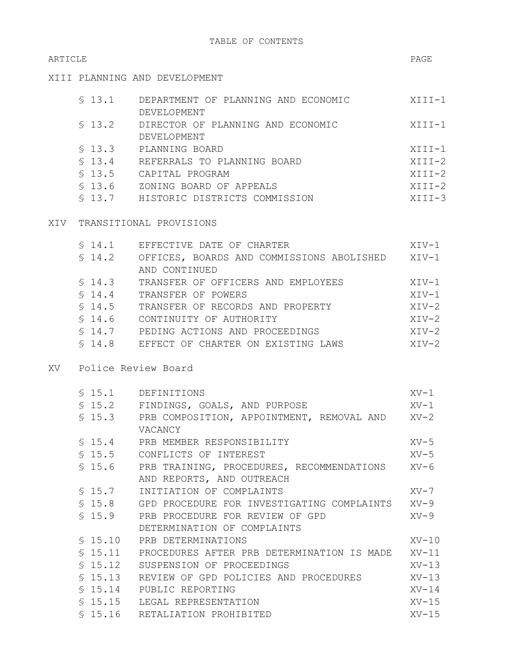# ARTICLE PAGE

XIII PLANNING AND DEVELOPMENT

| \$13.1 | DEPARTMENT OF PLANNING AND ECONOMIC | XIII-1     |
|--------|-------------------------------------|------------|
|        | DEVELOPMENT                         |            |
| \$13.2 | DIRECTOR OF PLANNING AND ECONOMIC   | XIII-1     |
|        | DEVELOPMENT                         |            |
| \$13.3 | PLANNING BOARD                      | XIII-1     |
| \$13.4 | REFERRALS TO PLANNING BOARD         | XIII-2     |
| \$13.5 | CAPITAL PROGRAM                     | $XTTI-2$   |
| \$13.6 | ZONING BOARD OF APPEALS             | $XIII-2$   |
| \$13.7 | HISTORIC DISTRICTS COMMISSION       | $XIII - 3$ |
|        |                                     |            |

## XIV TRANSITIONAL PROVISIONS

| \$14.1 | EFFECTIVE DATE OF CHARTER                 | XIV-1   |
|--------|-------------------------------------------|---------|
| \$14.2 | OFFICES, BOARDS AND COMMISSIONS ABOLISHED | XIV-1   |
|        | AND CONTINUED                             |         |
| \$14.3 | TRANSFER OF OFFICERS AND EMPLOYEES        | XIV-1   |
| \$14.4 | TRANSFER OF POWERS                        | $XTV-1$ |
| \$14.5 | TRANSFER OF RECORDS AND PROPERTY          | $XUV-2$ |
| \$14.6 | CONTINUITY OF AUTHORITY                   | $XTV-2$ |
| \$14.7 | PEDING ACTIONS AND PROCEEDINGS            | $XIV-2$ |
| \$14.8 | EFFECT OF CHARTER ON EXISTING LAWS        | $XUV-2$ |

## XV Police Review Board

|         | \$15.1 DEFINITIONS                                        | XV-1    |
|---------|-----------------------------------------------------------|---------|
|         | \$15.2 FINDINGS, GOALS, AND PURPOSE                       | XV-1    |
|         | \$15.3 PRB COMPOSITION, APPOINTMENT, REMOVAL AND XV-2     |         |
|         | VACANCY                                                   |         |
|         | \$15.4 PRB MEMBER RESPONSIBILITY                          | $XV-5$  |
|         | \$15.5 CONFLICTS OF INTEREST                              | XV-5    |
|         | \$15.6 PRB TRAINING, PROCEDURES, RECOMMENDATIONS XV-6     |         |
|         | AND REPORTS, AND OUTREACH                                 |         |
|         | \$ 15.7 INITIATION OF COMPLAINTS                          | XV-7    |
|         | \$ 15.8 GPD PROCEDURE FOR INVESTIGATING COMPLAINTS XV-9   |         |
|         | \$15.9 PRB PROCEDURE FOR REVIEW OF GPD                    | $XV-9$  |
|         | DETERMINATION OF COMPLAINTS                               |         |
| \$15.10 | PRB DETERMINATIONS                                        | $XY-10$ |
|         | \$ 15.11 PROCEDURES AFTER PRB DETERMINATION IS MADE XV-11 |         |
|         | § 15.12 SUSPENSION OF PROCEEDINGS                         | $XY-13$ |
|         | \$ 15.13 REVIEW OF GPD POLICIES AND PROCEDURES            | XV-13   |
|         | \$15.14 PUBLIC REPORTING                                  | $XV-14$ |
|         | \$15.15 LEGAL REPRESENTATION                              | $XV-15$ |
|         | \$15.16 RETALIATION PROHIBITED                            | $XV-15$ |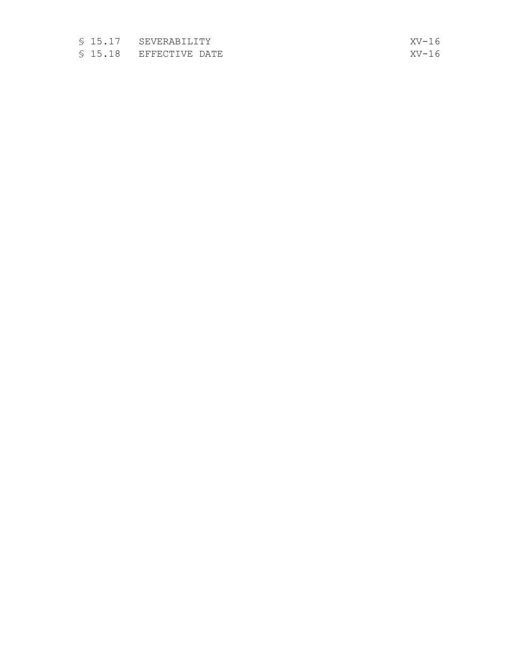- § 1 5.1 7 SEVERABILITY
- § 1 5.1 8 EFFECTIVE DATE

 $XY-16$  $XY-16$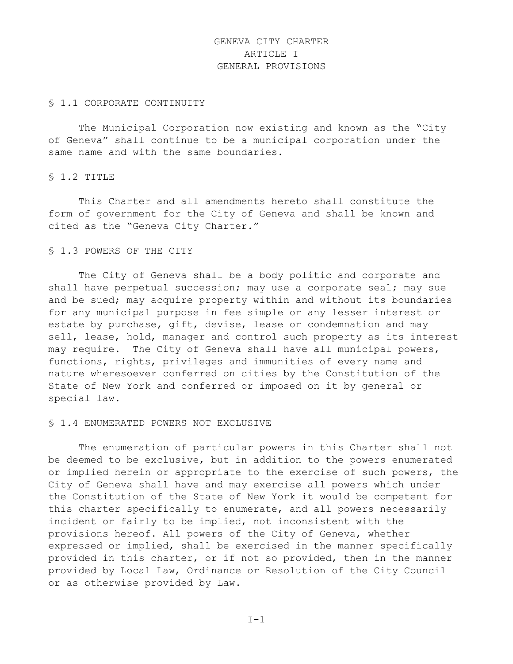# GENEVA CITY CHARTER ARTICLE I GENERAL PROVISIONS

#### § 1.1 CORPORATE CONTINUITY

The Municipal Corporation now existing and known as the "City of Geneva" shall continue to be a municipal corporation under the same name and with the same boundaries.

#### § 1.2 TITLE

This Charter and all amendments hereto shall constitute the form of government for the City of Geneva and shall be known and cited as the "Geneva City Charter."

## § 1.3 POWERS OF THE CITY

The City of Geneva shall be a body politic and corporate and shall have perpetual succession; may use a corporate seal; may sue and be sued; may acquire property within and without its boundaries for any municipal purpose in fee simple or any lesser interest or estate by purchase, gift, devise, lease or condemnation and may sell, lease, hold, manager and control such property as its interest may require. The City of Geneva shall have all municipal powers, functions, rights, privileges and immunities of every name and nature wheresoever conferred on cities by the Constitution of the State of New York and conferred or imposed on it by general or special law.

#### § 1.4 ENUMERATED POWERS NOT EXCLUSIVE

The enumeration of particular powers in this Charter shall not be deemed to be exclusive, but in addition to the powers enumerated or implied herein or appropriate to the exercise of such powers, the City of Geneva shall have and may exercise all powers which under the Constitution of the State of New York it would be competent for this charter specifically to enumerate, and all powers necessarily incident or fairly to be implied, not inconsistent with the provisions hereof. All powers of the City of Geneva, whether expressed or implied, shall be exercised in the manner specifically provided in this charter, or if not so provided, then in the manner provided by Local Law, Ordinance or Resolution of the City Council or as otherwise provided by Law.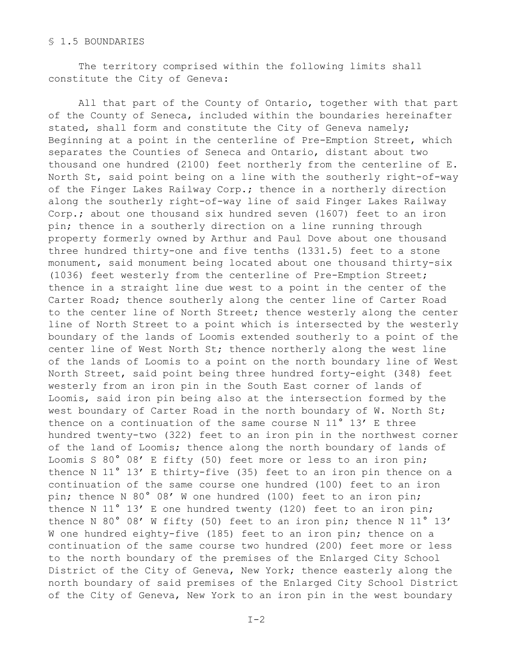## § 1.5 BOUNDARIES

The territory comprised within the following limits shall constitute the City of Geneva:

All that part of the County of Ontario, together with that part of the County of Seneca, included within the boundaries hereinafter stated, shall form and constitute the City of Geneva namely; Beginning at a point in the centerline of Pre-Emption Street, which separates the Counties of Seneca and Ontario, distant about two thousand one hundred (2100) feet northerly from the centerline of E. North St, said point being on a line with the southerly right-of-way of the Finger Lakes Railway Corp.; thence in a northerly direction along the southerly right-of-way line of said Finger Lakes Railway Corp.; about one thousand six hundred seven (1607) feet to an iron pin; thence in a southerly direction on a line running through property formerly owned by Arthur and Paul Dove about one thousand three hundred thirty-one and five tenths (1331.5) feet to a stone monument, said monument being located about one thousand thirty-six (1036) feet westerly from the centerline of Pre-Emption Street; thence in a straight line due west to a point in the center of the Carter Road; thence southerly along the center line of Carter Road to the center line of North Street; thence westerly along the center line of North Street to a point which is intersected by the westerly boundary of the lands of Loomis extended southerly to a point of the center line of West North St; thence northerly along the west line of the lands of Loomis to a point on the north boundary line of West North Street, said point being three hundred forty-eight (348) feet westerly from an iron pin in the South East corner of lands of Loomis, said iron pin being also at the intersection formed by the west boundary of Carter Road in the north boundary of W. North St; thence on a continuation of the same course N 11° 13' E three hundred twenty-two (322) feet to an iron pin in the northwest corner of the land of Loomis; thence along the north boundary of lands of Loomis S 80° 08' E fifty (50) feet more or less to an iron pin; thence N 11° 13' E thirty-five (35) feet to an iron pin thence on a continuation of the same course one hundred (100) feet to an iron pin; thence N 80° 08' W one hundred (100) feet to an iron pin; thence N 11° 13' E one hundred twenty (120) feet to an iron pin; thence N 80° 08' W fifty (50) feet to an iron pin; thence N 11° 13' W one hundred eighty-five (185) feet to an iron pin; thence on a continuation of the same course two hundred (200) feet more or less to the north boundary of the premises of the Enlarged City School District of the City of Geneva, New York; thence easterly along the north boundary of said premises of the Enlarged City School District of the City of Geneva, New York to an iron pin in the west boundary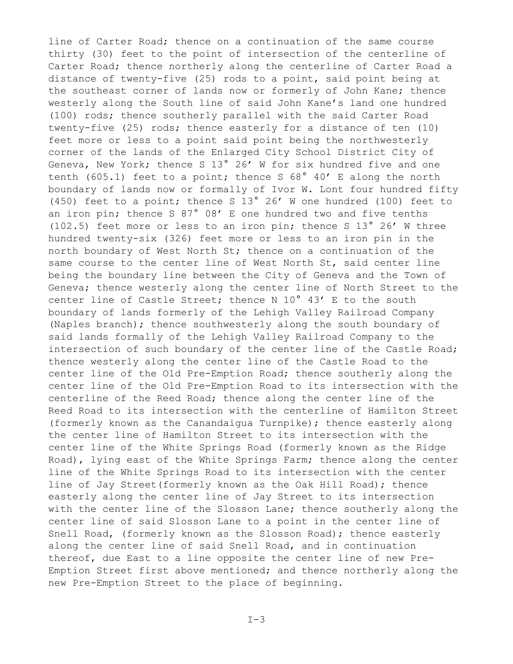line of Carter Road; thence on a continuation of the same course thirty (30) feet to the point of intersection of the centerline of Carter Road; thence northerly along the centerline of Carter Road a distance of twenty-five (25) rods to a point, said point being at the southeast corner of lands now or formerly of John Kane; thence westerly along the South line of said John Kane's land one hundred (100) rods; thence southerly parallel with the said Carter Road twenty-five (25) rods; thence easterly for a distance of ten (10) feet more or less to a point said point being the northwesterly corner of the lands of the Enlarged City School District City of Geneva, New York; thence S 13° 26' W for six hundred five and one tenth (605.1) feet to a point; thence S  $68^\circ$  40' E along the north boundary of lands now or formally of Ivor W. Lont four hundred fifty (450) feet to a point; thence S 13° 26' W one hundred (100) feet to an iron pin; thence S 87° 08' E one hundred two and five tenths (102.5) feet more or less to an iron pin; thence S 13° 26' W three hundred twenty-six (326) feet more or less to an iron pin in the north boundary of West North St; thence on a continuation of the same course to the center line of West North St, said center line being the boundary line between the City of Geneva and the Town of Geneva; thence westerly along the center line of North Street to the center line of Castle Street; thence N 10° 43' E to the south boundary of lands formerly of the Lehigh Valley Railroad Company (Naples branch); thence southwesterly along the south boundary of said lands formally of the Lehigh Valley Railroad Company to the intersection of such boundary of the center line of the Castle Road; thence westerly along the center line of the Castle Road to the center line of the Old Pre-Emption Road; thence southerly along the center line of the Old Pre-Emption Road to its intersection with the centerline of the Reed Road; thence along the center line of the Reed Road to its intersection with the centerline of Hamilton Street (formerly known as the Canandaigua Turnpike); thence easterly along the center line of Hamilton Street to its intersection with the center line of the White Springs Road (formerly known as the Ridge Road), lying east of the White Springs Farm; thence along the center line of the White Springs Road to its intersection with the center line of Jay Street(formerly known as the Oak Hill Road); thence easterly along the center line of Jay Street to its intersection with the center line of the Slosson Lane; thence southerly along the center line of said Slosson Lane to a point in the center line of Snell Road, (formerly known as the Slosson Road); thence easterly along the center line of said Snell Road, and in continuation thereof, due East to a line opposite the center line of new Pre-Emption Street first above mentioned; and thence northerly along the new Pre-Emption Street to the place of beginning.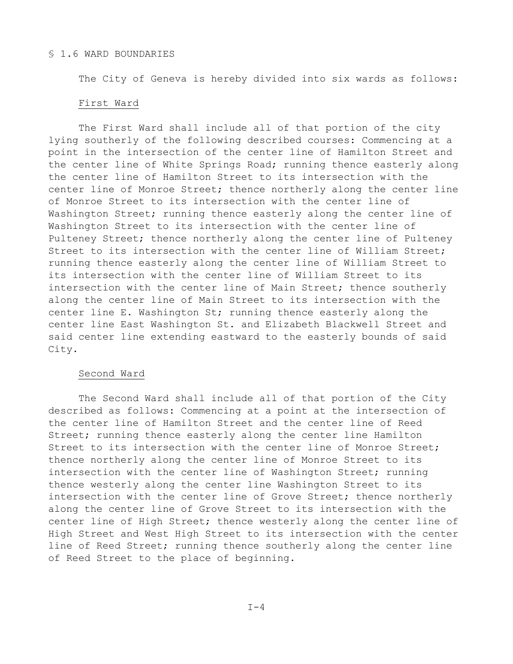#### § 1.6 WARD BOUNDARIES

The City of Geneva is hereby divided into six wards as follows:

#### First Ward

The First Ward shall include all of that portion of the city lying southerly of the following described courses: Commencing at a point in the intersection of the center line of Hamilton Street and the center line of White Springs Road; running thence easterly along the center line of Hamilton Street to its intersection with the center line of Monroe Street; thence northerly along the center line of Monroe Street to its intersection with the center line of Washington Street; running thence easterly along the center line of Washington Street to its intersection with the center line of Pulteney Street; thence northerly along the center line of Pulteney Street to its intersection with the center line of William Street; running thence easterly along the center line of William Street to its intersection with the center line of William Street to its intersection with the center line of Main Street; thence southerly along the center line of Main Street to its intersection with the center line E. Washington St; running thence easterly along the center line East Washington St. and Elizabeth Blackwell Street and said center line extending eastward to the easterly bounds of said City.

## Second Ward

The Second Ward shall include all of that portion of the City described as follows: Commencing at a point at the intersection of the center line of Hamilton Street and the center line of Reed Street; running thence easterly along the center line Hamilton Street to its intersection with the center line of Monroe Street; thence northerly along the center line of Monroe Street to its intersection with the center line of Washington Street; running thence westerly along the center line Washington Street to its intersection with the center line of Grove Street; thence northerly along the center line of Grove Street to its intersection with the center line of High Street; thence westerly along the center line of High Street and West High Street to its intersection with the center line of Reed Street; running thence southerly along the center line of Reed Street to the place of beginning.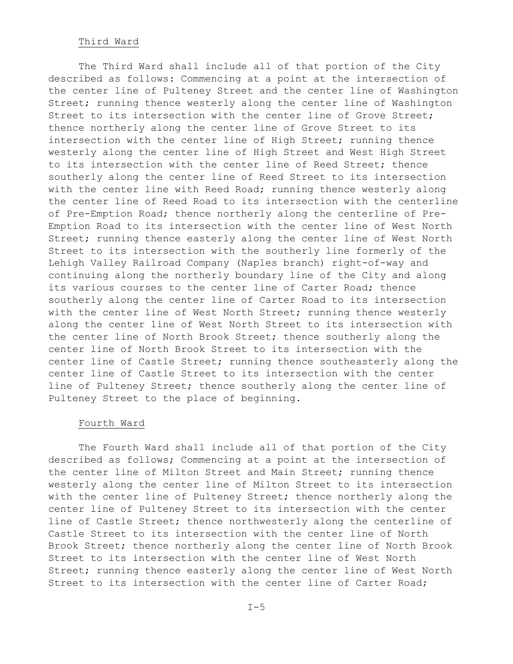#### Third Ward

The Third Ward shall include all of that portion of the City described as follows: Commencing at a point at the intersection of the center line of Pulteney Street and the center line of Washington Street; running thence westerly along the center line of Washington Street to its intersection with the center line of Grove Street; thence northerly along the center line of Grove Street to its intersection with the center line of High Street; running thence westerly along the center line of High Street and West High Street to its intersection with the center line of Reed Street; thence southerly along the center line of Reed Street to its intersection with the center line with Reed Road; running thence westerly along the center line of Reed Road to its intersection with the centerline of Pre-Emption Road; thence northerly along the centerline of Pre-Emption Road to its intersection with the center line of West North Street; running thence easterly along the center line of West North Street to its intersection with the southerly line formerly of the Lehigh Valley Railroad Company (Naples branch) right-of-way and continuing along the northerly boundary line of the City and along its various courses to the center line of Carter Road; thence southerly along the center line of Carter Road to its intersection with the center line of West North Street; running thence westerly along the center line of West North Street to its intersection with the center line of North Brook Street; thence southerly along the center line of North Brook Street to its intersection with the center line of Castle Street; running thence southeasterly along the center line of Castle Street to its intersection with the center line of Pulteney Street; thence southerly along the center line of Pulteney Street to the place of beginning.

#### Fourth Ward

The Fourth Ward shall include all of that portion of the City described as follows; Commencing at a point at the intersection of the center line of Milton Street and Main Street; running thence westerly along the center line of Milton Street to its intersection with the center line of Pulteney Street; thence northerly along the center line of Pulteney Street to its intersection with the center line of Castle Street; thence northwesterly along the centerline of Castle Street to its intersection with the center line of North Brook Street; thence northerly along the center line of North Brook Street to its intersection with the center line of West North Street; running thence easterly along the center line of West North Street to its intersection with the center line of Carter Road;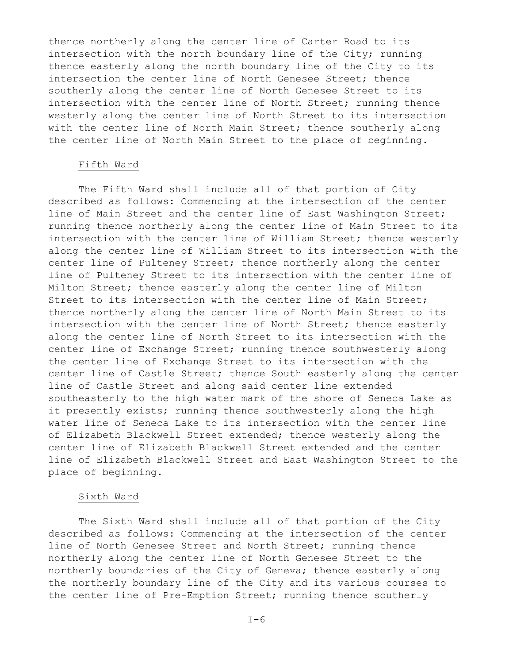thence northerly along the center line of Carter Road to its intersection with the north boundary line of the City; running thence easterly along the north boundary line of the City to its intersection the center line of North Genesee Street; thence southerly along the center line of North Genesee Street to its intersection with the center line of North Street; running thence westerly along the center line of North Street to its intersection with the center line of North Main Street; thence southerly along the center line of North Main Street to the place of beginning.

## Fifth Ward

The Fifth Ward shall include all of that portion of City described as follows: Commencing at the intersection of the center line of Main Street and the center line of East Washington Street; running thence northerly along the center line of Main Street to its intersection with the center line of William Street; thence westerly along the center line of William Street to its intersection with the center line of Pulteney Street; thence northerly along the center line of Pulteney Street to its intersection with the center line of Milton Street; thence easterly along the center line of Milton Street to its intersection with the center line of Main Street; thence northerly along the center line of North Main Street to its intersection with the center line of North Street; thence easterly along the center line of North Street to its intersection with the center line of Exchange Street; running thence southwesterly along the center line of Exchange Street to its intersection with the center line of Castle Street; thence South easterly along the center line of Castle Street and along said center line extended southeasterly to the high water mark of the shore of Seneca Lake as it presently exists; running thence southwesterly along the high water line of Seneca Lake to its intersection with the center line of Elizabeth Blackwell Street extended; thence westerly along the center line of Elizabeth Blackwell Street extended and the center line of Elizabeth Blackwell Street and East Washington Street to the place of beginning.

## Sixth Ward

The Sixth Ward shall include all of that portion of the City described as follows: Commencing at the intersection of the center line of North Genesee Street and North Street; running thence northerly along the center line of North Genesee Street to the northerly boundaries of the City of Geneva; thence easterly along the northerly boundary line of the City and its various courses to the center line of Pre-Emption Street; running thence southerly

 $I-6$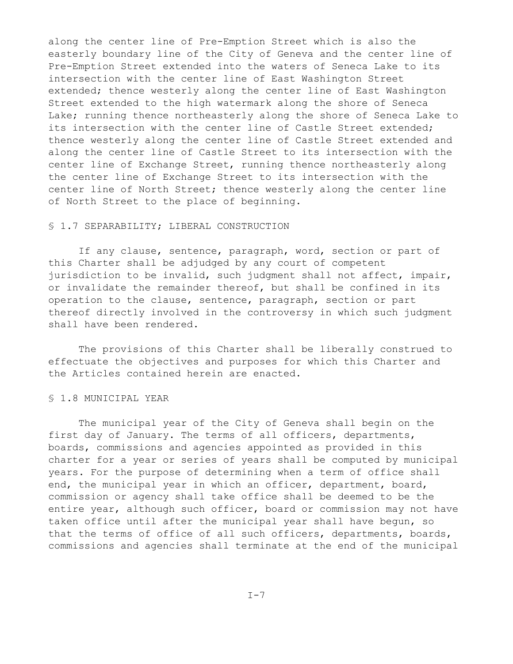along the center line of Pre-Emption Street which is also the easterly boundary line of the City of Geneva and the center line of Pre-Emption Street extended into the waters of Seneca Lake to its intersection with the center line of East Washington Street extended; thence westerly along the center line of East Washington Street extended to the high watermark along the shore of Seneca Lake; running thence northeasterly along the shore of Seneca Lake to its intersection with the center line of Castle Street extended; thence westerly along the center line of Castle Street extended and along the center line of Castle Street to its intersection with the center line of Exchange Street, running thence northeasterly along the center line of Exchange Street to its intersection with the center line of North Street; thence westerly along the center line of North Street to the place of beginning.

## § 1.7 SEPARABILITY; LIBERAL CONSTRUCTION

If any clause, sentence, paragraph, word, section or part of this Charter shall be adjudged by any court of competent jurisdiction to be invalid, such judgment shall not affect, impair, or invalidate the remainder thereof, but shall be confined in its operation to the clause, sentence, paragraph, section or part thereof directly involved in the controversy in which such judgment shall have been rendered.

The provisions of this Charter shall be liberally construed to effectuate the objectives and purposes for which this Charter and the Articles contained herein are enacted.

#### § 1.8 MUNICIPAL YEAR

The municipal year of the City of Geneva shall begin on the first day of January. The terms of all officers, departments, boards, commissions and agencies appointed as provided in this charter for a year or series of years shall be computed by municipal years. For the purpose of determining when a term of office shall end, the municipal year in which an officer, department, board, commission or agency shall take office shall be deemed to be the entire year, although such officer, board or commission may not have taken office until after the municipal year shall have begun, so that the terms of office of all such officers, departments, boards, commissions and agencies shall terminate at the end of the municipal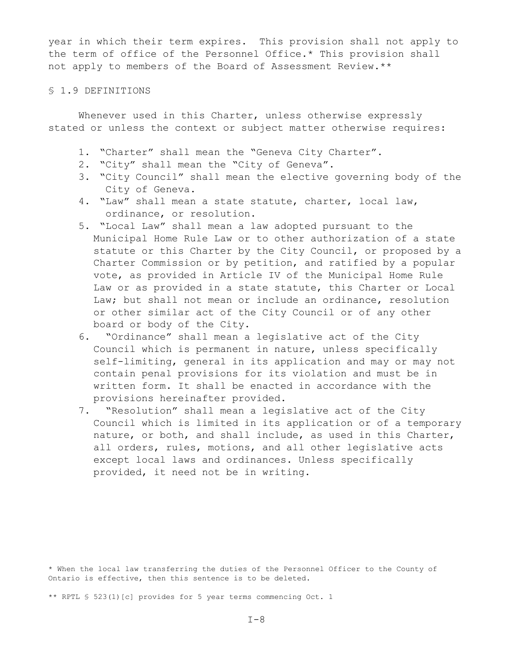year in which their term expires. This provision shall not apply to the term of office of the Personnel Office.\* This provision shall not apply to members of the Board of Assessment Review.\*\*

## § 1.9 DEFINITIONS

Whenever used in this Charter, unless otherwise expressly stated or unless the context or subject matter otherwise requires:

- 1. "Charter" shall mean the "Geneva City Charter".
- 2. "City" shall mean the "City of Geneva".
- 3. "City Council" shall mean the elective governing body of the City of Geneva.
- 4. "Law" shall mean a state statute, charter, local law, ordinance, or resolution.
- 5. "Local Law" shall mean a law adopted pursuant to the Municipal Home Rule Law or to other authorization of a state statute or this Charter by the City Council, or proposed by a Charter Commission or by petition, and ratified by a popular vote, as provided in Article IV of the Municipal Home Rule Law or as provided in a state statute, this Charter or Local Law; but shall not mean or include an ordinance, resolution or other similar act of the City Council or of any other board or body of the City.
- 6. "Ordinance" shall mean a legislative act of the City Council which is permanent in nature, unless specifically self-limiting, general in its application and may or may not contain penal provisions for its violation and must be in written form. It shall be enacted in accordance with the provisions hereinafter provided.
- 7. "Resolution" shall mean a legislative act of the City Council which is limited in its application or of a temporary nature, or both, and shall include, as used in this Charter, all orders, rules, motions, and all other legislative acts except local laws and ordinances. Unless specifically provided, it need not be in writing.

\* When the local law transferring the duties of the Personnel Officer to the County of Ontario is effective, then this sentence is to be deleted.

\*\* RPTL § 523(1)[c] provides for 5 year terms commencing Oct. 1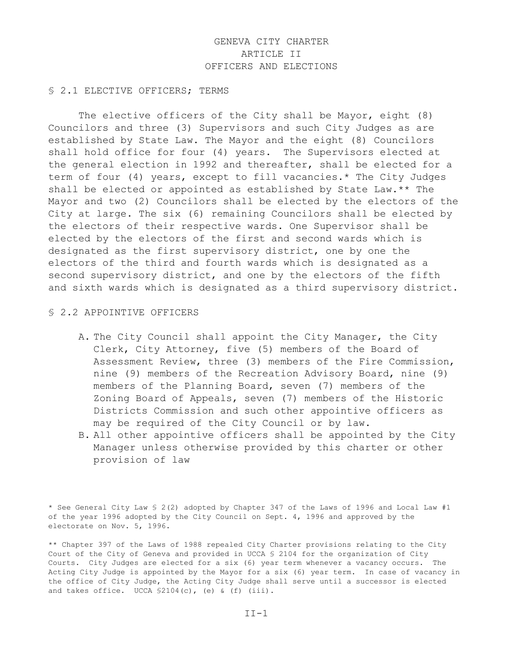# GENEVA CITY CHARTER ARTICLE II OFFICERS AND ELECTIONS

#### § 2.1 ELECTIVE OFFICERS; TERMS

The elective officers of the City shall be Mayor, eight (8) Councilors and three (3) Supervisors and such City Judges as are established by State Law. The Mayor and the eight (8) Councilors shall hold office for four (4) years. The Supervisors elected at the general election in 1992 and thereafter, shall be elected for a term of four (4) years, except to fill vacancies.\* The City Judges shall be elected or appointed as established by State Law.\*\* The Mayor and two (2) Councilors shall be elected by the electors of the City at large. The six (6) remaining Councilors shall be elected by the electors of their respective wards. One Supervisor shall be elected by the electors of the first and second wards which is designated as the first supervisory district, one by one the electors of the third and fourth wards which is designated as a second supervisory district, and one by the electors of the fifth and sixth wards which is designated as a third supervisory district.

#### § 2.2 APPOINTIVE OFFICERS

- A. The City Council shall appoint the City Manager, the City Clerk, City Attorney, five (5) members of the Board of Assessment Review, three (3) members of the Fire Commission, nine (9) members of the Recreation Advisory Board, nine (9) members of the Planning Board, seven (7) members of the Zoning Board of Appeals, seven (7) members of the Historic Districts Commission and such other appointive officers as may be required of the City Council or by law.
- B. All other appointive officers shall be appointed by the City Manager unless otherwise provided by this charter or other provision of law

\* See General City Law § 2(2) adopted by Chapter 347 of the Laws of 1996 and Local Law #1 of the year 1996 adopted by the City Council on Sept. 4, 1996 and approved by the electorate on Nov. 5, 1996.

\*\* Chapter 397 of the Laws of 1988 repealed City Charter provisions relating to the City Court of the City of Geneva and provided in UCCA § 2104 for the organization of City Courts. City Judges are elected for a six (6) year term whenever a vacancy occurs. The Acting City Judge is appointed by the Mayor for a six (6) year term. In case of vacancy in the office of City Judge, the Acting City Judge shall serve until a successor is elected and takes office. UCCA  $$2104(c)$ , (e) & (f) (iii).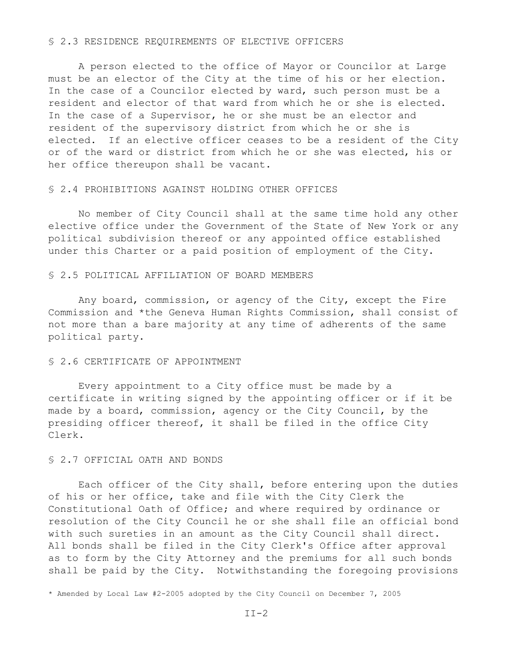#### § 2.3 RESIDENCE REQUIREMENTS OF ELECTIVE OFFICERS

A person elected to the office of Mayor or Councilor at Large must be an elector of the City at the time of his or her election. In the case of a Councilor elected by ward, such person must be a resident and elector of that ward from which he or she is elected. In the case of a Supervisor, he or she must be an elector and resident of the supervisory district from which he or she is elected. If an elective officer ceases to be a resident of the City or of the ward or district from which he or she was elected, his or her office thereupon shall be vacant.

## § 2.4 PROHIBITIONS AGAINST HOLDING OTHER OFFICES

No member of City Council shall at the same time hold any other elective office under the Government of the State of New York or any political subdivision thereof or any appointed office established under this Charter or a paid position of employment of the City.

#### § 2.5 POLITICAL AFFILIATION OF BOARD MEMBERS

Any board, commission, or agency of the City, except the Fire Commission and \*the Geneva Human Rights Commission, shall consist of not more than a bare majority at any time of adherents of the same political party.

## § 2.6 CERTIFICATE OF APPOINTMENT

Every appointment to a City office must be made by a certificate in writing signed by the appointing officer or if it be made by a board, commission, agency or the City Council, by the presiding officer thereof, it shall be filed in the office City Clerk.

#### § 2.7 OFFICIAL OATH AND BONDS

Each officer of the City shall, before entering upon the duties of his or her office, take and file with the City Clerk the Constitutional Oath of Office; and where required by ordinance or resolution of the City Council he or she shall file an official bond with such sureties in an amount as the City Council shall direct. All bonds shall be filed in the City Clerk's Office after approval as to form by the City Attorney and the premiums for all such bonds shall be paid by the City. Notwithstanding the foregoing provisions

\* Amended by Local Law #2-2005 adopted by the City Council on December 7, 2005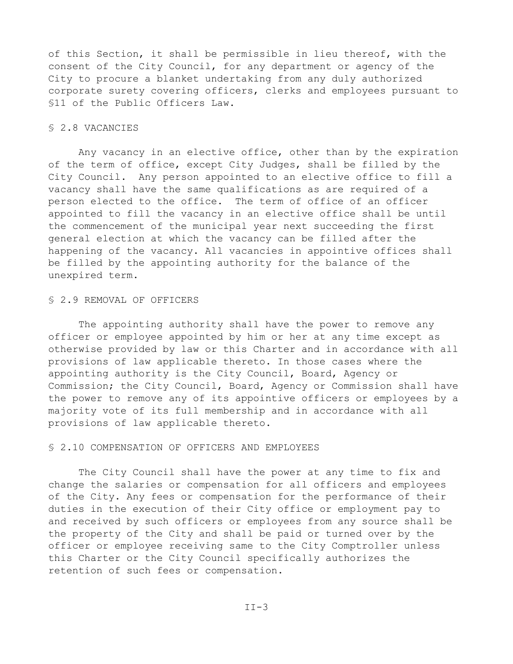of this Section, it shall be permissible in lieu thereof, with the consent of the City Council, for any department or agency of the City to procure a blanket undertaking from any duly authorized corporate surety covering officers, clerks and employees pursuant to §11 of the Public Officers Law.

#### § 2.8 VACANCIES

Any vacancy in an elective office, other than by the expiration of the term of office, except City Judges, shall be filled by the City Council. Any person appointed to an elective office to fill a vacancy shall have the same qualifications as are required of a person elected to the office. The term of office of an officer appointed to fill the vacancy in an elective office shall be until the commencement of the municipal year next succeeding the first general election at which the vacancy can be filled after the happening of the vacancy. All vacancies in appointive offices shall be filled by the appointing authority for the balance of the unexpired term.

## § 2.9 REMOVAL OF OFFICERS

The appointing authority shall have the power to remove any officer or employee appointed by him or her at any time except as otherwise provided by law or this Charter and in accordance with all provisions of law applicable thereto. In those cases where the appointing authority is the City Council, Board, Agency or Commission; the City Council, Board, Agency or Commission shall have the power to remove any of its appointive officers or employees by a majority vote of its full membership and in accordance with all provisions of law applicable thereto.

## § 2.10 COMPENSATION OF OFFICERS AND EMPLOYEES

The City Council shall have the power at any time to fix and change the salaries or compensation for all officers and employees of the City. Any fees or compensation for the performance of their duties in the execution of their City office or employment pay to and received by such officers or employees from any source shall be the property of the City and shall be paid or turned over by the officer or employee receiving same to the City Comptroller unless this Charter or the City Council specifically authorizes the retention of such fees or compensation.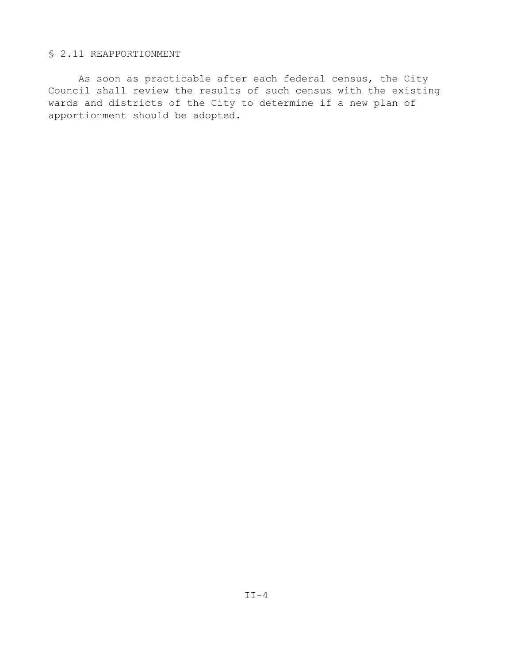## § 2.11 REAPPORTIONMENT

As soon as practicable after each federal census, the City Council shall review the results of such census with the existing wards and districts of the City to determine if a new plan of apportionment should be adopted.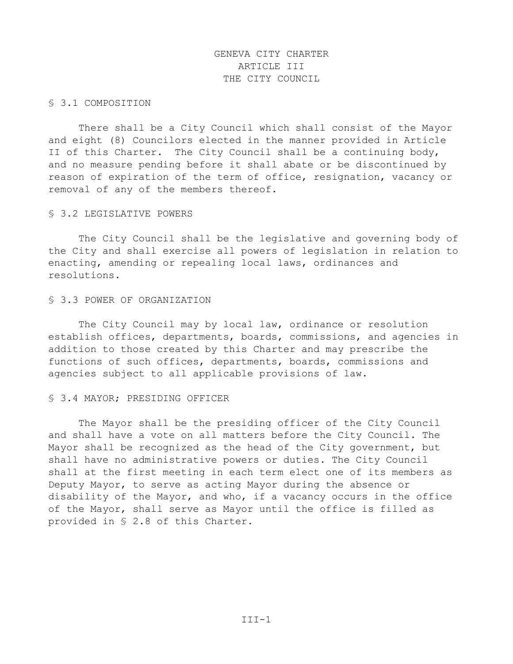# GENEVA CITY CHARTER ARTICLE III THE CITY COUNCIL

## § 3.1 COMPOSITION

There shall be a City Council which shall consist of the Mayor and eight (8) Councilors elected in the manner provided in Article II of this Charter. The City Council shall be a continuing body, and no measure pending before it shall abate or be discontinued by reason of expiration of the term of office, resignation, vacancy or removal of any of the members thereof.

#### § 3.2 LEGISLATIVE POWERS

The City Council shall be the legislative and governing body of the City and shall exercise all powers of legislation in relation to enacting, amending or repealing local laws, ordinances and resolutions.

## § 3.3 POWER OF ORGANIZATION

The City Council may by local law, ordinance or resolution establish offices, departments, boards, commissions, and agencies in addition to those created by this Charter and may prescribe the functions of such offices, departments, boards, commissions and agencies subject to all applicable provisions of law.

## § 3.4 MAYOR; PRESIDING OFFICER

The Mayor shall be the presiding officer of the City Council and shall have a vote on all matters before the City Council. The Mayor shall be recognized as the head of the City government, but shall have no administrative powers or duties. The City Council shall at the first meeting in each term elect one of its members as Deputy Mayor, to serve as acting Mayor during the absence or disability of the Mayor, and who, if a vacancy occurs in the office of the Mayor, shall serve as Mayor until the office is filled as provided in § 2.8 of this Charter.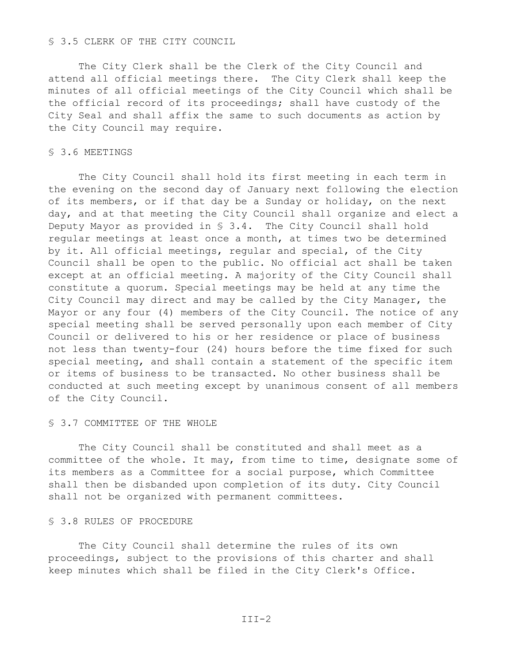#### § 3.5 CLERK OF THE CITY COUNCIL

The City Clerk shall be the Clerk of the City Council and attend all official meetings there. The City Clerk shall keep the minutes of all official meetings of the City Council which shall be the official record of its proceedings; shall have custody of the City Seal and shall affix the same to such documents as action by the City Council may require.

## § 3.6 MEETINGS

The City Council shall hold its first meeting in each term in the evening on the second day of January next following the election of its members, or if that day be a Sunday or holiday, on the next day, and at that meeting the City Council shall organize and elect a Deputy Mayor as provided in § 3.4. The City Council shall hold regular meetings at least once a month, at times two be determined by it. All official meetings, regular and special, of the City Council shall be open to the public. No official act shall be taken except at an official meeting. A majority of the City Council shall constitute a quorum. Special meetings may be held at any time the City Council may direct and may be called by the City Manager, the Mayor or any four (4) members of the City Council. The notice of any special meeting shall be served personally upon each member of City Council or delivered to his or her residence or place of business not less than twenty-four (24) hours before the time fixed for such special meeting, and shall contain a statement of the specific item or items of business to be transacted. No other business shall be conducted at such meeting except by unanimous consent of all members of the City Council.

#### § 3.7 COMMITTEE OF THE WHOLE

The City Council shall be constituted and shall meet as a committee of the whole. It may, from time to time, designate some of its members as a Committee for a social purpose, which Committee shall then be disbanded upon completion of its duty. City Council shall not be organized with permanent committees.

## § 3.8 RULES OF PROCEDURE

The City Council shall determine the rules of its own proceedings, subject to the provisions of this charter and shall keep minutes which shall be filed in the City Clerk's Office.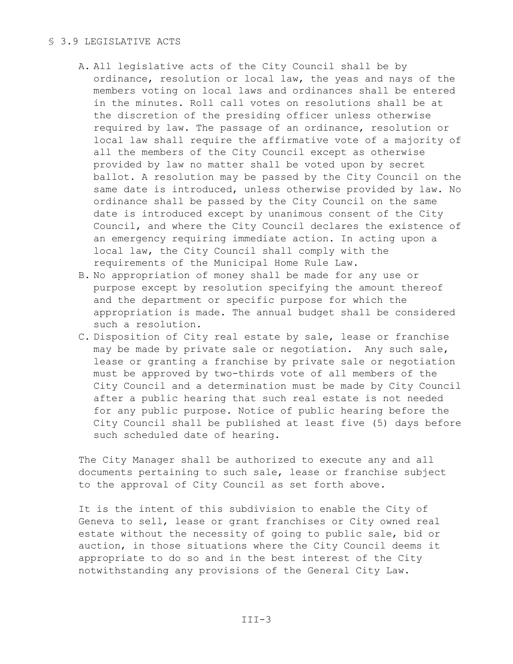## § 3.9 LEGISLATIVE ACTS

- A. All legislative acts of the City Council shall be by ordinance, resolution or local law, the yeas and nays of the members voting on local laws and ordinances shall be entered in the minutes. Roll call votes on resolutions shall be at the discretion of the presiding officer unless otherwise required by law. The passage of an ordinance, resolution or local law shall require the affirmative vote of a majority of all the members of the City Council except as otherwise provided by law no matter shall be voted upon by secret ballot. A resolution may be passed by the City Council on the same date is introduced, unless otherwise provided by law. No ordinance shall be passed by the City Council on the same date is introduced except by unanimous consent of the City Council, and where the City Council declares the existence of an emergency requiring immediate action. In acting upon a local law, the City Council shall comply with the requirements of the Municipal Home Rule Law.
- B. No appropriation of money shall be made for any use or purpose except by resolution specifying the amount thereof and the department or specific purpose for which the appropriation is made. The annual budget shall be considered such a resolution.
- C. Disposition of City real estate by sale, lease or franchise may be made by private sale or negotiation. Any such sale, lease or granting a franchise by private sale or negotiation must be approved by two-thirds vote of all members of the City Council and a determination must be made by City Council after a public hearing that such real estate is not needed for any public purpose. Notice of public hearing before the City Council shall be published at least five (5) days before such scheduled date of hearing.

The City Manager shall be authorized to execute any and all documents pertaining to such sale, lease or franchise subject to the approval of City Council as set forth above.

It is the intent of this subdivision to enable the City of Geneva to sell, lease or grant franchises or City owned real estate without the necessity of going to public sale, bid or auction, in those situations where the City Council deems it appropriate to do so and in the best interest of the City notwithstanding any provisions of the General City Law.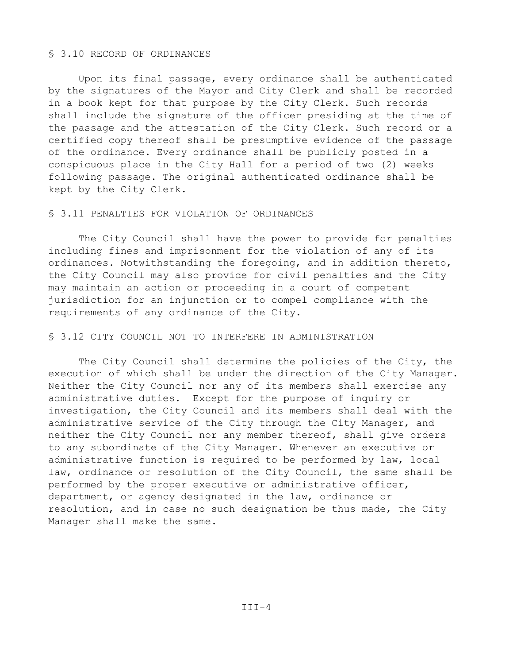## § 3.10 RECORD OF ORDINANCES

Upon its final passage, every ordinance shall be authenticated by the signatures of the Mayor and City Clerk and shall be recorded in a book kept for that purpose by the City Clerk. Such records shall include the signature of the officer presiding at the time of the passage and the attestation of the City Clerk. Such record or a certified copy thereof shall be presumptive evidence of the passage of the ordinance. Every ordinance shall be publicly posted in a conspicuous place in the City Hall for a period of two (2) weeks following passage. The original authenticated ordinance shall be kept by the City Clerk.

#### § 3.11 PENALTIES FOR VIOLATION OF ORDINANCES

The City Council shall have the power to provide for penalties including fines and imprisonment for the violation of any of its ordinances. Notwithstanding the foregoing, and in addition thereto, the City Council may also provide for civil penalties and the City may maintain an action or proceeding in a court of competent jurisdiction for an injunction or to compel compliance with the requirements of any ordinance of the City.

## § 3.12 CITY COUNCIL NOT TO INTERFERE IN ADMINISTRATION

The City Council shall determine the policies of the City, the execution of which shall be under the direction of the City Manager. Neither the City Council nor any of its members shall exercise any administrative duties. Except for the purpose of inquiry or investigation, the City Council and its members shall deal with the administrative service of the City through the City Manager, and neither the City Council nor any member thereof, shall give orders to any subordinate of the City Manager. Whenever an executive or administrative function is required to be performed by law, local law, ordinance or resolution of the City Council, the same shall be performed by the proper executive or administrative officer, department, or agency designated in the law, ordinance or resolution, and in case no such designation be thus made, the City Manager shall make the same.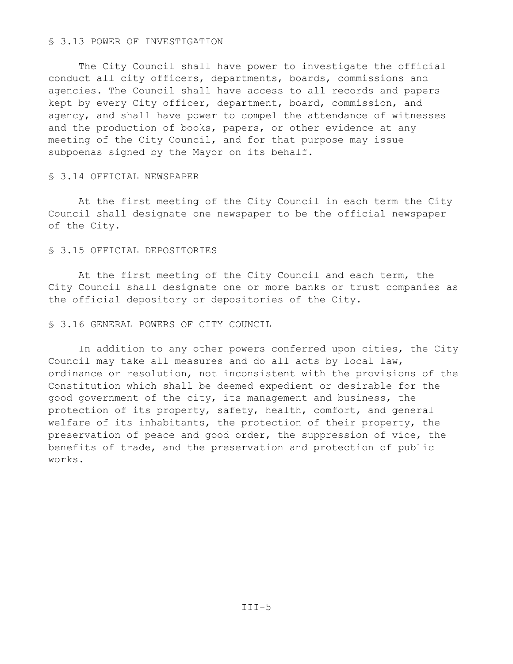#### § 3.13 POWER OF INVESTIGATION

The City Council shall have power to investigate the official conduct all city officers, departments, boards, commissions and agencies. The Council shall have access to all records and papers kept by every City officer, department, board, commission, and agency, and shall have power to compel the attendance of witnesses and the production of books, papers, or other evidence at any meeting of the City Council, and for that purpose may issue subpoenas signed by the Mayor on its behalf.

## § 3.14 OFFICIAL NEWSPAPER

At the first meeting of the City Council in each term the City Council shall designate one newspaper to be the official newspaper of the City.

#### § 3.15 OFFICIAL DEPOSITORIES

At the first meeting of the City Council and each term, the City Council shall designate one or more banks or trust companies as the official depository or depositories of the City.

## § 3.16 GENERAL POWERS OF CITY COUNCIL

In addition to any other powers conferred upon cities, the City Council may take all measures and do all acts by local law, ordinance or resolution, not inconsistent with the provisions of the Constitution which shall be deemed expedient or desirable for the good government of the city, its management and business, the protection of its property, safety, health, comfort, and general welfare of its inhabitants, the protection of their property, the preservation of peace and good order, the suppression of vice, the benefits of trade, and the preservation and protection of public works.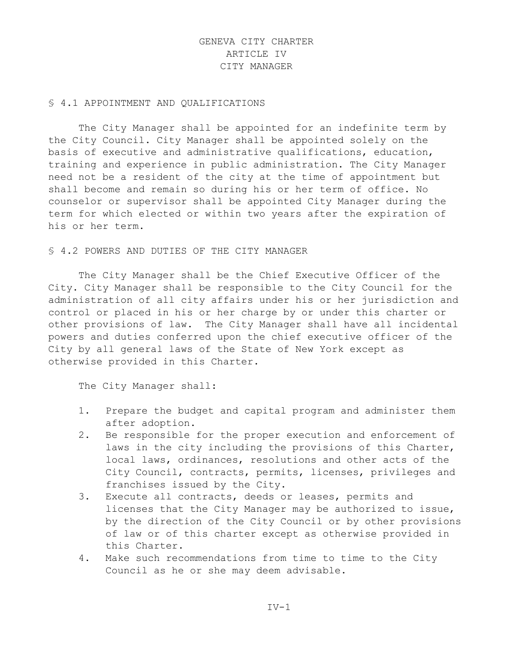# GENEVA CITY CHARTER ARTICLE IV CITY MANAGER

## § 4.1 APPOINTMENT AND QUALIFICATIONS

The City Manager shall be appointed for an indefinite term by the City Council. City Manager shall be appointed solely on the basis of executive and administrative qualifications, education, training and experience in public administration. The City Manager need not be a resident of the city at the time of appointment but shall become and remain so during his or her term of office. No counselor or supervisor shall be appointed City Manager during the term for which elected or within two years after the expiration of his or her term.

#### § 4.2 POWERS AND DUTIES OF THE CITY MANAGER

The City Manager shall be the Chief Executive Officer of the City. City Manager shall be responsible to the City Council for the administration of all city affairs under his or her jurisdiction and control or placed in his or her charge by or under this charter or other provisions of law. The City Manager shall have all incidental powers and duties conferred upon the chief executive officer of the City by all general laws of the State of New York except as otherwise provided in this Charter.

The City Manager shall:

- 1. Prepare the budget and capital program and administer them after adoption.
- 2. Be responsible for the proper execution and enforcement of laws in the city including the provisions of this Charter, local laws, ordinances, resolutions and other acts of the City Council, contracts, permits, licenses, privileges and franchises issued by the City.
- 3. Execute all contracts, deeds or leases, permits and licenses that the City Manager may be authorized to issue, by the direction of the City Council or by other provisions of law or of this charter except as otherwise provided in this Charter.
- 4. Make such recommendations from time to time to the City Council as he or she may deem advisable.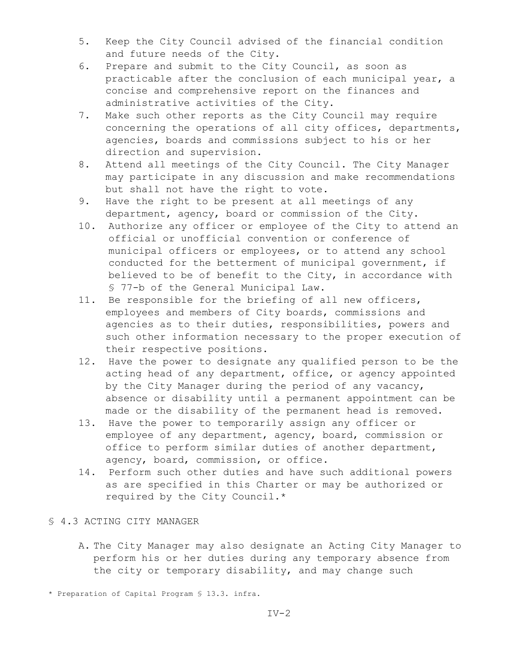- 5. Keep the City Council advised of the financial condition and future needs of the City.
- 6. Prepare and submit to the City Council, as soon as practicable after the conclusion of each municipal year, a concise and comprehensive report on the finances and administrative activities of the City.
- 7. Make such other reports as the City Council may require concerning the operations of all city offices, departments, agencies, boards and commissions subject to his or her direction and supervision.
- 8. Attend all meetings of the City Council. The City Manager may participate in any discussion and make recommendations but shall not have the right to vote.
- 9. Have the right to be present at all meetings of any department, agency, board or commission of the City.
- 10. Authorize any officer or employee of the City to attend an official or unofficial convention or conference of municipal officers or employees, or to attend any school conducted for the betterment of municipal government, if believed to be of benefit to the City, in accordance with § 77-b of the General Municipal Law.
- 11. Be responsible for the briefing of all new officers, employees and members of City boards, commissions and agencies as to their duties, responsibilities, powers and such other information necessary to the proper execution of their respective positions.
- 12. Have the power to designate any qualified person to be the acting head of any department, office, or agency appointed by the City Manager during the period of any vacancy, absence or disability until a permanent appointment can be made or the disability of the permanent head is removed.
- 13. Have the power to temporarily assign any officer or employee of any department, agency, board, commission or office to perform similar duties of another department, agency, board, commission, or office.
- 14. Perform such other duties and have such additional powers as are specified in this Charter or may be authorized or required by the City Council.\*

## § 4.3 ACTING CITY MANAGER

A. The City Manager may also designate an Acting City Manager to perform his or her duties during any temporary absence from the city or temporary disability, and may change such

<sup>\*</sup> Preparation of Capital Program § 13.3. infra.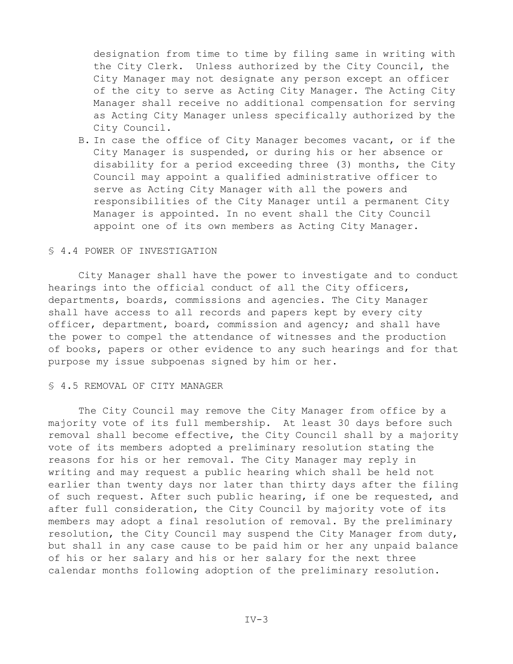designation from time to time by filing same in writing with the City Clerk. Unless authorized by the City Council, the City Manager may not designate any person except an officer of the city to serve as Acting City Manager. The Acting City Manager shall receive no additional compensation for serving as Acting City Manager unless specifically authorized by the City Council.

B. In case the office of City Manager becomes vacant, or if the City Manager is suspended, or during his or her absence or disability for a period exceeding three (3) months, the City Council may appoint a qualified administrative officer to serve as Acting City Manager with all the powers and responsibilities of the City Manager until a permanent City Manager is appointed. In no event shall the City Council appoint one of its own members as Acting City Manager.

#### § 4.4 POWER OF INVESTIGATION

City Manager shall have the power to investigate and to conduct hearings into the official conduct of all the City officers, departments, boards, commissions and agencies. The City Manager shall have access to all records and papers kept by every city officer, department, board, commission and agency; and shall have the power to compel the attendance of witnesses and the production of books, papers or other evidence to any such hearings and for that purpose my issue subpoenas signed by him or her.

## § 4.5 REMOVAL OF CITY MANAGER

The City Council may remove the City Manager from office by a majority vote of its full membership. At least 30 days before such removal shall become effective, the City Council shall by a majority vote of its members adopted a preliminary resolution stating the reasons for his or her removal. The City Manager may reply in writing and may request a public hearing which shall be held not earlier than twenty days nor later than thirty days after the filing of such request. After such public hearing, if one be requested, and after full consideration, the City Council by majority vote of its members may adopt a final resolution of removal. By the preliminary resolution, the City Council may suspend the City Manager from duty, but shall in any case cause to be paid him or her any unpaid balance of his or her salary and his or her salary for the next three calendar months following adoption of the preliminary resolution.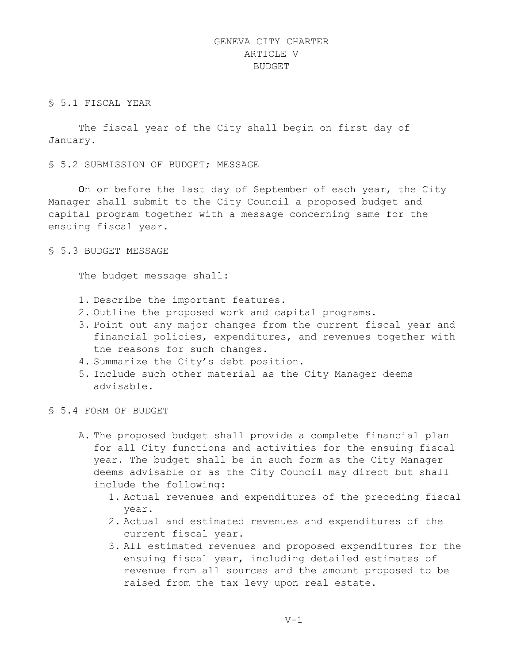# GENEVA CITY CHARTER ARTICLE V BUDGET

## § 5.1 FISCAL YEAR

The fiscal year of the City shall begin on first day of January.

§ 5.2 SUBMISSION OF BUDGET; MESSAGE

On or before the last day of September of each year, the City Manager shall submit to the City Council a proposed budget and capital program together with a message concerning same for the ensuing fiscal year.

## § 5.3 BUDGET MESSAGE

The budget message shall:

- 1. Describe the important features.
- 2. Outline the proposed work and capital programs.
- 3. Point out any major changes from the current fiscal year and financial policies, expenditures, and revenues together with the reasons for such changes.
- 4. Summarize the City's debt position.
- 5. Include such other material as the City Manager deems advisable.
- § 5.4 FORM OF BUDGET
	- A. The proposed budget shall provide a complete financial plan for all City functions and activities for the ensuing fiscal year. The budget shall be in such form as the City Manager deems advisable or as the City Council may direct but shall include the following:
		- 1. Actual revenues and expenditures of the preceding fiscal year.
		- 2. Actual and estimated revenues and expenditures of the current fiscal year.
		- 3. All estimated revenues and proposed expenditures for the ensuing fiscal year, including detailed estimates of revenue from all sources and the amount proposed to be raised from the tax levy upon real estate.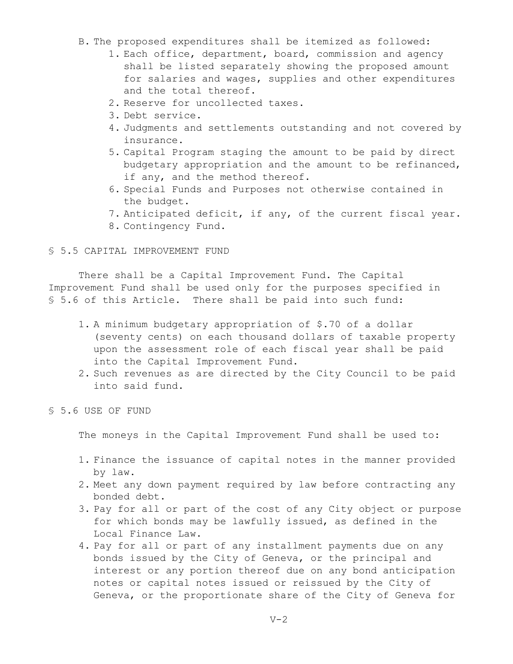- B. The proposed expenditures shall be itemized as followed:
	- 1. Each office, department, board, commission and agency shall be listed separately showing the proposed amount for salaries and wages, supplies and other expenditures and the total thereof.
	- 2. Reserve for uncollected taxes.
	- 3. Debt service.
	- 4. Judgments and settlements outstanding and not covered by insurance.
	- 5. Capital Program staging the amount to be paid by direct budgetary appropriation and the amount to be refinanced, if any, and the method thereof.
	- 6. Special Funds and Purposes not otherwise contained in the budget.
	- 7. Anticipated deficit, if any, of the current fiscal year.
	- 8. Contingency Fund.

#### § 5.5 CAPITAL IMPROVEMENT FUND

There shall be a Capital Improvement Fund. The Capital Improvement Fund shall be used only for the purposes specified in § 5.6 of this Article. There shall be paid into such fund:

- 1. A minimum budgetary appropriation of \$.70 of a dollar (seventy cents) on each thousand dollars of taxable property upon the assessment role of each fiscal year shall be paid into the Capital Improvement Fund.
- 2. Such revenues as are directed by the City Council to be paid into said fund.
- § 5.6 USE OF FUND

The moneys in the Capital Improvement Fund shall be used to:

- 1. Finance the issuance of capital notes in the manner provided by law.
- 2. Meet any down payment required by law before contracting any bonded debt.
- 3. Pay for all or part of the cost of any City object or purpose for which bonds may be lawfully issued, as defined in the Local Finance Law.
- 4. Pay for all or part of any installment payments due on any bonds issued by the City of Geneva, or the principal and interest or any portion thereof due on any bond anticipation notes or capital notes issued or reissued by the City of Geneva, or the proportionate share of the City of Geneva for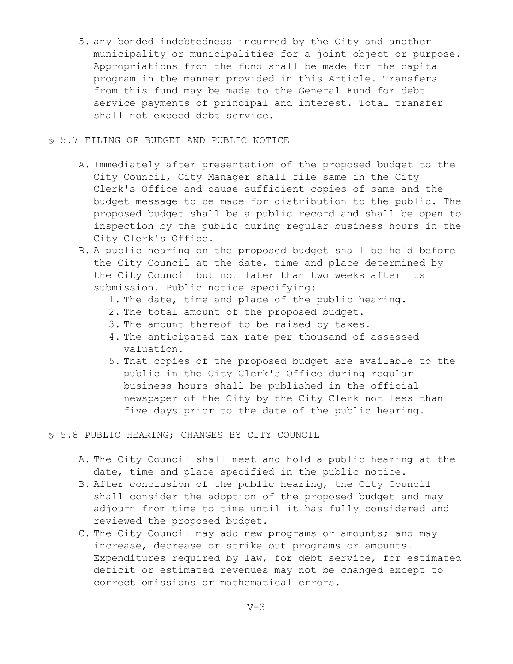- 5. any bonded indebtedness incurred by the City and another municipality or municipalities for a joint object or purpose. Appropriations from the fund shall be made for the capital program in the manner provided in this Article. Transfers from this fund may be made to the General Fund for debt service payments of principal and interest. Total transfer shall not exceed debt service.
- § 5.7 FILING OF BUDGET AND PUBLIC NOTICE
	- A. Immediately after presentation of the proposed budget to the City Council, City Manager shall file same in the City Clerk's Office and cause sufficient copies of same and the budget message to be made for distribution to the public. The proposed budget shall be a public record and shall be open to inspection by the public during regular business hours in the City Clerk's Office.
	- B. A public hearing on the proposed budget shall be held before the City Council at the date, time and place determined by the City Council but not later than two weeks after its submission. Public notice specifying:
		- 1. The date, time and place of the public hearing.
		- 2. The total amount of the proposed budget.
		- 3. The amount thereof to be raised by taxes.
		- 4. The anticipated tax rate per thousand of assessed valuation.
		- 5. That copies of the proposed budget are available to the public in the City Clerk's Office during regular business hours shall be published in the official newspaper of the City by the City Clerk not less than five days prior to the date of the public hearing.
- § 5.8 PUBLIC HEARING; CHANGES BY CITY COUNCIL
	- A. The City Council shall meet and hold a public hearing at the date, time and place specified in the public notice.
	- B. After conclusion of the public hearing, the City Council shall consider the adoption of the proposed budget and may adjourn from time to time until it has fully considered and reviewed the proposed budget.
	- C. The City Council may add new programs or amounts; and may increase, decrease or strike out programs or amounts. Expenditures required by law, for debt service, for estimated deficit or estimated revenues may not be changed except to correct omissions or mathematical errors.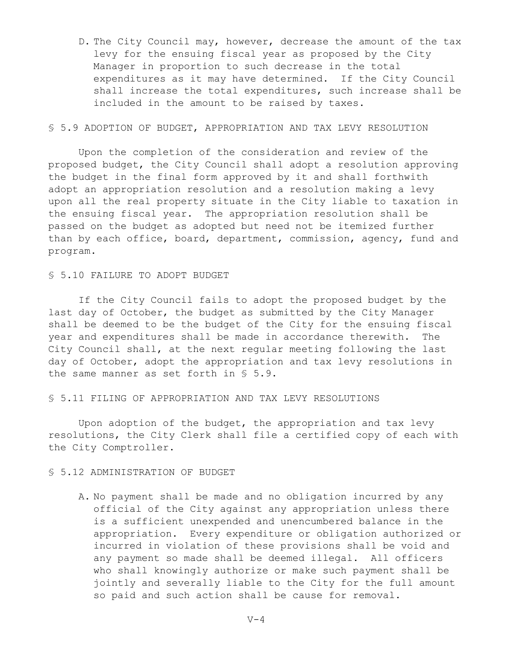D. The City Council may, however, decrease the amount of the tax levy for the ensuing fiscal year as proposed by the City Manager in proportion to such decrease in the total expenditures as it may have determined. If the City Council shall increase the total expenditures, such increase shall be included in the amount to be raised by taxes.

## § 5.9 ADOPTION OF BUDGET, APPROPRIATION AND TAX LEVY RESOLUTION

Upon the completion of the consideration and review of the proposed budget, the City Council shall adopt a resolution approving the budget in the final form approved by it and shall forthwith adopt an appropriation resolution and a resolution making a levy upon all the real property situate in the City liable to taxation in the ensuing fiscal year. The appropriation resolution shall be passed on the budget as adopted but need not be itemized further than by each office, board, department, commission, agency, fund and program.

#### § 5.10 FAILURE TO ADOPT BUDGET

If the City Council fails to adopt the proposed budget by the last day of October, the budget as submitted by the City Manager shall be deemed to be the budget of the City for the ensuing fiscal year and expenditures shall be made in accordance therewith. The City Council shall, at the next regular meeting following the last day of October, adopt the appropriation and tax levy resolutions in the same manner as set forth in § 5.9.

§ 5.11 FILING OF APPROPRIATION AND TAX LEVY RESOLUTIONS

Upon adoption of the budget, the appropriation and tax levy resolutions, the City Clerk shall file a certified copy of each with the City Comptroller.

## § 5.12 ADMINISTRATION OF BUDGET

A. No payment shall be made and no obligation incurred by any official of the City against any appropriation unless there is a sufficient unexpended and unencumbered balance in the appropriation. Every expenditure or obligation authorized or incurred in violation of these provisions shall be void and any payment so made shall be deemed illegal. All officers who shall knowingly authorize or make such payment shall be jointly and severally liable to the City for the full amount so paid and such action shall be cause for removal.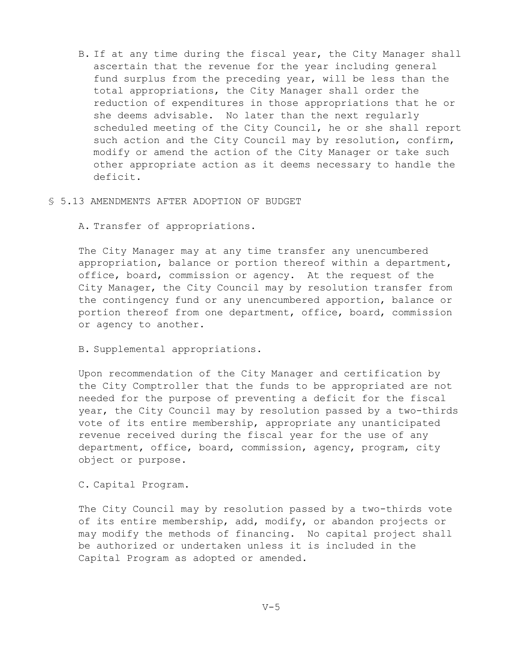B. If at any time during the fiscal year, the City Manager shall ascertain that the revenue for the year including general fund surplus from the preceding year, will be less than the total appropriations, the City Manager shall order the reduction of expenditures in those appropriations that he or she deems advisable. No later than the next regularly scheduled meeting of the City Council, he or she shall report such action and the City Council may by resolution, confirm, modify or amend the action of the City Manager or take such other appropriate action as it deems necessary to handle the deficit.

#### § 5.13 AMENDMENTS AFTER ADOPTION OF BUDGET

A. Transfer of appropriations.

The City Manager may at any time transfer any unencumbered appropriation, balance or portion thereof within a department, office, board, commission or agency. At the request of the City Manager, the City Council may by resolution transfer from the contingency fund or any unencumbered apportion, balance or portion thereof from one department, office, board, commission or agency to another.

#### B. Supplemental appropriations.

Upon recommendation of the City Manager and certification by the City Comptroller that the funds to be appropriated are not needed for the purpose of preventing a deficit for the fiscal year, the City Council may by resolution passed by a two-thirds vote of its entire membership, appropriate any unanticipated revenue received during the fiscal year for the use of any department, office, board, commission, agency, program, city object or purpose.

## C. Capital Program.

The City Council may by resolution passed by a two-thirds vote of its entire membership, add, modify, or abandon projects or may modify the methods of financing. No capital project shall be authorized or undertaken unless it is included in the Capital Program as adopted or amended.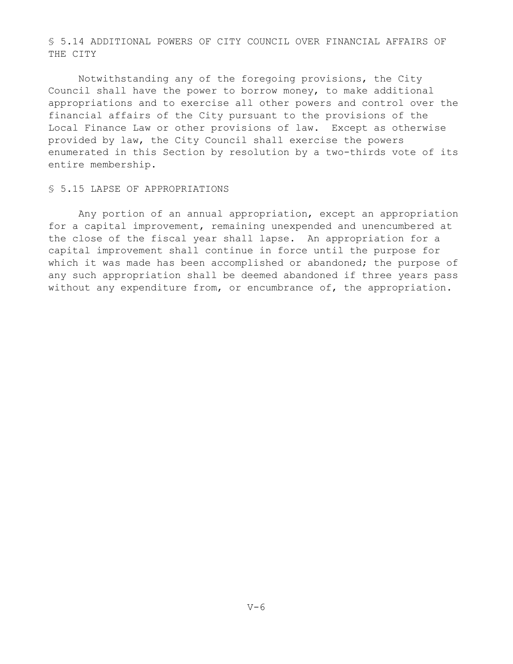§ 5.14 ADDITIONAL POWERS OF CITY COUNCIL OVER FINANCIAL AFFAIRS OF THE CITY

Notwithstanding any of the foregoing provisions, the City Council shall have the power to borrow money, to make additional appropriations and to exercise all other powers and control over the financial affairs of the City pursuant to the provisions of the Local Finance Law or other provisions of law. Except as otherwise provided by law, the City Council shall exercise the powers enumerated in this Section by resolution by a two-thirds vote of its entire membership.

## § 5.15 LAPSE OF APPROPRIATIONS

Any portion of an annual appropriation, except an appropriation for a capital improvement, remaining unexpended and unencumbered at the close of the fiscal year shall lapse. An appropriation for a capital improvement shall continue in force until the purpose for which it was made has been accomplished or abandoned; the purpose of any such appropriation shall be deemed abandoned if three years pass without any expenditure from, or encumbrance of, the appropriation.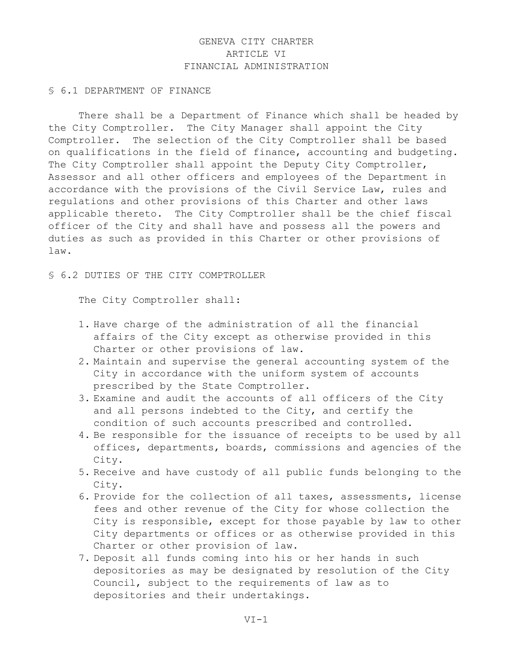# GENEVA CITY CHARTER ARTICLE VI FINANCIAL ADMINISTRATION

#### § 6.1 DEPARTMENT OF FINANCE

There shall be a Department of Finance which shall be headed by the City Comptroller. The City Manager shall appoint the City Comptroller. The selection of the City Comptroller shall be based on qualifications in the field of finance, accounting and budgeting. The City Comptroller shall appoint the Deputy City Comptroller, Assessor and all other officers and employees of the Department in accordance with the provisions of the Civil Service Law, rules and regulations and other provisions of this Charter and other laws applicable thereto. The City Comptroller shall be the chief fiscal officer of the City and shall have and possess all the powers and duties as such as provided in this Charter or other provisions of law.

§ 6.2 DUTIES OF THE CITY COMPTROLLER

The City Comptroller shall:

- 1. Have charge of the administration of all the financial affairs of the City except as otherwise provided in this Charter or other provisions of law.
- 2. Maintain and supervise the general accounting system of the City in accordance with the uniform system of accounts prescribed by the State Comptroller.
- 3. Examine and audit the accounts of all officers of the City and all persons indebted to the City, and certify the condition of such accounts prescribed and controlled.
- 4. Be responsible for the issuance of receipts to be used by all offices, departments, boards, commissions and agencies of the City.
- 5. Receive and have custody of all public funds belonging to the City.
- 6. Provide for the collection of all taxes, assessments, license fees and other revenue of the City for whose collection the City is responsible, except for those payable by law to other City departments or offices or as otherwise provided in this Charter or other provision of law.
- 7. Deposit all funds coming into his or her hands in such depositories as may be designated by resolution of the City Council, subject to the requirements of law as to depositories and their undertakings.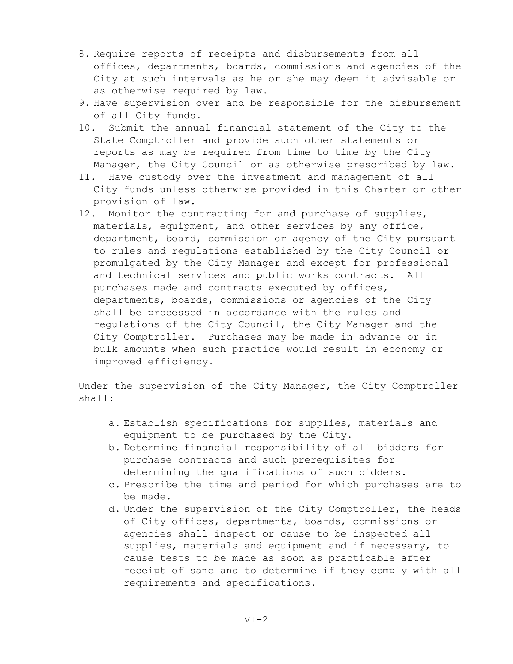- 8. Require reports of receipts and disbursements from all offices, departments, boards, commissions and agencies of the City at such intervals as he or she may deem it advisable or as otherwise required by law.
- 9. Have supervision over and be responsible for the disbursement of all City funds.
- 10. Submit the annual financial statement of the City to the State Comptroller and provide such other statements or reports as may be required from time to time by the City Manager, the City Council or as otherwise prescribed by law.
- 11. Have custody over the investment and management of all City funds unless otherwise provided in this Charter or other provision of law.
- 12. Monitor the contracting for and purchase of supplies, materials, equipment, and other services by any office, department, board, commission or agency of the City pursuant to rules and regulations established by the City Council or promulgated by the City Manager and except for professional and technical services and public works contracts. All purchases made and contracts executed by offices, departments, boards, commissions or agencies of the City shall be processed in accordance with the rules and regulations of the City Council, the City Manager and the City Comptroller. Purchases may be made in advance or in bulk amounts when such practice would result in economy or improved efficiency.

Under the supervision of the City Manager, the City Comptroller shall:

- a. Establish specifications for supplies, materials and equipment to be purchased by the City.
- b. Determine financial responsibility of all bidders for purchase contracts and such prerequisites for determining the qualifications of such bidders.
- c. Prescribe the time and period for which purchases are to be made.
- d. Under the supervision of the City Comptroller, the heads of City offices, departments, boards, commissions or agencies shall inspect or cause to be inspected all supplies, materials and equipment and if necessary, to cause tests to be made as soon as practicable after receipt of same and to determine if they comply with all requirements and specifications.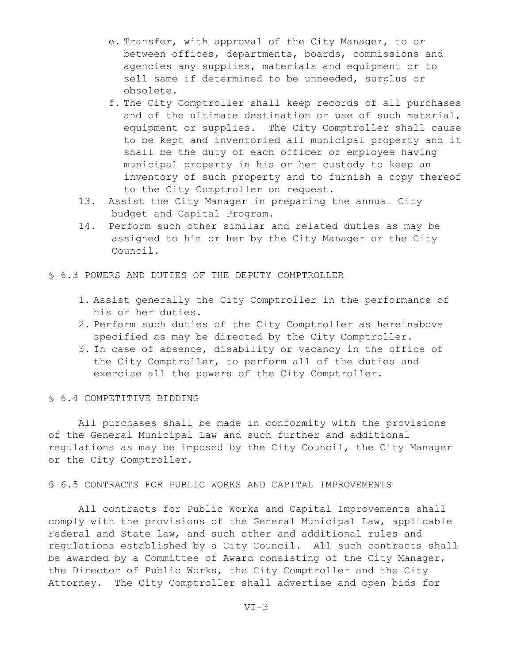- e. Transfer, with approval of the City Manager, to or between offices, departments, boards, commissions and agencies any supplies, materials and equipment or to sell same if determined to be unneeded, surplus or obsolete.
- f. The City Comptroller shall keep records of all purchases and of the ultimate destination or use of such material, equipment or supplies. The City Comptroller shall cause to be kept and inventoried all municipal property and it shall be the duty of each officer or employee having municipal property in his or her custody to keep an inventory of such property and to furnish a copy thereof to the City Comptroller on request.
- 13. Assist the City Manager in preparing the annual City budget and Capital Program.
- 14. Perform such other similar and related duties as may be assigned to him or her by the City Manager or the City Council.
- § 6.3 POWERS AND DUTIES OF THE DEPUTY COMPTROLLER
	- 1. Assist generally the City Comptroller in the performance of his or her duties.
	- 2. Perform such duties of the City Comptroller as hereinabove specified as may be directed by the City Comptroller.
	- 3. In case of absence, disability or vacancy in the office of the City Comptroller, to perform all of the duties and exercise all the powers of the City Comptroller.

## § 6.4 COMPETITIVE BIDDING

All purchases shall be made in conformity with the provisions of the General Municipal Law and such further and additional regulations as may be imposed by the City Council, the City Manager or the City Comptroller.

## § 6.5 CONTRACTS FOR PUBLIC WORKS AND CAPITAL IMPROVEMENTS

All contracts for Public Works and Capital Improvements shall comply with the provisions of the General Municipal Law, applicable Federal and State law, and such other and additional rules and regulations established by a City Council. All such contracts shall be awarded by a Committee of Award consisting of the City Manager, the Director of Public Works, the City Comptroller and the City Attorney. The City Comptroller shall advertise and open bids for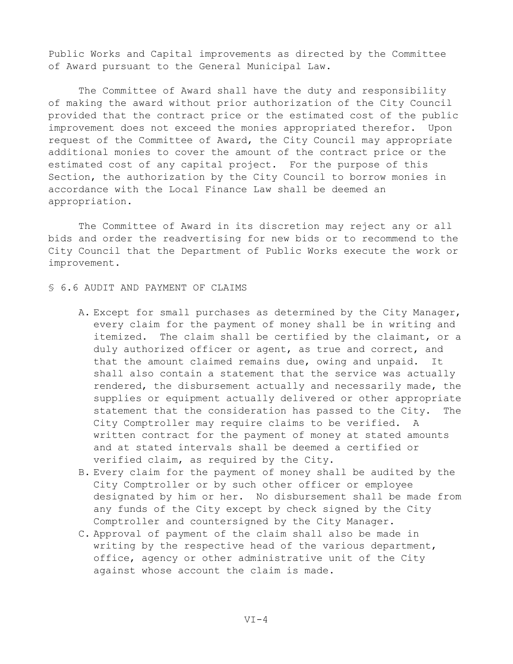Public Works and Capital improvements as directed by the Committee of Award pursuant to the General Municipal Law.

The Committee of Award shall have the duty and responsibility of making the award without prior authorization of the City Council provided that the contract price or the estimated cost of the public improvement does not exceed the monies appropriated therefor. Upon request of the Committee of Award, the City Council may appropriate additional monies to cover the amount of the contract price or the estimated cost of any capital project. For the purpose of this Section, the authorization by the City Council to borrow monies in accordance with the Local Finance Law shall be deemed an appropriation.

The Committee of Award in its discretion may reject any or all bids and order the readvertising for new bids or to recommend to the City Council that the Department of Public Works execute the work or improvement.

## § 6.6 AUDIT AND PAYMENT OF CLAIMS

- A. Except for small purchases as determined by the City Manager, every claim for the payment of money shall be in writing and itemized. The claim shall be certified by the claimant, or a duly authorized officer or agent, as true and correct, and that the amount claimed remains due, owing and unpaid. It shall also contain a statement that the service was actually rendered, the disbursement actually and necessarily made, the supplies or equipment actually delivered or other appropriate statement that the consideration has passed to the City. The City Comptroller may require claims to be verified. A written contract for the payment of money at stated amounts and at stated intervals shall be deemed a certified or verified claim, as required by the City.
- B. Every claim for the payment of money shall be audited by the City Comptroller or by such other officer or employee designated by him or her. No disbursement shall be made from any funds of the City except by check signed by the City Comptroller and countersigned by the City Manager.
- C. Approval of payment of the claim shall also be made in writing by the respective head of the various department, office, agency or other administrative unit of the City against whose account the claim is made.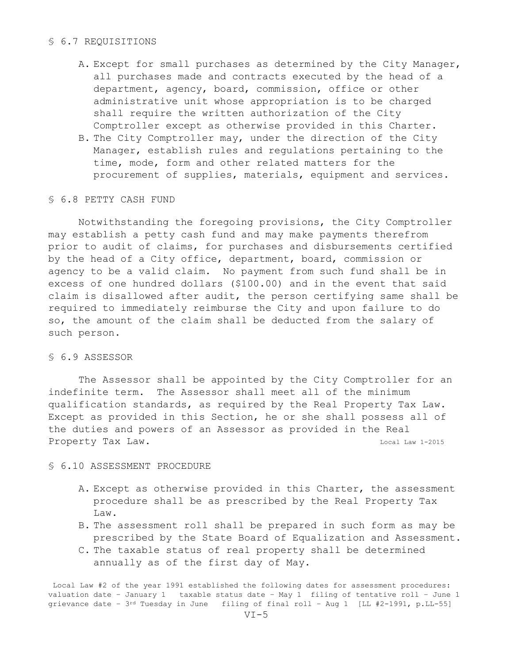### § 6.7 REQUISITIONS

- A. Except for small purchases as determined by the City Manager, all purchases made and contracts executed by the head of a department, agency, board, commission, office or other administrative unit whose appropriation is to be charged shall require the written authorization of the City Comptroller except as otherwise provided in this Charter.
- B. The City Comptroller may, under the direction of the City Manager, establish rules and regulations pertaining to the time, mode, form and other related matters for the procurement of supplies, materials, equipment and services.

## § 6.8 PETTY CASH FUND

Notwithstanding the foregoing provisions, the City Comptroller may establish a petty cash fund and may make payments therefrom prior to audit of claims, for purchases and disbursements certified by the head of a City office, department, board, commission or agency to be a valid claim. No payment from such fund shall be in excess of one hundred dollars (\$100.00) and in the event that said claim is disallowed after audit, the person certifying same shall be required to immediately reimburse the City and upon failure to do so, the amount of the claim shall be deducted from the salary of such person.

# § 6.9 ASSESSOR

The Assessor shall be appointed by the City Comptroller for an indefinite term. The Assessor shall meet all of the minimum qualification standards, as required by the Real Property Tax Law. Except as provided in this Section, he or she shall possess all of the duties and powers of an Assessor as provided in the Real Property Tax Law. The contract of the contract of the contract of the contract of the contract of the contract of the contract of the contract of the contract of the contract of the contract of the contract of the contract

## § 6.10 ASSESSMENT PROCEDURE

- A. Except as otherwise provided in this Charter, the assessment procedure shall be as prescribed by the Real Property Tax Law.
- B. The assessment roll shall be prepared in such form as may be prescribed by the State Board of Equalization and Assessment.
- C. The taxable status of real property shall be determined annually as of the first day of May.

Local Law #2 of the year 1991 established the following dates for assessment procedures: valuation date – January 1 taxable status date – May 1 filing of tentative roll – June 1 grievance date – 3rd Tuesday in June filing of final roll – Aug 1 [LL #2-1991, p.LL-55]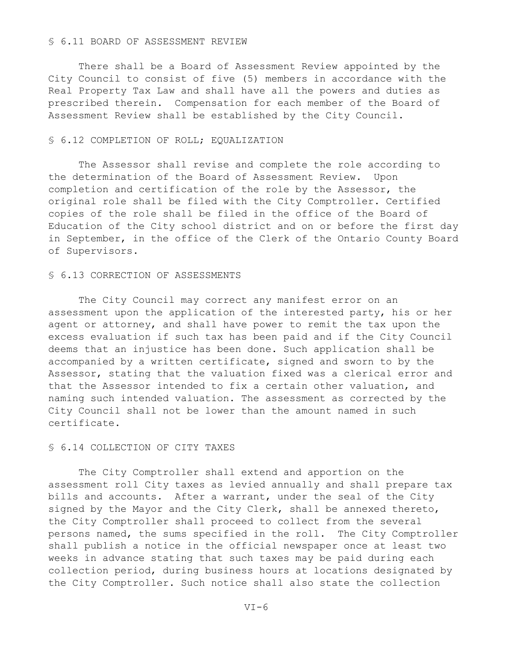### § 6.11 BOARD OF ASSESSMENT REVIEW

There shall be a Board of Assessment Review appointed by the City Council to consist of five (5) members in accordance with the Real Property Tax Law and shall have all the powers and duties as prescribed therein. Compensation for each member of the Board of Assessment Review shall be established by the City Council.

#### § 6.12 COMPLETION OF ROLL; EQUALIZATION

The Assessor shall revise and complete the role according to the determination of the Board of Assessment Review. Upon completion and certification of the role by the Assessor, the original role shall be filed with the City Comptroller. Certified copies of the role shall be filed in the office of the Board of Education of the City school district and on or before the first day in September, in the office of the Clerk of the Ontario County Board of Supervisors.

#### § 6.13 CORRECTION OF ASSESSMENTS

The City Council may correct any manifest error on an assessment upon the application of the interested party, his or her agent or attorney, and shall have power to remit the tax upon the excess evaluation if such tax has been paid and if the City Council deems that an injustice has been done. Such application shall be accompanied by a written certificate, signed and sworn to by the Assessor, stating that the valuation fixed was a clerical error and that the Assessor intended to fix a certain other valuation, and naming such intended valuation. The assessment as corrected by the City Council shall not be lower than the amount named in such certificate.

# § 6.14 COLLECTION OF CITY TAXES

The City Comptroller shall extend and apportion on the assessment roll City taxes as levied annually and shall prepare tax bills and accounts. After a warrant, under the seal of the City signed by the Mayor and the City Clerk, shall be annexed thereto, the City Comptroller shall proceed to collect from the several persons named, the sums specified in the roll. The City Comptroller shall publish a notice in the official newspaper once at least two weeks in advance stating that such taxes may be paid during each collection period, during business hours at locations designated by the City Comptroller. Such notice shall also state the collection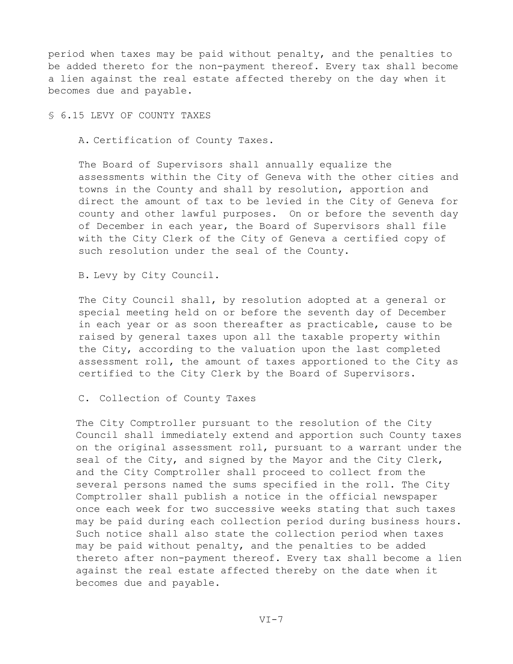period when taxes may be paid without penalty, and the penalties to be added thereto for the non-payment thereof. Every tax shall become a lien against the real estate affected thereby on the day when it becomes due and payable.

§ 6.15 LEVY OF COUNTY TAXES

A. Certification of County Taxes.

The Board of Supervisors shall annually equalize the assessments within the City of Geneva with the other cities and towns in the County and shall by resolution, apportion and direct the amount of tax to be levied in the City of Geneva for county and other lawful purposes. On or before the seventh day of December in each year, the Board of Supervisors shall file with the City Clerk of the City of Geneva a certified copy of such resolution under the seal of the County.

B. Levy by City Council.

The City Council shall, by resolution adopted at a general or special meeting held on or before the seventh day of December in each year or as soon thereafter as practicable, cause to be raised by general taxes upon all the taxable property within the City, according to the valuation upon the last completed assessment roll, the amount of taxes apportioned to the City as certified to the City Clerk by the Board of Supervisors.

C. Collection of County Taxes

The City Comptroller pursuant to the resolution of the City Council shall immediately extend and apportion such County taxes on the original assessment roll, pursuant to a warrant under the seal of the City, and signed by the Mayor and the City Clerk, and the City Comptroller shall proceed to collect from the several persons named the sums specified in the roll. The City Comptroller shall publish a notice in the official newspaper once each week for two successive weeks stating that such taxes may be paid during each collection period during business hours. Such notice shall also state the collection period when taxes may be paid without penalty, and the penalties to be added thereto after non-payment thereof. Every tax shall become a lien against the real estate affected thereby on the date when it becomes due and payable.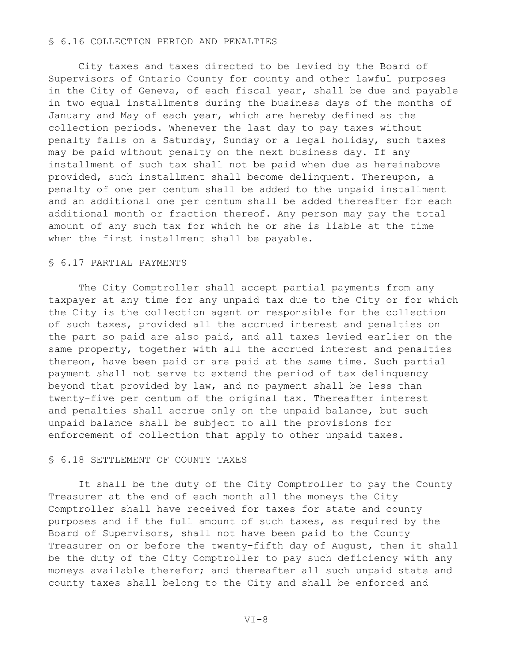### § 6.16 COLLECTION PERIOD AND PENALTIES

 City taxes and taxes directed to be levied by the Board of Supervisors of Ontario County for county and other lawful purposes in the City of Geneva, of each fiscal year, shall be due and payable in two equal installments during the business days of the months of January and May of each year, which are hereby defined as the collection periods. Whenever the last day to pay taxes without penalty falls on a Saturday, Sunday or a legal holiday, such taxes may be paid without penalty on the next business day. If any installment of such tax shall not be paid when due as hereinabove provided, such installment shall become delinquent. Thereupon, a penalty of one per centum shall be added to the unpaid installment and an additional one per centum shall be added thereafter for each additional month or fraction thereof. Any person may pay the total amount of any such tax for which he or she is liable at the time when the first installment shall be payable.

## § 6.17 PARTIAL PAYMENTS

 The City Comptroller shall accept partial payments from any taxpayer at any time for any unpaid tax due to the City or for which the City is the collection agent or responsible for the collection of such taxes, provided all the accrued interest and penalties on the part so paid are also paid, and all taxes levied earlier on the same property, together with all the accrued interest and penalties thereon, have been paid or are paid at the same time. Such partial payment shall not serve to extend the period of tax delinquency beyond that provided by law, and no payment shall be less than twenty-five per centum of the original tax. Thereafter interest and penalties shall accrue only on the unpaid balance, but such unpaid balance shall be subject to all the provisions for enforcement of collection that apply to other unpaid taxes.

### § 6.18 SETTLEMENT OF COUNTY TAXES

 It shall be the duty of the City Comptroller to pay the County Treasurer at the end of each month all the moneys the City Comptroller shall have received for taxes for state and county purposes and if the full amount of such taxes, as required by the Board of Supervisors, shall not have been paid to the County Treasurer on or before the twenty-fifth day of August, then it shall be the duty of the City Comptroller to pay such deficiency with any moneys available therefor; and thereafter all such unpaid state and county taxes shall belong to the City and shall be enforced and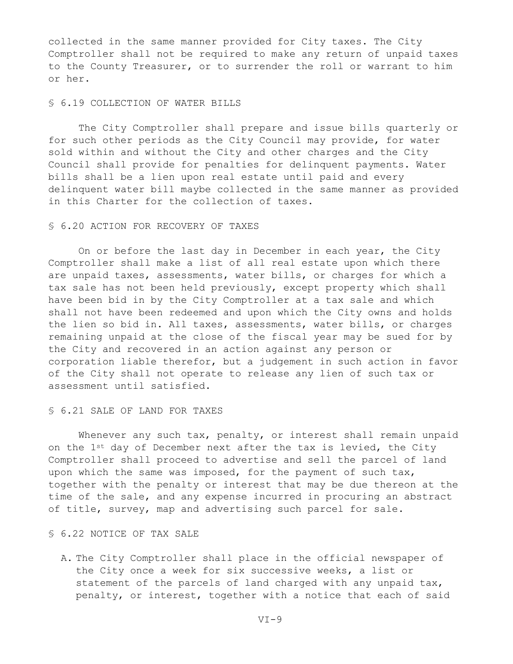collected in the same manner provided for City taxes. The City Comptroller shall not be required to make any return of unpaid taxes to the County Treasurer, or to surrender the roll or warrant to him or her.

## § 6.19 COLLECTION OF WATER BILLS

 The City Comptroller shall prepare and issue bills quarterly or for such other periods as the City Council may provide, for water sold within and without the City and other charges and the City Council shall provide for penalties for delinquent payments. Water bills shall be a lien upon real estate until paid and every delinquent water bill maybe collected in the same manner as provided in this Charter for the collection of taxes.

# § 6.20 ACTION FOR RECOVERY OF TAXES

 On or before the last day in December in each year, the City Comptroller shall make a list of all real estate upon which there are unpaid taxes, assessments, water bills, or charges for which a tax sale has not been held previously, except property which shall have been bid in by the City Comptroller at a tax sale and which shall not have been redeemed and upon which the City owns and holds the lien so bid in. All taxes, assessments, water bills, or charges remaining unpaid at the close of the fiscal year may be sued for by the City and recovered in an action against any person or corporation liable therefor, but a judgement in such action in favor of the City shall not operate to release any lien of such tax or assessment until satisfied.

## § 6.21 SALE OF LAND FOR TAXES

Whenever any such tax, penalty, or interest shall remain unpaid on the 1<sup>st</sup> day of December next after the tax is levied, the City Comptroller shall proceed to advertise and sell the parcel of land upon which the same was imposed, for the payment of such tax, together with the penalty or interest that may be due thereon at the time of the sale, and any expense incurred in procuring an abstract of title, survey, map and advertising such parcel for sale.

### § 6.22 NOTICE OF TAX SALE

A. The City Comptroller shall place in the official newspaper of the City once a week for six successive weeks, a list or statement of the parcels of land charged with any unpaid tax, penalty, or interest, together with a notice that each of said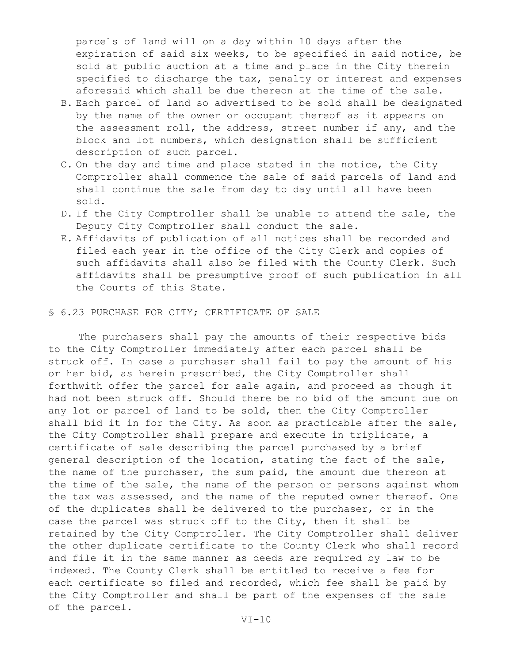parcels of land will on a day within 10 days after the expiration of said six weeks, to be specified in said notice, be sold at public auction at a time and place in the City therein specified to discharge the tax, penalty or interest and expenses aforesaid which shall be due thereon at the time of the sale.

- B. Each parcel of land so advertised to be sold shall be designated by the name of the owner or occupant thereof as it appears on the assessment roll, the address, street number if any, and the block and lot numbers, which designation shall be sufficient description of such parcel.
- C. On the day and time and place stated in the notice, the City Comptroller shall commence the sale of said parcels of land and shall continue the sale from day to day until all have been sold.
- D. If the City Comptroller shall be unable to attend the sale, the Deputy City Comptroller shall conduct the sale.
- E. Affidavits of publication of all notices shall be recorded and filed each year in the office of the City Clerk and copies of such affidavits shall also be filed with the County Clerk. Such affidavits shall be presumptive proof of such publication in all the Courts of this State.

### § 6.23 PURCHASE FOR CITY; CERTIFICATE OF SALE

 The purchasers shall pay the amounts of their respective bids to the City Comptroller immediately after each parcel shall be struck off. In case a purchaser shall fail to pay the amount of his or her bid, as herein prescribed, the City Comptroller shall forthwith offer the parcel for sale again, and proceed as though it had not been struck off. Should there be no bid of the amount due on any lot or parcel of land to be sold, then the City Comptroller shall bid it in for the City. As soon as practicable after the sale, the City Comptroller shall prepare and execute in triplicate, a certificate of sale describing the parcel purchased by a brief general description of the location, stating the fact of the sale, the name of the purchaser, the sum paid, the amount due thereon at the time of the sale, the name of the person or persons against whom the tax was assessed, and the name of the reputed owner thereof. One of the duplicates shall be delivered to the purchaser, or in the case the parcel was struck off to the City, then it shall be retained by the City Comptroller. The City Comptroller shall deliver the other duplicate certificate to the County Clerk who shall record and file it in the same manner as deeds are required by law to be indexed. The County Clerk shall be entitled to receive a fee for each certificate so filed and recorded, which fee shall be paid by the City Comptroller and shall be part of the expenses of the sale of the parcel.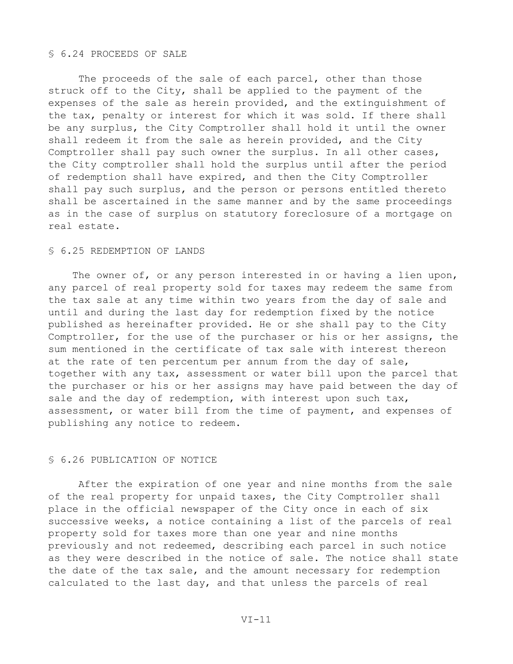### § 6.24 PROCEEDS OF SALE

The proceeds of the sale of each parcel, other than those struck off to the City, shall be applied to the payment of the expenses of the sale as herein provided, and the extinguishment of the tax, penalty or interest for which it was sold. If there shall be any surplus, the City Comptroller shall hold it until the owner shall redeem it from the sale as herein provided, and the City Comptroller shall pay such owner the surplus. In all other cases, the City comptroller shall hold the surplus until after the period of redemption shall have expired, and then the City Comptroller shall pay such surplus, and the person or persons entitled thereto shall be ascertained in the same manner and by the same proceedings as in the case of surplus on statutory foreclosure of a mortgage on real estate.

## § 6.25 REDEMPTION OF LANDS

The owner of, or any person interested in or having a lien upon, any parcel of real property sold for taxes may redeem the same from the tax sale at any time within two years from the day of sale and until and during the last day for redemption fixed by the notice published as hereinafter provided. He or she shall pay to the City Comptroller, for the use of the purchaser or his or her assigns, the sum mentioned in the certificate of tax sale with interest thereon at the rate of ten percentum per annum from the day of sale, together with any tax, assessment or water bill upon the parcel that the purchaser or his or her assigns may have paid between the day of sale and the day of redemption, with interest upon such tax, assessment, or water bill from the time of payment, and expenses of publishing any notice to redeem.

### § 6.26 PUBLICATION OF NOTICE

 After the expiration of one year and nine months from the sale of the real property for unpaid taxes, the City Comptroller shall place in the official newspaper of the City once in each of six successive weeks, a notice containing a list of the parcels of real property sold for taxes more than one year and nine months previously and not redeemed, describing each parcel in such notice as they were described in the notice of sale. The notice shall state the date of the tax sale, and the amount necessary for redemption calculated to the last day, and that unless the parcels of real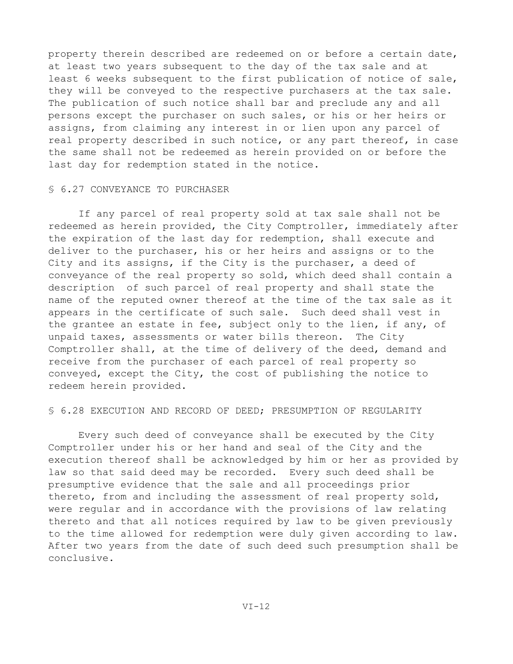property therein described are redeemed on or before a certain date, at least two years subsequent to the day of the tax sale and at least 6 weeks subsequent to the first publication of notice of sale, they will be conveyed to the respective purchasers at the tax sale. The publication of such notice shall bar and preclude any and all persons except the purchaser on such sales, or his or her heirs or assigns, from claiming any interest in or lien upon any parcel of real property described in such notice, or any part thereof, in case the same shall not be redeemed as herein provided on or before the last day for redemption stated in the notice.

# § 6.27 CONVEYANCE TO PURCHASER

If any parcel of real property sold at tax sale shall not be redeemed as herein provided, the City Comptroller, immediately after the expiration of the last day for redemption, shall execute and deliver to the purchaser, his or her heirs and assigns or to the City and its assigns, if the City is the purchaser, a deed of conveyance of the real property so sold, which deed shall contain a description of such parcel of real property and shall state the name of the reputed owner thereof at the time of the tax sale as it appears in the certificate of such sale. Such deed shall vest in the grantee an estate in fee, subject only to the lien, if any, of unpaid taxes, assessments or water bills thereon. The City Comptroller shall, at the time of delivery of the deed, demand and receive from the purchaser of each parcel of real property so conveyed, except the City, the cost of publishing the notice to redeem herein provided.

# § 6.28 EXECUTION AND RECORD OF DEED; PRESUMPTION OF REGULARITY

Every such deed of conveyance shall be executed by the City Comptroller under his or her hand and seal of the City and the execution thereof shall be acknowledged by him or her as provided by law so that said deed may be recorded. Every such deed shall be presumptive evidence that the sale and all proceedings prior thereto, from and including the assessment of real property sold, were regular and in accordance with the provisions of law relating thereto and that all notices required by law to be given previously to the time allowed for redemption were duly given according to law. After two years from the date of such deed such presumption shall be conclusive.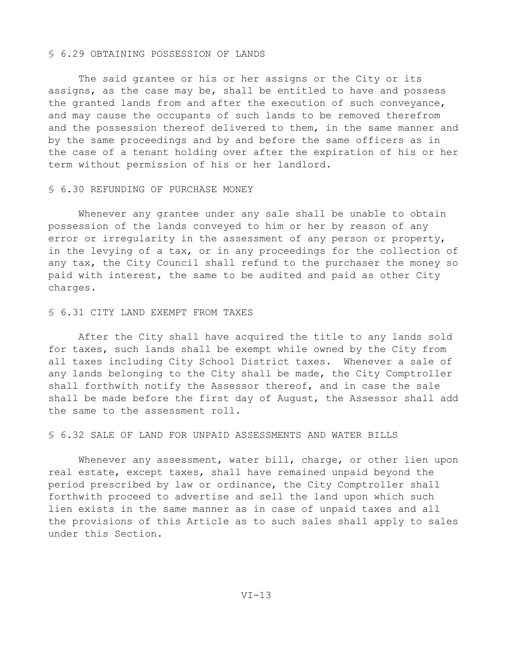#### § 6.29 OBTAINING POSSESSION OF LANDS

The said grantee or his or her assigns or the City or its assigns, as the case may be, shall be entitled to have and possess the granted lands from and after the execution of such conveyance, and may cause the occupants of such lands to be removed therefrom and the possession thereof delivered to them, in the same manner and by the same proceedings and by and before the same officers as in the case of a tenant holding over after the expiration of his or her term without permission of his or her landlord.

## § 6.30 REFUNDING OF PURCHASE MONEY

Whenever any grantee under any sale shall be unable to obtain possession of the lands conveyed to him or her by reason of any error or irregularity in the assessment of any person or property, in the levying of a tax, or in any proceedings for the collection of any tax, the City Council shall refund to the purchaser the money so paid with interest, the same to be audited and paid as other City charges.

#### § 6.31 CITY LAND EXEMPT FROM TAXES

After the City shall have acquired the title to any lands sold for taxes, such lands shall be exempt while owned by the City from all taxes including City School District taxes. Whenever a sale of any lands belonging to the City shall be made, the City Comptroller shall forthwith notify the Assessor thereof, and in case the sale shall be made before the first day of August, the Assessor shall add the same to the assessment roll.

## § 6.32 SALE OF LAND FOR UNPAID ASSESSMENTS AND WATER BILLS

Whenever any assessment, water bill, charge, or other lien upon real estate, except taxes, shall have remained unpaid beyond the period prescribed by law or ordinance, the City Comptroller shall forthwith proceed to advertise and sell the land upon which such lien exists in the same manner as in case of unpaid taxes and all the provisions of this Article as to such sales shall apply to sales under this Section.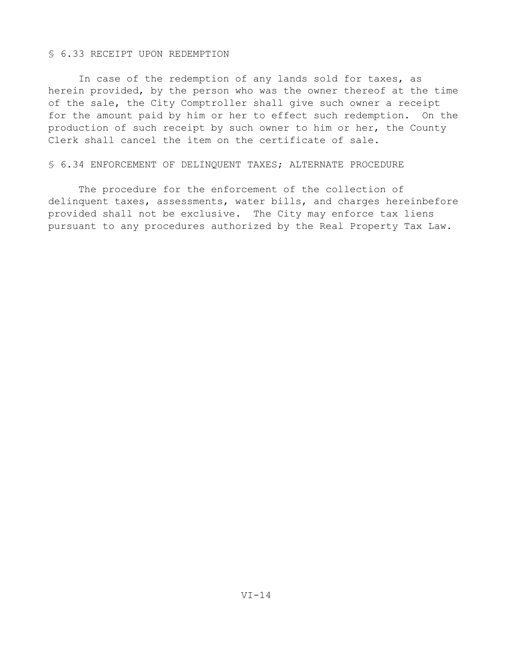## § 6.33 RECEIPT UPON REDEMPTION

In case of the redemption of any lands sold for taxes, as herein provided, by the person who was the owner thereof at the time of the sale, the City Comptroller shall give such owner a receipt for the amount paid by him or her to effect such redemption. On the production of such receipt by such owner to him or her, the County Clerk shall cancel the item on the certificate of sale.

#### § 6.34 ENFORCEMENT OF DELINQUENT TAXES; ALTERNATE PROCEDURE

The procedure for the enforcement of the collection of delinquent taxes, assessments, water bills, and charges hereinbefore provided shall not be exclusive. The City may enforce tax liens pursuant to any procedures authorized by the Real Property Tax Law.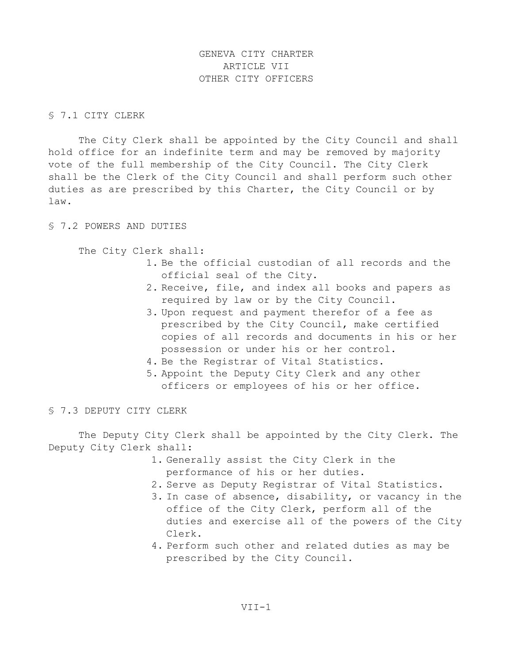GENEVA CITY CHARTER ARTICLE VII OTHER CITY OFFICERS

# § 7.1 CITY CLERK

 The City Clerk shall be appointed by the City Council and shall hold office for an indefinite term and may be removed by majority vote of the full membership of the City Council. The City Clerk shall be the Clerk of the City Council and shall perform such other duties as are prescribed by this Charter, the City Council or by law.

§ 7.2 POWERS AND DUTIES

The City Clerk shall:

- 1. Be the official custodian of all records and the official seal of the City.
- 2. Receive, file, and index all books and papers as required by law or by the City Council.
- 3. Upon request and payment therefor of a fee as prescribed by the City Council, make certified copies of all records and documents in his or her possession or under his or her control.
- 4. Be the Registrar of Vital Statistics.
- 5. Appoint the Deputy City Clerk and any other officers or employees of his or her office.

§ 7.3 DEPUTY CITY CLERK

 The Deputy City Clerk shall be appointed by the City Clerk. The Deputy City Clerk shall:

- 1. Generally assist the City Clerk in the performance of his or her duties.
- 2. Serve as Deputy Registrar of Vital Statistics.
- 3. In case of absence, disability, or vacancy in the office of the City Clerk, perform all of the duties and exercise all of the powers of the City Clerk.
- 4. Perform such other and related duties as may be prescribed by the City Council.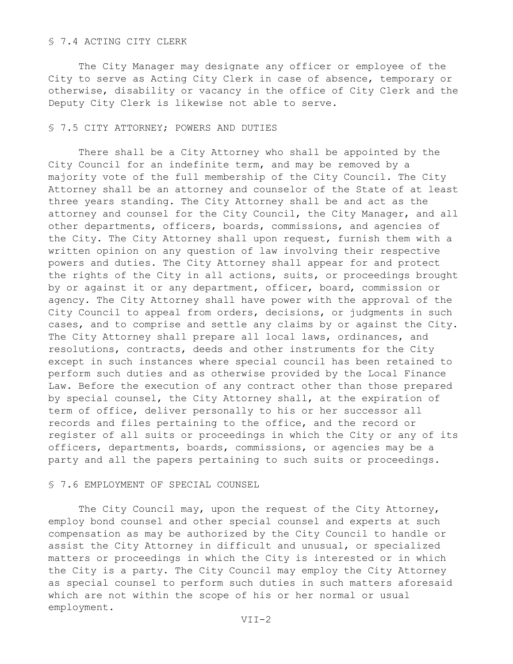## § 7.4 ACTING CITY CLERK

 The City Manager may designate any officer or employee of the City to serve as Acting City Clerk in case of absence, temporary or otherwise, disability or vacancy in the office of City Clerk and the Deputy City Clerk is likewise not able to serve.

#### § 7.5 CITY ATTORNEY; POWERS AND DUTIES

 There shall be a City Attorney who shall be appointed by the City Council for an indefinite term, and may be removed by a majority vote of the full membership of the City Council. The City Attorney shall be an attorney and counselor of the State of at least three years standing. The City Attorney shall be and act as the attorney and counsel for the City Council, the City Manager, and all other departments, officers, boards, commissions, and agencies of the City. The City Attorney shall upon request, furnish them with a written opinion on any question of law involving their respective powers and duties. The City Attorney shall appear for and protect the rights of the City in all actions, suits, or proceedings brought by or against it or any department, officer, board, commission or agency. The City Attorney shall have power with the approval of the City Council to appeal from orders, decisions, or judgments in such cases, and to comprise and settle any claims by or against the City. The City Attorney shall prepare all local laws, ordinances, and resolutions, contracts, deeds and other instruments for the City except in such instances where special council has been retained to perform such duties and as otherwise provided by the Local Finance Law. Before the execution of any contract other than those prepared by special counsel, the City Attorney shall, at the expiration of term of office, deliver personally to his or her successor all records and files pertaining to the office, and the record or register of all suits or proceedings in which the City or any of its officers, departments, boards, commissions, or agencies may be a party and all the papers pertaining to such suits or proceedings.

## § 7.6 EMPLOYMENT OF SPECIAL COUNSEL

The City Council may, upon the request of the City Attorney, employ bond counsel and other special counsel and experts at such compensation as may be authorized by the City Council to handle or assist the City Attorney in difficult and unusual, or specialized matters or proceedings in which the City is interested or in which the City is a party. The City Council may employ the City Attorney as special counsel to perform such duties in such matters aforesaid which are not within the scope of his or her normal or usual employment.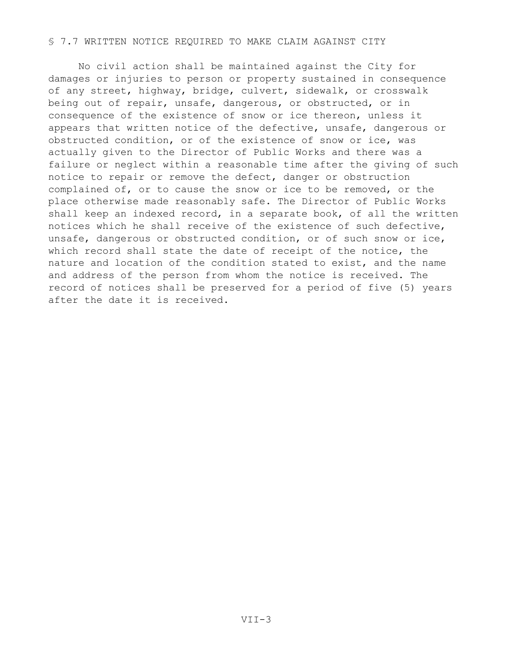## § 7.7 WRITTEN NOTICE REQUIRED TO MAKE CLAIM AGAINST CITY

 No civil action shall be maintained against the City for damages or injuries to person or property sustained in consequence of any street, highway, bridge, culvert, sidewalk, or crosswalk being out of repair, unsafe, dangerous, or obstructed, or in consequence of the existence of snow or ice thereon, unless it appears that written notice of the defective, unsafe, dangerous or obstructed condition, or of the existence of snow or ice, was actually given to the Director of Public Works and there was a failure or neglect within a reasonable time after the giving of such notice to repair or remove the defect, danger or obstruction complained of, or to cause the snow or ice to be removed, or the place otherwise made reasonably safe. The Director of Public Works shall keep an indexed record, in a separate book, of all the written notices which he shall receive of the existence of such defective, unsafe, dangerous or obstructed condition, or of such snow or ice, which record shall state the date of receipt of the notice, the nature and location of the condition stated to exist, and the name and address of the person from whom the notice is received. The record of notices shall be preserved for a period of five (5) years after the date it is received.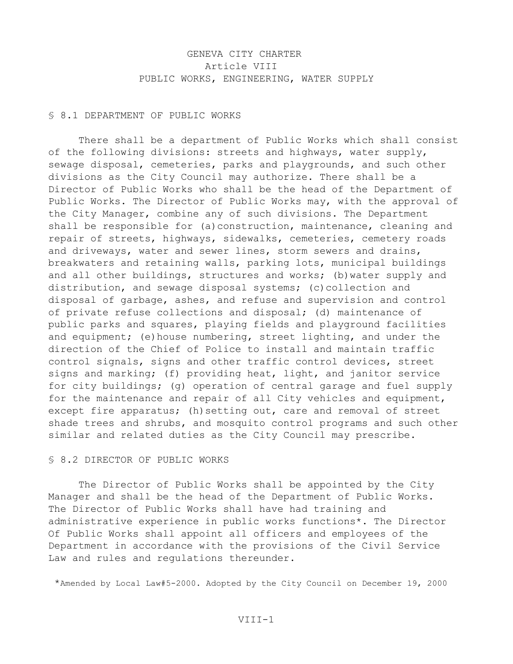# GENEVA CITY CHARTER Article VIII PUBLIC WORKS, ENGINEERING, WATER SUPPLY

## § 8.1 DEPARTMENT OF PUBLIC WORKS

 There shall be a department of Public Works which shall consist of the following divisions: streets and highways, water supply, sewage disposal, cemeteries, parks and playgrounds, and such other divisions as the City Council may authorize. There shall be a Director of Public Works who shall be the head of the Department of Public Works. The Director of Public Works may, with the approval of the City Manager, combine any of such divisions. The Department shall be responsible for (a)construction, maintenance, cleaning and repair of streets, highways, sidewalks, cemeteries, cemetery roads and driveways, water and sewer lines, storm sewers and drains, breakwaters and retaining walls, parking lots, municipal buildings and all other buildings, structures and works; (b)water supply and distribution, and sewage disposal systems; (c)collection and disposal of garbage, ashes, and refuse and supervision and control of private refuse collections and disposal; (d) maintenance of public parks and squares, playing fields and playground facilities and equipment; (e) house numbering, street lighting, and under the direction of the Chief of Police to install and maintain traffic control signals, signs and other traffic control devices, street signs and marking; (f) providing heat, light, and janitor service for city buildings; (g) operation of central garage and fuel supply for the maintenance and repair of all City vehicles and equipment, except fire apparatus; (h) setting out, care and removal of street shade trees and shrubs, and mosquito control programs and such other similar and related duties as the City Council may prescribe.

### § 8.2 DIRECTOR OF PUBLIC WORKS

 The Director of Public Works shall be appointed by the City Manager and shall be the head of the Department of Public Works. The Director of Public Works shall have had training and administrative experience in public works functions\*. The Director Of Public Works shall appoint all officers and employees of the Department in accordance with the provisions of the Civil Service Law and rules and regulations thereunder.

\*Amended by Local Law#5-2000. Adopted by the City Council on December 19, 2000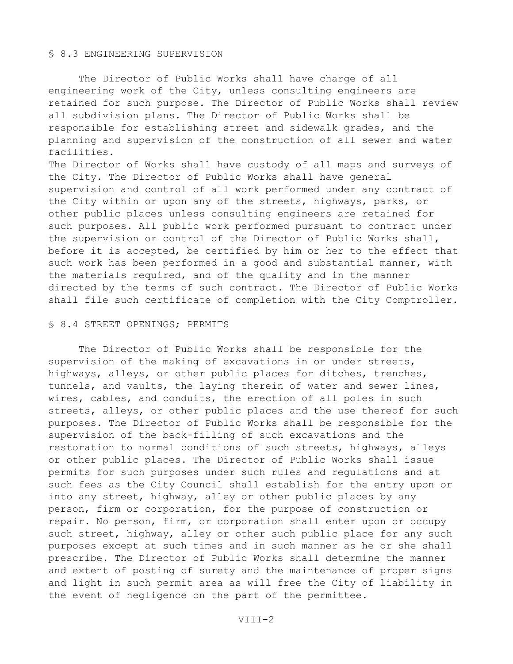### § 8.3 ENGINEERING SUPERVISION

 The Director of Public Works shall have charge of all engineering work of the City, unless consulting engineers are retained for such purpose. The Director of Public Works shall review all subdivision plans. The Director of Public Works shall be responsible for establishing street and sidewalk grades, and the planning and supervision of the construction of all sewer and water facilities.

The Director of Works shall have custody of all maps and surveys of the City. The Director of Public Works shall have general supervision and control of all work performed under any contract of the City within or upon any of the streets, highways, parks, or other public places unless consulting engineers are retained for such purposes. All public work performed pursuant to contract under the supervision or control of the Director of Public Works shall, before it is accepted, be certified by him or her to the effect that such work has been performed in a good and substantial manner, with the materials required, and of the quality and in the manner directed by the terms of such contract. The Director of Public Works shall file such certificate of completion with the City Comptroller.

## § 8.4 STREET OPENINGS; PERMITS

 The Director of Public Works shall be responsible for the supervision of the making of excavations in or under streets, highways, alleys, or other public places for ditches, trenches, tunnels, and vaults, the laying therein of water and sewer lines, wires, cables, and conduits, the erection of all poles in such streets, alleys, or other public places and the use thereof for such purposes. The Director of Public Works shall be responsible for the supervision of the back-filling of such excavations and the restoration to normal conditions of such streets, highways, alleys or other public places. The Director of Public Works shall issue permits for such purposes under such rules and regulations and at such fees as the City Council shall establish for the entry upon or into any street, highway, alley or other public places by any person, firm or corporation, for the purpose of construction or repair. No person, firm, or corporation shall enter upon or occupy such street, highway, alley or other such public place for any such purposes except at such times and in such manner as he or she shall prescribe. The Director of Public Works shall determine the manner and extent of posting of surety and the maintenance of proper signs and light in such permit area as will free the City of liability in the event of negligence on the part of the permittee.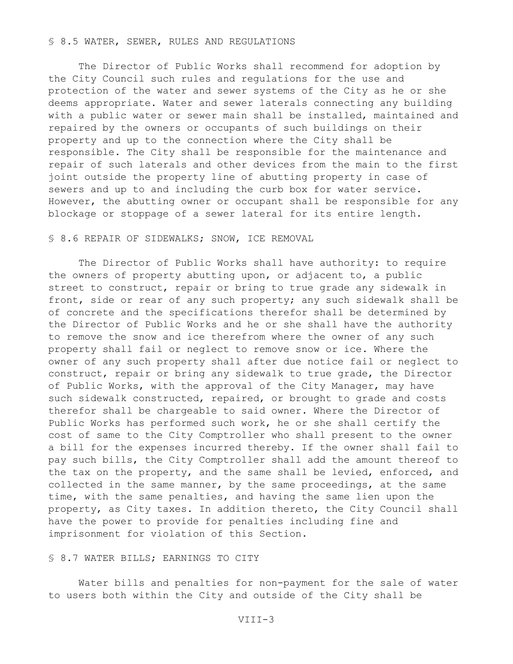## § 8.5 WATER, SEWER, RULES AND REGULATIONS

 The Director of Public Works shall recommend for adoption by the City Council such rules and regulations for the use and protection of the water and sewer systems of the City as he or she deems appropriate. Water and sewer laterals connecting any building with a public water or sewer main shall be installed, maintained and repaired by the owners or occupants of such buildings on their property and up to the connection where the City shall be responsible. The City shall be responsible for the maintenance and repair of such laterals and other devices from the main to the first joint outside the property line of abutting property in case of sewers and up to and including the curb box for water service. However, the abutting owner or occupant shall be responsible for any blockage or stoppage of a sewer lateral for its entire length.

#### § 8.6 REPAIR OF SIDEWALKS; SNOW, ICE REMOVAL

 The Director of Public Works shall have authority: to require the owners of property abutting upon, or adjacent to, a public street to construct, repair or bring to true grade any sidewalk in front, side or rear of any such property; any such sidewalk shall be of concrete and the specifications therefor shall be determined by the Director of Public Works and he or she shall have the authority to remove the snow and ice therefrom where the owner of any such property shall fail or neglect to remove snow or ice. Where the owner of any such property shall after due notice fail or neglect to construct, repair or bring any sidewalk to true grade, the Director of Public Works, with the approval of the City Manager, may have such sidewalk constructed, repaired, or brought to grade and costs therefor shall be chargeable to said owner. Where the Director of Public Works has performed such work, he or she shall certify the cost of same to the City Comptroller who shall present to the owner a bill for the expenses incurred thereby. If the owner shall fail to pay such bills, the City Comptroller shall add the amount thereof to the tax on the property, and the same shall be levied, enforced, and collected in the same manner, by the same proceedings, at the same time, with the same penalties, and having the same lien upon the property, as City taxes. In addition thereto, the City Council shall have the power to provide for penalties including fine and imprisonment for violation of this Section.

## § 8.7 WATER BILLS; EARNINGS TO CITY

 Water bills and penalties for non-payment for the sale of water to users both within the City and outside of the City shall be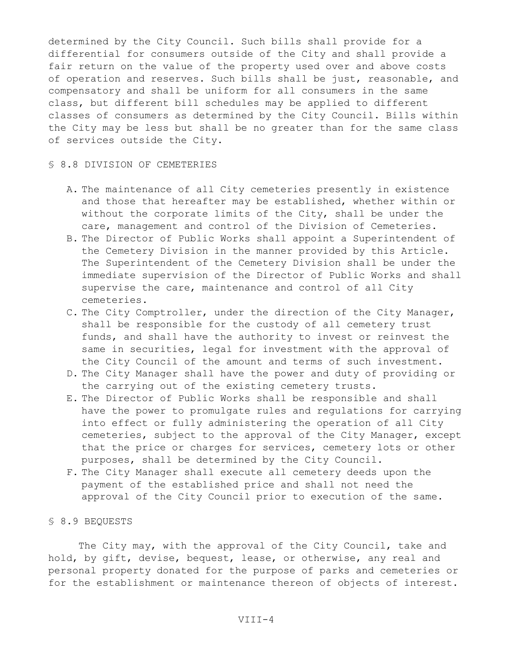determined by the City Council. Such bills shall provide for a differential for consumers outside of the City and shall provide a fair return on the value of the property used over and above costs of operation and reserves. Such bills shall be just, reasonable, and compensatory and shall be uniform for all consumers in the same class, but different bill schedules may be applied to different classes of consumers as determined by the City Council. Bills within the City may be less but shall be no greater than for the same class of services outside the City.

#### § 8.8 DIVISION OF CEMETERIES

- A. The maintenance of all City cemeteries presently in existence and those that hereafter may be established, whether within or without the corporate limits of the City, shall be under the care, management and control of the Division of Cemeteries.
- B. The Director of Public Works shall appoint a Superintendent of the Cemetery Division in the manner provided by this Article. The Superintendent of the Cemetery Division shall be under the immediate supervision of the Director of Public Works and shall supervise the care, maintenance and control of all City cemeteries.
- C. The City Comptroller, under the direction of the City Manager, shall be responsible for the custody of all cemetery trust funds, and shall have the authority to invest or reinvest the same in securities, legal for investment with the approval of the City Council of the amount and terms of such investment.
- D. The City Manager shall have the power and duty of providing or the carrying out of the existing cemetery trusts.
- E. The Director of Public Works shall be responsible and shall have the power to promulgate rules and regulations for carrying into effect or fully administering the operation of all City cemeteries, subject to the approval of the City Manager, except that the price or charges for services, cemetery lots or other purposes, shall be determined by the City Council.
- F. The City Manager shall execute all cemetery deeds upon the payment of the established price and shall not need the approval of the City Council prior to execution of the same.

# § 8.9 BEQUESTS

The City may, with the approval of the City Council, take and hold, by gift, devise, bequest, lease, or otherwise, any real and personal property donated for the purpose of parks and cemeteries or for the establishment or maintenance thereon of objects of interest.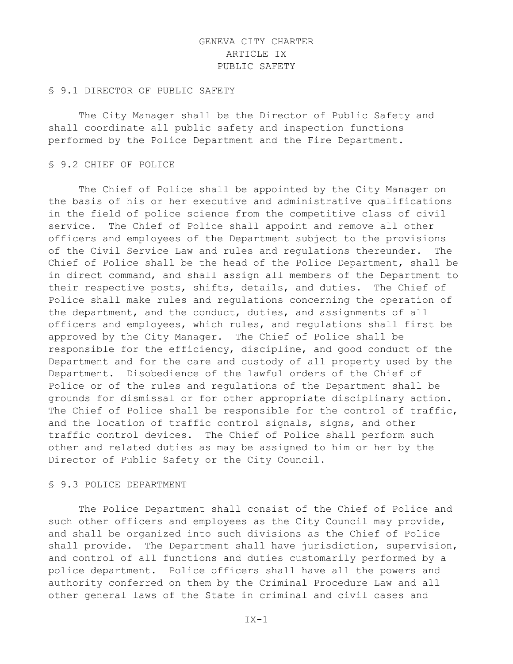# GENEVA CITY CHARTER ARTICLE IX PUBLIC SAFETY

### § 9.1 DIRECTOR OF PUBLIC SAFETY

The City Manager shall be the Director of Public Safety and shall coordinate all public safety and inspection functions performed by the Police Department and the Fire Department.

### § 9.2 CHIEF OF POLICE

The Chief of Police shall be appointed by the City Manager on the basis of his or her executive and administrative qualifications in the field of police science from the competitive class of civil service. The Chief of Police shall appoint and remove all other officers and employees of the Department subject to the provisions of the Civil Service Law and rules and regulations thereunder. The Chief of Police shall be the head of the Police Department, shall be in direct command, and shall assign all members of the Department to their respective posts, shifts, details, and duties. The Chief of Police shall make rules and regulations concerning the operation of the department, and the conduct, duties, and assignments of all officers and employees, which rules, and regulations shall first be approved by the City Manager. The Chief of Police shall be responsible for the efficiency, discipline, and good conduct of the Department and for the care and custody of all property used by the Department. Disobedience of the lawful orders of the Chief of Police or of the rules and regulations of the Department shall be grounds for dismissal or for other appropriate disciplinary action. The Chief of Police shall be responsible for the control of traffic, and the location of traffic control signals, signs, and other traffic control devices. The Chief of Police shall perform such other and related duties as may be assigned to him or her by the Director of Public Safety or the City Council.

## § 9.3 POLICE DEPARTMENT

The Police Department shall consist of the Chief of Police and such other officers and employees as the City Council may provide, and shall be organized into such divisions as the Chief of Police shall provide. The Department shall have jurisdiction, supervision, and control of all functions and duties customarily performed by a police department. Police officers shall have all the powers and authority conferred on them by the Criminal Procedure Law and all other general laws of the State in criminal and civil cases and

 $IX-1$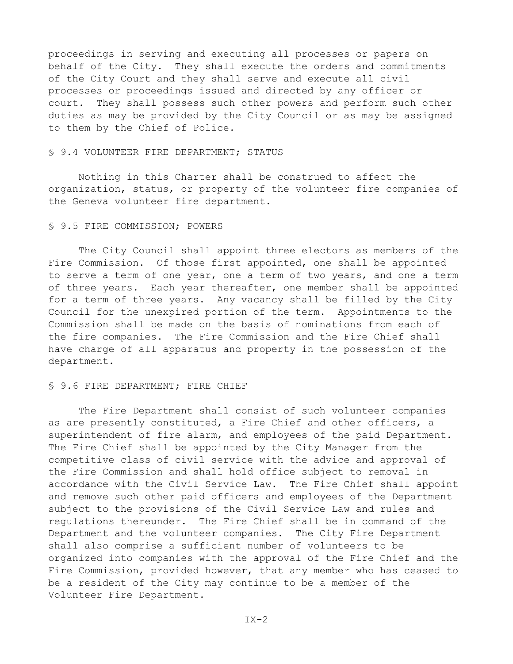proceedings in serving and executing all processes or papers on behalf of the City. They shall execute the orders and commitments of the City Court and they shall serve and execute all civil processes or proceedings issued and directed by any officer or court. They shall possess such other powers and perform such other duties as may be provided by the City Council or as may be assigned to them by the Chief of Police.

## § 9.4 VOLUNTEER FIRE DEPARTMENT; STATUS

Nothing in this Charter shall be construed to affect the organization, status, or property of the volunteer fire companies of the Geneva volunteer fire department.

## § 9.5 FIRE COMMISSION; POWERS

The City Council shall appoint three electors as members of the Fire Commission. Of those first appointed, one shall be appointed to serve a term of one year, one a term of two years, and one a term of three years. Each year thereafter, one member shall be appointed for a term of three years. Any vacancy shall be filled by the City Council for the unexpired portion of the term. Appointments to the Commission shall be made on the basis of nominations from each of the fire companies. The Fire Commission and the Fire Chief shall have charge of all apparatus and property in the possession of the department.

### § 9.6 FIRE DEPARTMENT; FIRE CHIEF

The Fire Department shall consist of such volunteer companies as are presently constituted, a Fire Chief and other officers, a superintendent of fire alarm, and employees of the paid Department. The Fire Chief shall be appointed by the City Manager from the competitive class of civil service with the advice and approval of the Fire Commission and shall hold office subject to removal in accordance with the Civil Service Law. The Fire Chief shall appoint and remove such other paid officers and employees of the Department subject to the provisions of the Civil Service Law and rules and regulations thereunder. The Fire Chief shall be in command of the Department and the volunteer companies. The City Fire Department shall also comprise a sufficient number of volunteers to be organized into companies with the approval of the Fire Chief and the Fire Commission, provided however, that any member who has ceased to be a resident of the City may continue to be a member of the Volunteer Fire Department.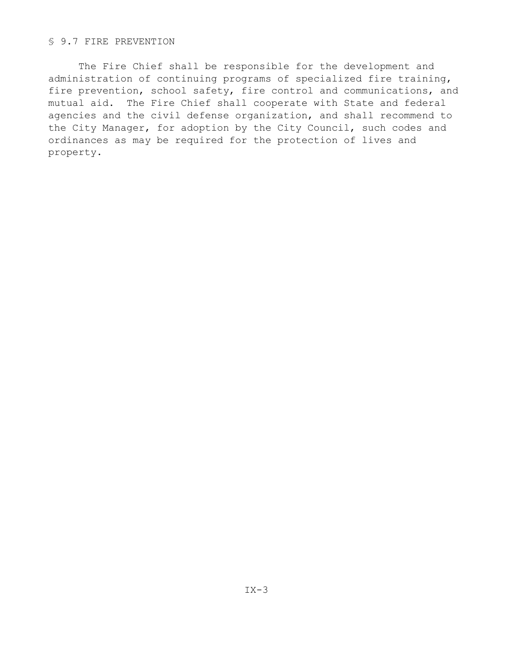# § 9.7 FIRE PREVENTION

The Fire Chief shall be responsible for the development and administration of continuing programs of specialized fire training, fire prevention, school safety, fire control and communications, and mutual aid. The Fire Chief shall cooperate with State and federal agencies and the civil defense organization, and shall recommend to the City Manager, for adoption by the City Council, such codes and ordinances as may be required for the protection of lives and property.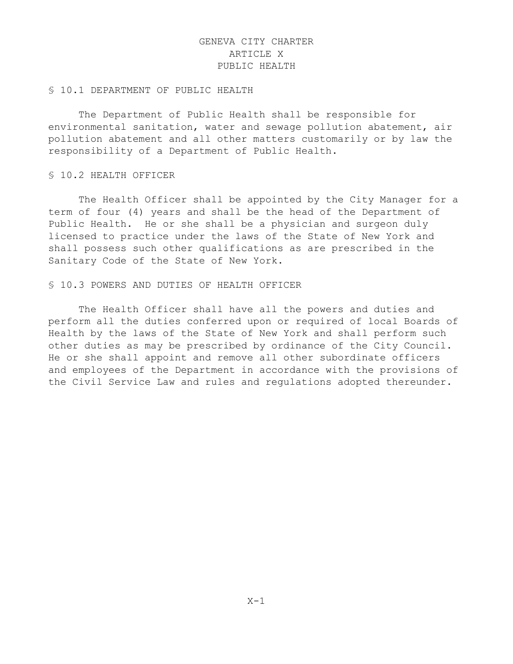# GENEVA CITY CHARTER ARTICLE X PUBLIC HEALTH

#### § 10.1 DEPARTMENT OF PUBLIC HEALTH

The Department of Public Health shall be responsible for environmental sanitation, water and sewage pollution abatement, air pollution abatement and all other matters customarily or by law the responsibility of a Department of Public Health.

## § 10.2 HEALTH OFFICER

The Health Officer shall be appointed by the City Manager for a term of four (4) years and shall be the head of the Department of Public Health. He or she shall be a physician and surgeon duly licensed to practice under the laws of the State of New York and shall possess such other qualifications as are prescribed in the Sanitary Code of the State of New York.

#### § 10.3 POWERS AND DUTIES OF HEALTH OFFICER

The Health Officer shall have all the powers and duties and perform all the duties conferred upon or required of local Boards of Health by the laws of the State of New York and shall perform such other duties as may be prescribed by ordinance of the City Council. He or she shall appoint and remove all other subordinate officers and employees of the Department in accordance with the provisions of the Civil Service Law and rules and regulations adopted thereunder.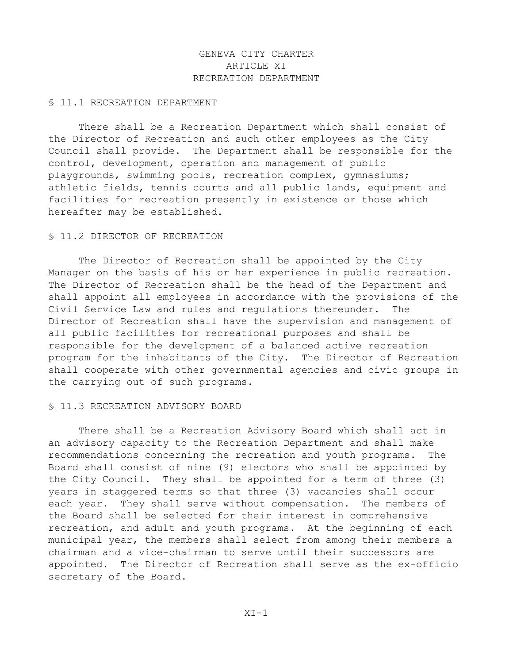# GENEVA CITY CHARTER ARTICLE XI RECREATION DEPARTMENT

#### § 11.1 RECREATION DEPARTMENT

There shall be a Recreation Department which shall consist of the Director of Recreation and such other employees as the City Council shall provide. The Department shall be responsible for the control, development, operation and management of public playgrounds, swimming pools, recreation complex, gymnasiums; athletic fields, tennis courts and all public lands, equipment and facilities for recreation presently in existence or those which hereafter may be established.

## § 11.2 DIRECTOR OF RECREATION

The Director of Recreation shall be appointed by the City Manager on the basis of his or her experience in public recreation. The Director of Recreation shall be the head of the Department and shall appoint all employees in accordance with the provisions of the Civil Service Law and rules and regulations thereunder. The Director of Recreation shall have the supervision and management of all public facilities for recreational purposes and shall be responsible for the development of a balanced active recreation program for the inhabitants of the City. The Director of Recreation shall cooperate with other governmental agencies and civic groups in the carrying out of such programs.

## § 11.3 RECREATION ADVISORY BOARD

There shall be a Recreation Advisory Board which shall act in an advisory capacity to the Recreation Department and shall make recommendations concerning the recreation and youth programs. The Board shall consist of nine (9) electors who shall be appointed by the City Council. They shall be appointed for a term of three (3) years in staggered terms so that three (3) vacancies shall occur each year. They shall serve without compensation. The members of the Board shall be selected for their interest in comprehensive recreation, and adult and youth programs. At the beginning of each municipal year, the members shall select from among their members a chairman and a vice-chairman to serve until their successors are appointed. The Director of Recreation shall serve as the ex-officio secretary of the Board.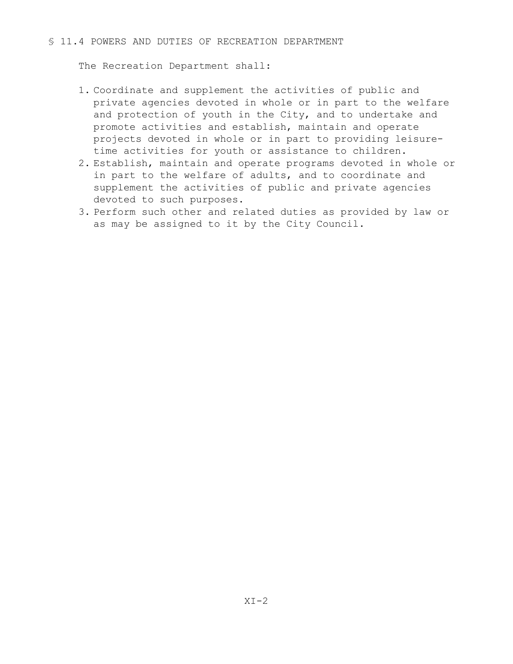# § 11.4 POWERS AND DUTIES OF RECREATION DEPARTMENT

The Recreation Department shall:

- 1. Coordinate and supplement the activities of public and private agencies devoted in whole or in part to the welfare and protection of youth in the City, and to undertake and promote activities and establish, maintain and operate projects devoted in whole or in part to providing leisuretime activities for youth or assistance to children.
- 2. Establish, maintain and operate programs devoted in whole or in part to the welfare of adults, and to coordinate and supplement the activities of public and private agencies devoted to such purposes.
- 3. Perform such other and related duties as provided by law or as may be assigned to it by the City Council.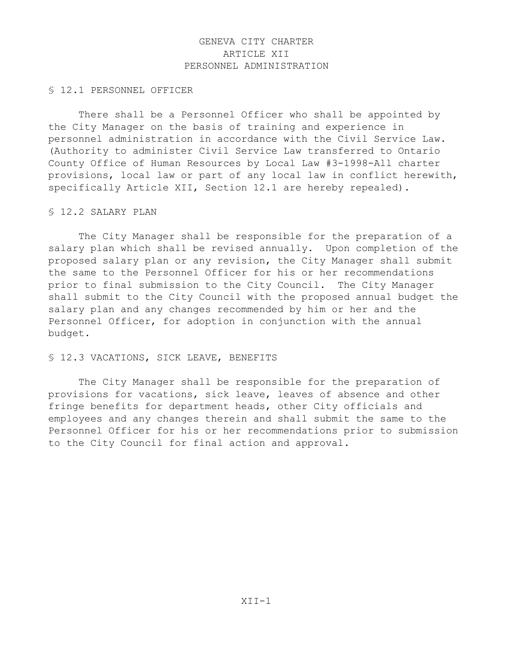# GENEVA CITY CHARTER ARTICLE XII PERSONNEL ADMINISTRATION

## § 12.1 PERSONNEL OFFICER

There shall be a Personnel Officer who shall be appointed by the City Manager on the basis of training and experience in personnel administration in accordance with the Civil Service Law. (Authority to administer Civil Service Law transferred to Ontario County Office of Human Resources by Local Law #3-1998-All charter provisions, local law or part of any local law in conflict herewith, specifically Article XII, Section 12.1 are hereby repealed).

## § 12.2 SALARY PLAN

The City Manager shall be responsible for the preparation of a salary plan which shall be revised annually. Upon completion of the proposed salary plan or any revision, the City Manager shall submit the same to the Personnel Officer for his or her recommendations prior to final submission to the City Council. The City Manager shall submit to the City Council with the proposed annual budget the salary plan and any changes recommended by him or her and the Personnel Officer, for adoption in conjunction with the annual budget.

# § 12.3 VACATIONS, SICK LEAVE, BENEFITS

The City Manager shall be responsible for the preparation of provisions for vacations, sick leave, leaves of absence and other fringe benefits for department heads, other City officials and employees and any changes therein and shall submit the same to the Personnel Officer for his or her recommendations prior to submission to the City Council for final action and approval.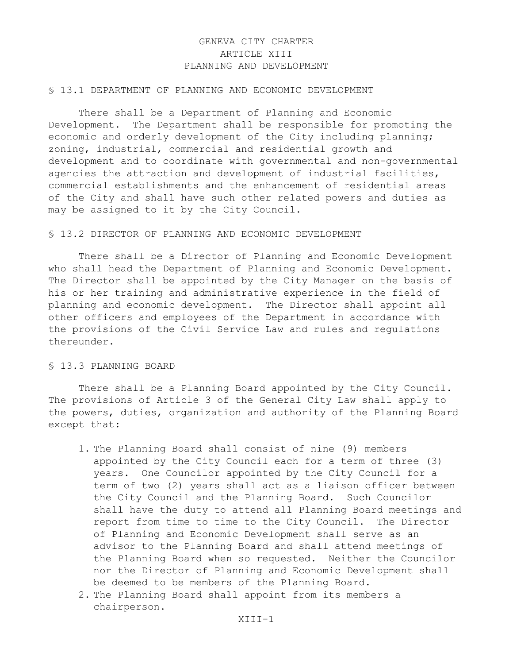# GENEVA CITY CHARTER ARTICLE XIII PLANNING AND DEVELOPMENT

## § 13.1 DEPARTMENT OF PLANNING AND ECONOMIC DEVELOPMENT

There shall be a Department of Planning and Economic Development. The Department shall be responsible for promoting the economic and orderly development of the City including planning; zoning, industrial, commercial and residential growth and development and to coordinate with governmental and non-governmental agencies the attraction and development of industrial facilities, commercial establishments and the enhancement of residential areas of the City and shall have such other related powers and duties as may be assigned to it by the City Council.

## § 13.2 DIRECTOR OF PLANNING AND ECONOMIC DEVELOPMENT

There shall be a Director of Planning and Economic Development who shall head the Department of Planning and Economic Development. The Director shall be appointed by the City Manager on the basis of his or her training and administrative experience in the field of planning and economic development. The Director shall appoint all other officers and employees of the Department in accordance with the provisions of the Civil Service Law and rules and regulations thereunder.

# § 13.3 PLANNING BOARD

There shall be a Planning Board appointed by the City Council. The provisions of Article 3 of the General City Law shall apply to the powers, duties, organization and authority of the Planning Board except that:

- 1. The Planning Board shall consist of nine (9) members appointed by the City Council each for a term of three (3) years. One Councilor appointed by the City Council for a term of two (2) years shall act as a liaison officer between the City Council and the Planning Board. Such Councilor shall have the duty to attend all Planning Board meetings and report from time to time to the City Council. The Director of Planning and Economic Development shall serve as an advisor to the Planning Board and shall attend meetings of the Planning Board when so requested. Neither the Councilor nor the Director of Planning and Economic Development shall be deemed to be members of the Planning Board.
- 2. The Planning Board shall appoint from its members a chairperson.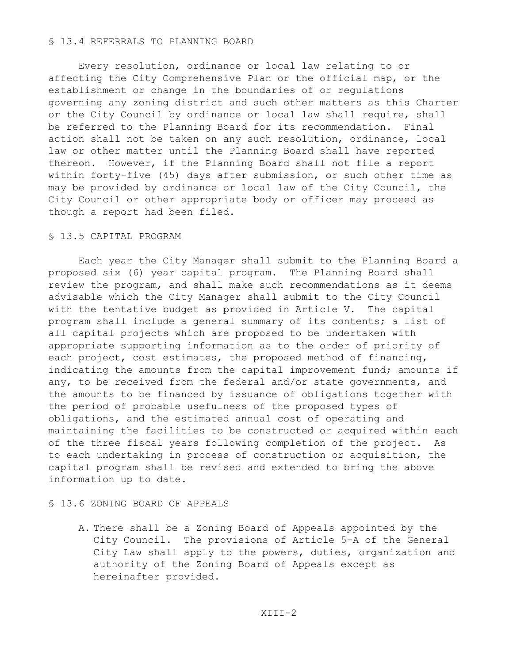## § 13.4 REFERRALS TO PLANNING BOARD

Every resolution, ordinance or local law relating to or affecting the City Comprehensive Plan or the official map, or the establishment or change in the boundaries of or regulations governing any zoning district and such other matters as this Charter or the City Council by ordinance or local law shall require, shall be referred to the Planning Board for its recommendation. Final action shall not be taken on any such resolution, ordinance, local law or other matter until the Planning Board shall have reported thereon. However, if the Planning Board shall not file a report within forty-five (45) days after submission, or such other time as may be provided by ordinance or local law of the City Council, the City Council or other appropriate body or officer may proceed as though a report had been filed.

## § 13.5 CAPITAL PROGRAM

Each year the City Manager shall submit to the Planning Board a proposed six (6) year capital program. The Planning Board shall review the program, and shall make such recommendations as it deems advisable which the City Manager shall submit to the City Council with the tentative budget as provided in Article V. The capital program shall include a general summary of its contents; a list of all capital projects which are proposed to be undertaken with appropriate supporting information as to the order of priority of each project, cost estimates, the proposed method of financing, indicating the amounts from the capital improvement fund; amounts if any, to be received from the federal and/or state governments, and the amounts to be financed by issuance of obligations together with the period of probable usefulness of the proposed types of obligations, and the estimated annual cost of operating and maintaining the facilities to be constructed or acquired within each of the three fiscal years following completion of the project. As to each undertaking in process of construction or acquisition, the capital program shall be revised and extended to bring the above information up to date.

## § 13.6 ZONING BOARD OF APPEALS

A. There shall be a Zoning Board of Appeals appointed by the City Council. The provisions of Article 5-A of the General City Law shall apply to the powers, duties, organization and authority of the Zoning Board of Appeals except as hereinafter provided.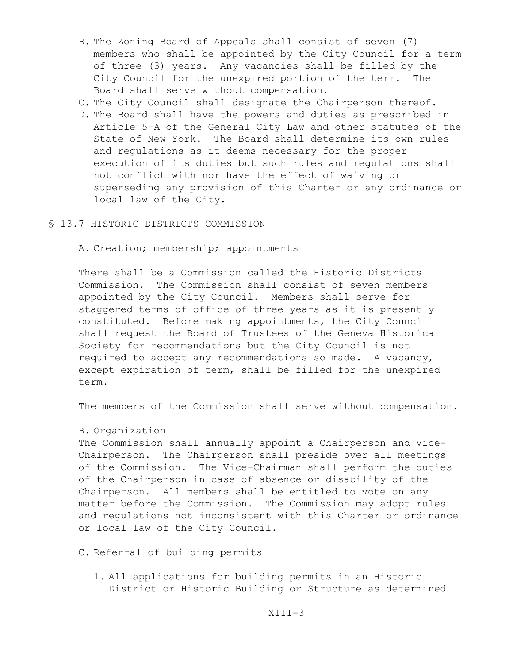- B. The Zoning Board of Appeals shall consist of seven (7) members who shall be appointed by the City Council for a term of three (3) years. Any vacancies shall be filled by the City Council for the unexpired portion of the term. The Board shall serve without compensation.
- C. The City Council shall designate the Chairperson thereof.
- D. The Board shall have the powers and duties as prescribed in Article 5-A of the General City Law and other statutes of the State of New York. The Board shall determine its own rules and regulations as it deems necessary for the proper execution of its duties but such rules and regulations shall not conflict with nor have the effect of waiving or superseding any provision of this Charter or any ordinance or local law of the City.
- § 13.7 HISTORIC DISTRICTS COMMISSION

A. Creation; membership; appointments

There shall be a Commission called the Historic Districts Commission. The Commission shall consist of seven members appointed by the City Council. Members shall serve for staggered terms of office of three years as it is presently constituted. Before making appointments, the City Council shall request the Board of Trustees of the Geneva Historical Society for recommendations but the City Council is not required to accept any recommendations so made. A vacancy, except expiration of term, shall be filled for the unexpired term.

The members of the Commission shall serve without compensation.

#### B. Organization

The Commission shall annually appoint a Chairperson and Vice-Chairperson. The Chairperson shall preside over all meetings of the Commission. The Vice-Chairman shall perform the duties of the Chairperson in case of absence or disability of the Chairperson. All members shall be entitled to vote on any matter before the Commission. The Commission may adopt rules and regulations not inconsistent with this Charter or ordinance or local law of the City Council.

C. Referral of building permits

1. All applications for building permits in an Historic District or Historic Building or Structure as determined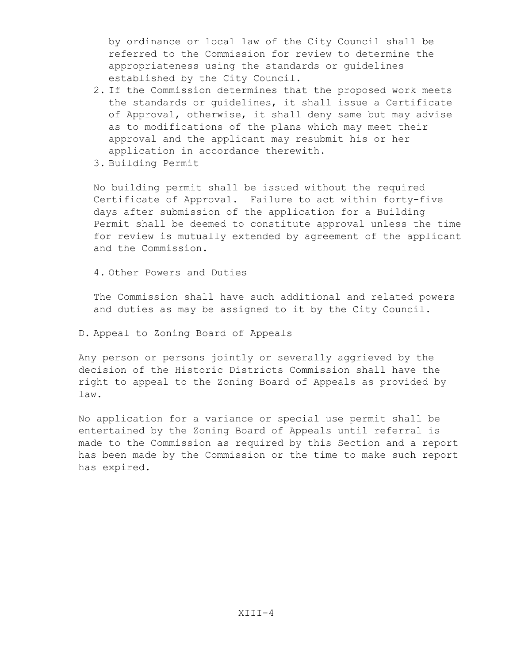by ordinance or local law of the City Council shall be referred to the Commission for review to determine the appropriateness using the standards or guidelines established by the City Council.

- 2. If the Commission determines that the proposed work meets the standards or guidelines, it shall issue a Certificate of Approval, otherwise, it shall deny same but may advise as to modifications of the plans which may meet their approval and the applicant may resubmit his or her application in accordance therewith.
- 3. Building Permit

No building permit shall be issued without the required Certificate of Approval. Failure to act within forty-five days after submission of the application for a Building Permit shall be deemed to constitute approval unless the time for review is mutually extended by agreement of the applicant and the Commission.

4. Other Powers and Duties

The Commission shall have such additional and related powers and duties as may be assigned to it by the City Council.

D. Appeal to Zoning Board of Appeals

Any person or persons jointly or severally aggrieved by the decision of the Historic Districts Commission shall have the right to appeal to the Zoning Board of Appeals as provided by law.

No application for a variance or special use permit shall be entertained by the Zoning Board of Appeals until referral is made to the Commission as required by this Section and a report has been made by the Commission or the time to make such report has expired.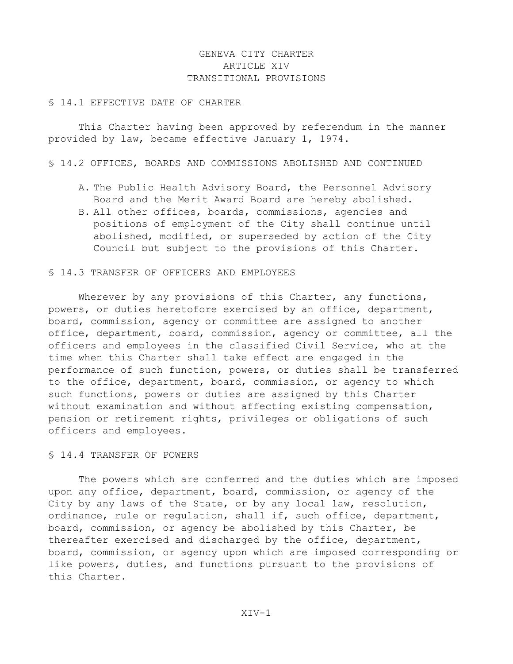# GENEVA CITY CHARTER ARTICLE XIV TRANSITIONAL PROVISIONS

### § 14.1 EFFECTIVE DATE OF CHARTER

This Charter having been approved by referendum in the manner provided by law, became effective January 1, 1974.

§ 14.2 OFFICES, BOARDS AND COMMISSIONS ABOLISHED AND CONTINUED

- A. The Public Health Advisory Board, the Personnel Advisory Board and the Merit Award Board are hereby abolished.
- B. All other offices, boards, commissions, agencies and positions of employment of the City shall continue until abolished, modified, or superseded by action of the City Council but subject to the provisions of this Charter.

#### § 14.3 TRANSFER OF OFFICERS AND EMPLOYEES

Wherever by any provisions of this Charter, any functions, powers, or duties heretofore exercised by an office, department, board, commission, agency or committee are assigned to another office, department, board, commission, agency or committee, all the officers and employees in the classified Civil Service, who at the time when this Charter shall take effect are engaged in the performance of such function, powers, or duties shall be transferred to the office, department, board, commission, or agency to which such functions, powers or duties are assigned by this Charter without examination and without affecting existing compensation, pension or retirement rights, privileges or obligations of such officers and employees.

#### § 14.4 TRANSFER OF POWERS

The powers which are conferred and the duties which are imposed upon any office, department, board, commission, or agency of the City by any laws of the State, or by any local law, resolution, ordinance, rule or regulation, shall if, such office, department, board, commission, or agency be abolished by this Charter, be thereafter exercised and discharged by the office, department, board, commission, or agency upon which are imposed corresponding or like powers, duties, and functions pursuant to the provisions of this Charter.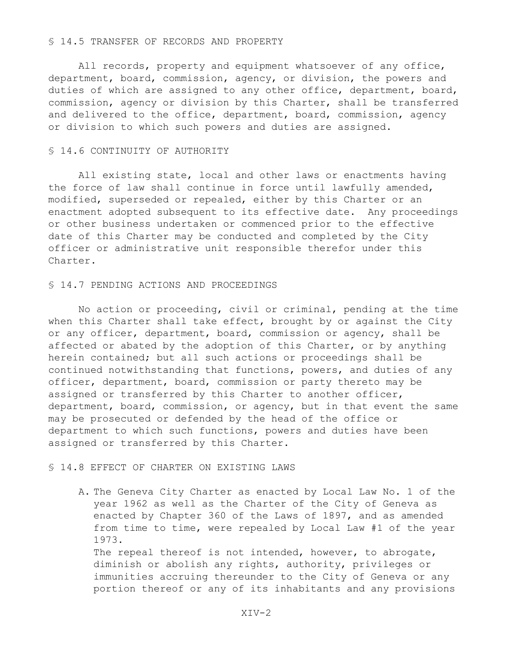#### § 14.5 TRANSFER OF RECORDS AND PROPERTY

All records, property and equipment whatsoever of any office, department, board, commission, agency, or division, the powers and duties of which are assigned to any other office, department, board, commission, agency or division by this Charter, shall be transferred and delivered to the office, department, board, commission, agency or division to which such powers and duties are assigned.

#### § 14.6 CONTINUITY OF AUTHORITY

All existing state, local and other laws or enactments having the force of law shall continue in force until lawfully amended, modified, superseded or repealed, either by this Charter or an enactment adopted subsequent to its effective date. Any proceedings or other business undertaken or commenced prior to the effective date of this Charter may be conducted and completed by the City officer or administrative unit responsible therefor under this Charter.

#### § 14.7 PENDING ACTIONS AND PROCEEDINGS

No action or proceeding, civil or criminal, pending at the time when this Charter shall take effect, brought by or against the City or any officer, department, board, commission or agency, shall be affected or abated by the adoption of this Charter, or by anything herein contained; but all such actions or proceedings shall be continued notwithstanding that functions, powers, and duties of any officer, department, board, commission or party thereto may be assigned or transferred by this Charter to another officer, department, board, commission, or agency, but in that event the same may be prosecuted or defended by the head of the office or department to which such functions, powers and duties have been assigned or transferred by this Charter.

### § 14.8 EFFECT OF CHARTER ON EXISTING LAWS

A. The Geneva City Charter as enacted by Local Law No. 1 of the year 1962 as well as the Charter of the City of Geneva as enacted by Chapter 360 of the Laws of 1897, and as amended from time to time, were repealed by Local Law #1 of the year 1973.

The repeal thereof is not intended, however, to abrogate, diminish or abolish any rights, authority, privileges or immunities accruing thereunder to the City of Geneva or any portion thereof or any of its inhabitants and any provisions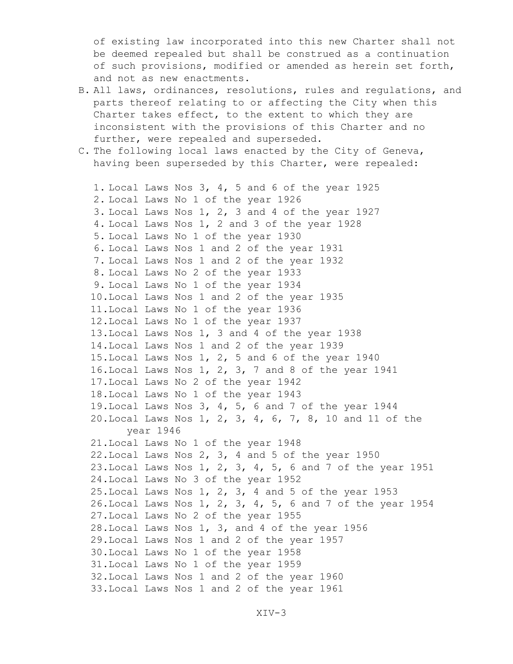of existing law incorporated into this new Charter shall not be deemed repealed but shall be construed as a continuation of such provisions, modified or amended as herein set forth, and not as new enactments.

- B. All laws, ordinances, resolutions, rules and regulations, and parts thereof relating to or affecting the City when this Charter takes effect, to the extent to which they are inconsistent with the provisions of this Charter and no further, were repealed and superseded.
- C. The following local laws enacted by the City of Geneva, having been superseded by this Charter, were repealed:

```
1. Local Laws Nos 3, 4, 5 and 6 of the year 1925
2. Local Laws No 1 of the year 1926
3. Local Laws Nos 1, 2, 3 and 4 of the year 1927
4. Local Laws Nos 1, 2 and 3 of the year 1928
5. Local Laws No 1 of the year 1930
6. Local Laws Nos 1 and 2 of the year 1931
7. Local Laws Nos 1 and 2 of the year 1932
8. Local Laws No 2 of the year 1933
9. Local Laws No 1 of the year 1934
 10.Local Laws Nos 1 and 2 of the year 1935
 11.Local Laws No 1 of the year 1936
 12.Local Laws No 1 of the year 1937
 13.Local Laws Nos 1, 3 and 4 of the year 1938
 14.Local Laws Nos 1 and 2 of the year 1939
 15.Local Laws Nos 1, 2, 5 and 6 of the year 1940
 16.Local Laws Nos 1, 2, 3, 7 and 8 of the year 1941
 17.Local Laws No 2 of the year 1942
 18.Local Laws No 1 of the year 1943
 19.Local Laws Nos 3, 4, 5, 6 and 7 of the year 1944
 20.Local Laws Nos 1, 2, 3, 4, 6, 7, 8, 10 and 11 of the 
       year 1946
 21.Local Laws No 1 of the year 1948
 22.Local Laws Nos 2, 3, 4 and 5 of the year 1950
 23.Local Laws Nos 1, 2, 3, 4, 5, 6 and 7 of the year 1951 
 24.Local Laws No 3 of the year 1952
 25.Local Laws Nos 1, 2, 3, 4 and 5 of the year 1953
 26.Local Laws Nos 1, 2, 3, 4, 5, 6 and 7 of the year 1954
 27.Local Laws No 2 of the year 1955
 28.Local Laws Nos 1, 3, and 4 of the year 1956
 29.Local Laws Nos 1 and 2 of the year 1957
 30.Local Laws No 1 of the year 1958
 31.Local Laws No 1 of the year 1959
 32.Local Laws Nos 1 and 2 of the year 1960
 33.Local Laws Nos 1 and 2 of the year 1961
```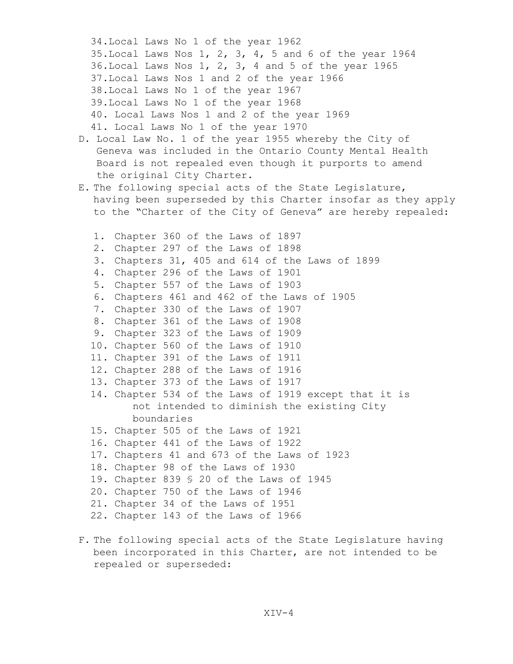34.Local Laws No 1 of the year 1962 35.Local Laws Nos 1, 2, 3, 4, 5 and 6 of the year 1964 36.Local Laws Nos 1, 2, 3, 4 and 5 of the year 1965 37.Local Laws Nos 1 and 2 of the year 1966 38.Local Laws No 1 of the year 1967 39.Local Laws No 1 of the year 1968 40. Local Laws Nos 1 and 2 of the year 1969 41. Local Laws No 1 of the year 1970 D. Local Law No. 1 of the year 1955 whereby the City of Geneva was included in the Ontario County Mental Health Board is not repealed even though it purports to amend the original City Charter. E. The following special acts of the State Legislature, having been superseded by this Charter insofar as they apply to the "Charter of the City of Geneva" are hereby repealed: 1. Chapter 360 of the Laws of 1897 2. Chapter 297 of the Laws of 1898 3. Chapters 31, 405 and 614 of the Laws of 1899 4. Chapter 296 of the Laws of 1901 5. Chapter 557 of the Laws of 1903 6. Chapters 461 and 462 of the Laws of 1905 7. Chapter 330 of the Laws of 1907 8. Chapter 361 of the Laws of 1908 9. Chapter 323 of the Laws of 1909 10. Chapter 560 of the Laws of 1910 11. Chapter 391 of the Laws of 1911 12. Chapter 288 of the Laws of 1916 13. Chapter 373 of the Laws of 1917 14. Chapter 534 of the Laws of 1919 except that it is not intended to diminish the existing City boundaries 15. Chapter 505 of the Laws of 1921 16. Chapter 441 of the Laws of 1922 17. Chapters 41 and 673 of the Laws of 1923 18. Chapter 98 of the Laws of 1930 19. Chapter 839 § 20 of the Laws of 1945 20. Chapter 750 of the Laws of 1946 21. Chapter 34 of the Laws of 1951 22. Chapter 143 of the Laws of 1966

F. The following special acts of the State Legislature having been incorporated in this Charter, are not intended to be repealed or superseded: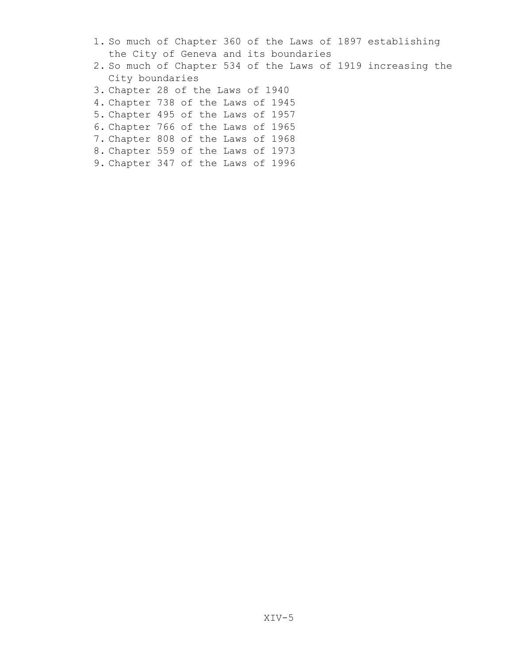- 1. So much of Chapter 360 of the Laws of 1897 establishing the City of Geneva and its boundaries
- 2. So much of Chapter 534 of the Laws of 1919 increasing the City boundaries
- 3. Chapter 28 of the Laws of 1940
- 4. Chapter 738 of the Laws of 1945
- 5. Chapter 495 of the Laws of 1957
- 6. Chapter 766 of the Laws of 1965
- 7. Chapter 808 of the Laws of 1968
- 8. Chapter 559 of the Laws of 1973
- 9. Chapter 347 of the Laws of 1996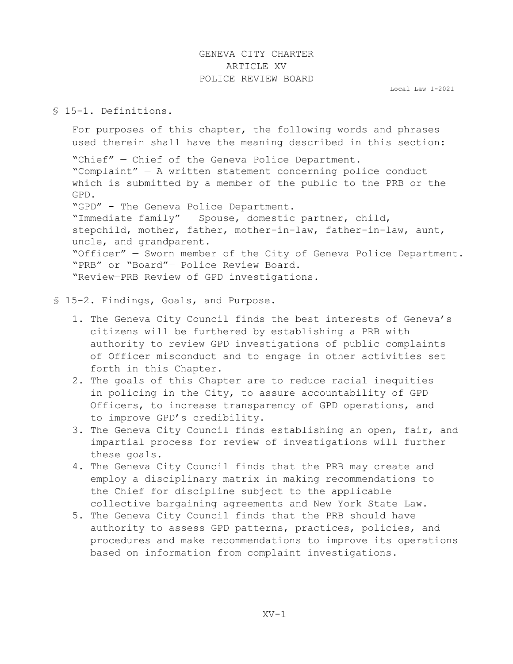# GENEVA CITY CHARTER ARTICLE XV POLICE REVIEW BOARD

Local Law 1-2021

# § 15-1. Definitions.

For purposes of this chapter, the following words and phrases used therein shall have the meaning described in this section:

"Chief" — Chief of the Geneva Police Department. "Complaint" — A written statement concerning police conduct which is submitted by a member of the public to the PRB or the GPD. "GPD" - The Geneva Police Department. "Immediate family" — Spouse, domestic partner, child, stepchild, mother, father, mother-in-law, father-in-law, aunt, uncle, and grandparent. "Officer" — Sworn member of the City of Geneva Police Department. "PRB" or "Board"— Police Review Board. "Review—PRB Review of GPD investigations.

# § 15-2. Findings, Goals, and Purpose.

- 1. The Geneva City Council finds the best interests of Geneva's citizens will be furthered by establishing a PRB with authority to review GPD investigations of public complaints of Officer misconduct and to engage in other activities set forth in this Chapter.
- 2. The goals of this Chapter are to reduce racial inequities in policing in the City, to assure accountability of GPD Officers, to increase transparency of GPD operations, and to improve GPD's credibility.
- 3. The Geneva City Council finds establishing an open, fair, and impartial process for review of investigations will further these goals.
- 4. The Geneva City Council finds that the PRB may create and employ a disciplinary matrix in making recommendations to the Chief for discipline subject to the applicable collective bargaining agreements and New York State Law.
- 5. The Geneva City Council finds that the PRB should have authority to assess GPD patterns, practices, policies, and procedures and make recommendations to improve its operations based on information from complaint investigations.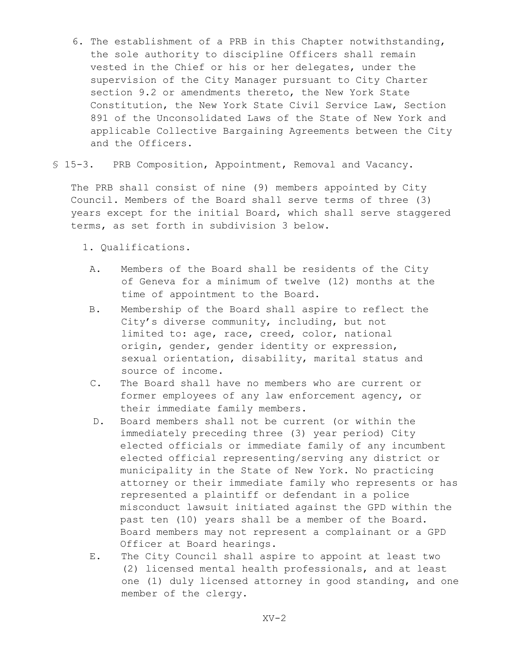- 6. The establishment of a PRB in this Chapter notwithstanding, the sole authority to discipline Officers shall remain vested in the Chief or his or her delegates, under the supervision of the City Manager pursuant to City Charter section 9.2 or amendments thereto, the New York State Constitution, the New York State Civil Service Law, Section 891 of the Unconsolidated Laws of the State of New York and applicable Collective Bargaining Agreements between the City and the Officers.
- § 15-3. PRB Composition, Appointment, Removal and Vacancy.

The PRB shall consist of nine (9) members appointed by City Council. Members of the Board shall serve terms of three (3) years except for the initial Board, which shall serve staggered terms, as set forth in subdivision 3 below.

1. Qualifications.

- A. Members of the Board shall be residents of the City of Geneva for a minimum of twelve (12) months at the time of appointment to the Board.
- B. Membership of the Board shall aspire to reflect the City's diverse community, including, but not limited to: age, race, creed, color, national origin, gender, gender identity or expression, sexual orientation, disability, marital status and source of income.
- C. The Board shall have no members who are current or former employees of any law enforcement agency, or their immediate family members.
- D. Board members shall not be current (or within the immediately preceding three (3) year period) City elected officials or immediate family of any incumbent elected official representing/serving any district or municipality in the State of New York. No practicing attorney or their immediate family who represents or has represented a plaintiff or defendant in a police misconduct lawsuit initiated against the GPD within the past ten (10) years shall be a member of the Board. Board members may not represent a complainant or a GPD Officer at Board hearings.
- E. The City Council shall aspire to appoint at least two (2) licensed mental health professionals, and at least one (1) duly licensed attorney in good standing, and one member of the clergy.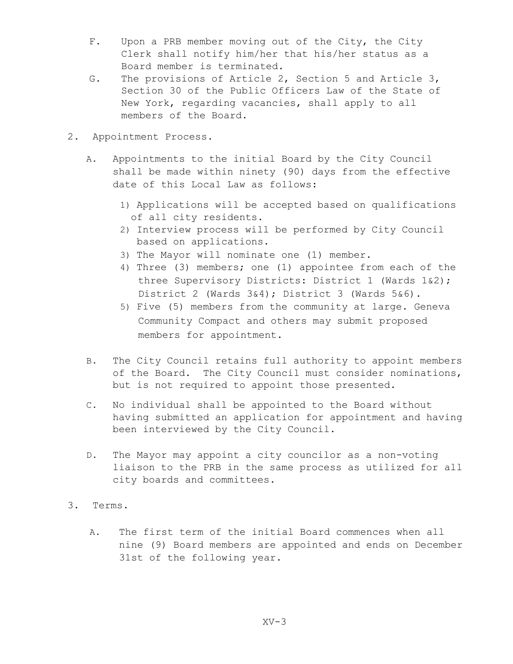- F. Upon a PRB member moving out of the City, the City Clerk shall notify him/her that his/her status as a Board member is terminated.
- G. The provisions of Article 2, Section 5 and Article 3, Section 30 of the Public Officers Law of the State of New York, regarding vacancies, shall apply to all members of the Board.
- 2. Appointment Process.
	- A. Appointments to the initial Board by the City Council shall be made within ninety (90) days from the effective date of this Local Law as follows:
		- 1) Applications will be accepted based on qualifications of all city residents.
		- 2) Interview process will be performed by City Council based on applications.
		- 3) The Mayor will nominate one (1) member.
		- 4) Three (3) members; one (1) appointee from each of the three Supervisory Districts: District 1 (Wards 1&2); District 2 (Wards 3&4); District 3 (Wards 5&6).
		- 5) Five (5) members from the community at large. Geneva Community Compact and others may submit proposed members for appointment.
	- B. The City Council retains full authority to appoint members of the Board. The City Council must consider nominations, but is not required to appoint those presented.
	- C. No individual shall be appointed to the Board without having submitted an application for appointment and having been interviewed by the City Council.
	- D. The Mayor may appoint a city councilor as a non-voting liaison to the PRB in the same process as utilized for all city boards and committees.
- 3. Terms.
	- A. The first term of the initial Board commences when all nine (9) Board members are appointed and ends on December 31st of the following year.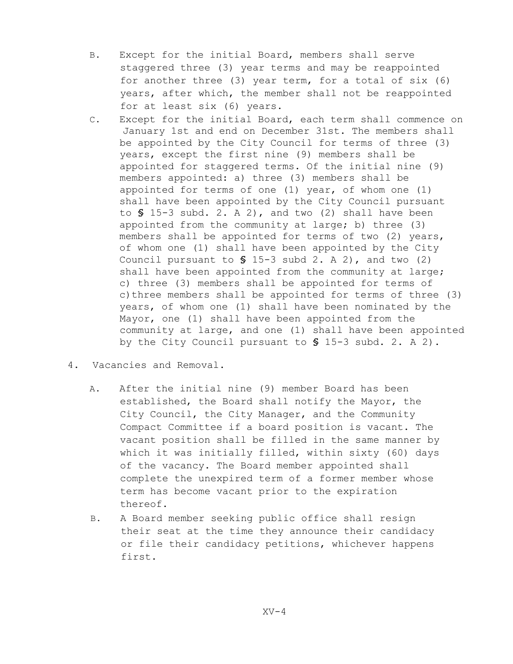- B. Except for the initial Board, members shall serve staggered three (3) year terms and may be reappointed for another three (3) year term, for a total of six (6) years, after which, the member shall not be reappointed for at least six (6) years.
- C. Except for the initial Board, each term shall commence on January 1st and end on December 31st. The members shall be appointed by the City Council for terms of three (3) years, except the first nine (9) members shall be appointed for staggered terms. Of the initial nine (9) members appointed: a) three (3) members shall be appointed for terms of one (1) year, of whom one (1) shall have been appointed by the City Council pursuant to **§** 15-3 subd. 2. A 2), and two (2) shall have been appointed from the community at large; b) three (3) members shall be appointed for terms of two (2) years, of whom one (1) shall have been appointed by the City Council pursuant to **§** 15-3 subd 2. A 2), and two (2) shall have been appointed from the community at large; c) three (3) members shall be appointed for terms of c) three members shall be appointed for terms of three (3) years, of whom one (1) shall have been nominated by the Mayor, one (1) shall have been appointed from the community at large, and one (1) shall have been appointed by the City Council pursuant to **§** 15-3 subd. 2. A 2).
- 4. Vacancies and Removal.
	- A. After the initial nine (9) member Board has been established, the Board shall notify the Mayor, the City Council, the City Manager, and the Community Compact Committee if a board position is vacant. The vacant position shall be filled in the same manner by which it was initially filled, within sixty (60) days of the vacancy. The Board member appointed shall complete the unexpired term of a former member whose term has become vacant prior to the expiration thereof.
	- B. A Board member seeking public office shall resign their seat at the time they announce their candidacy or file their candidacy petitions, whichever happens first.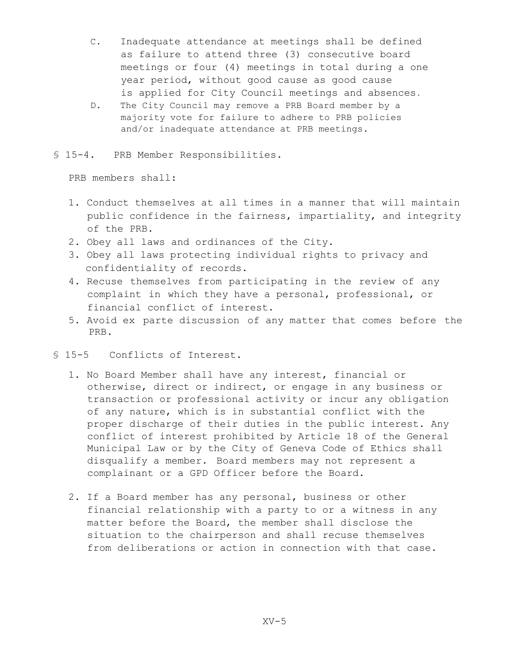- C. Inadequate attendance at meetings shall be defined as failure to attend three (3) consecutive board meetings or four (4) meetings in total during a one year period, without good cause as good cause is applied for City Council meetings and absences.
- D. The City Council may remove a PRB Board member by a majority vote for failure to adhere to PRB policies and/or inadequate attendance at PRB meetings.
- § 15-4. PRB Member Responsibilities.

PRB members shall:

- 1. Conduct themselves at all times in a manner that will maintain public confidence in the fairness, impartiality, and integrity of the PRB.
- 2. Obey all laws and ordinances of the City.
- 3. Obey all laws protecting individual rights to privacy and confidentiality of records.
- 4. Recuse themselves from participating in the review of any complaint in which they have a personal, professional, or financial conflict of interest.
- 5. Avoid ex parte discussion of any matter that comes before the PRB.
- § 15-5 Conflicts of Interest.
	- 1. No Board Member shall have any interest, financial or otherwise, direct or indirect, or engage in any business or transaction or professional activity or incur any obligation of any nature, which is in substantial conflict with the proper discharge of their duties in the public interest. Any conflict of interest prohibited by Article 18 of the General Municipal Law or by the City of Geneva Code of Ethics shall disqualify a member. Board members may not represent a complainant or a GPD Officer before the Board.
	- 2. If a Board member has any personal, business or other financial relationship with a party to or a witness in any matter before the Board, the member shall disclose the situation to the chairperson and shall recuse themselves from deliberations or action in connection with that case.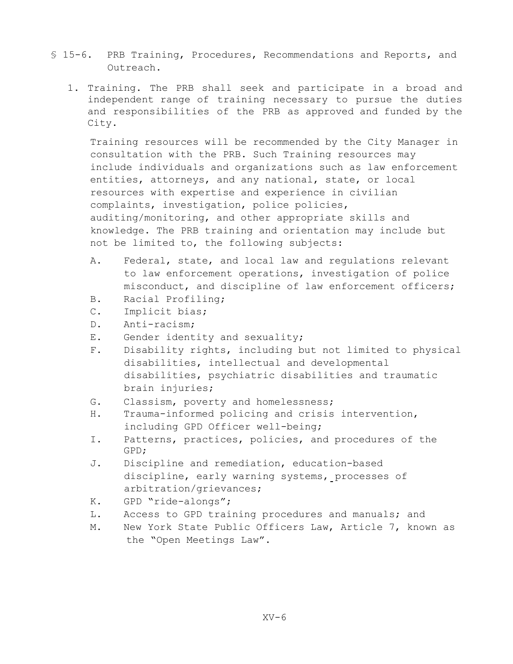- § 15-6. PRB Training, Procedures, Recommendations and Reports, and Outreach.
	- 1. Training. The PRB shall seek and participate in a broad and independent range of training necessary to pursue the duties and responsibilities of the PRB as approved and funded by the City.

Training resources will be recommended by the City Manager in consultation with the PRB. Such Training resources may include individuals and organizations such as law enforcement entities, attorneys, and any national, state, or local resources with expertise and experience in civilian complaints, investigation, police policies, auditing/monitoring, and other appropriate skills and knowledge. The PRB training and orientation may include but not be limited to, the following subjects:

- A. Federal, state, and local law and regulations relevant to law enforcement operations, investigation of police misconduct, and discipline of law enforcement officers;
- B. Racial Profiling;
- C. Implicit bias;
- D. Anti-racism;
- E. Gender identity and sexuality;
- F. Disability rights, including but not limited to physical disabilities, intellectual and developmental disabilities, psychiatric disabilities and traumatic brain injuries;
- G. Classism, poverty and homelessness;
- H. Trauma-informed policing and crisis intervention, including GPD Officer well-being;
- I. Patterns, practices, policies, and procedures of the GPD;
- J. Discipline and remediation, education-based discipline, early warning systems, processes of arbitration/grievances;
- K. GPD "ride-alongs";
- L. Access to GPD training procedures and manuals; and
- M. New York State Public Officers Law, Article 7, known as the "Open Meetings Law".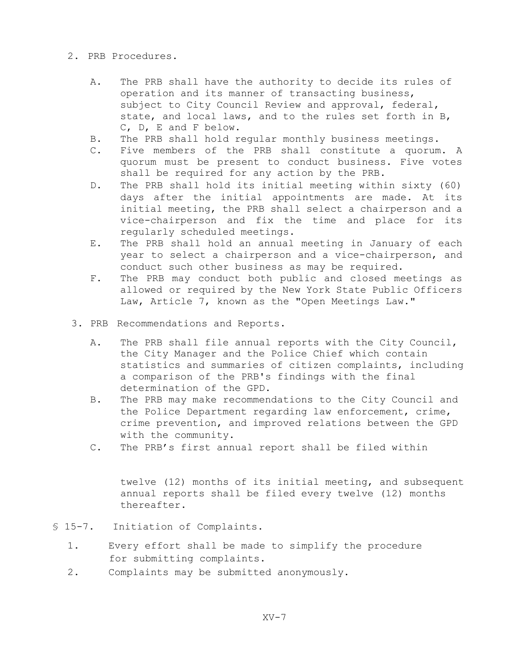- 2. PRB Procedures.
	- A. The PRB shall have the authority to decide its rules of operation and its manner of transacting business, subject to City Council Review and approval, federal, state, and local laws, and to the rules set forth in B, C, D, E and F below.
	- B. The PRB shall hold regular monthly business meetings.
	- C. Five members of the PRB shall constitute a quorum. A quorum must be present to conduct business. Five votes shall be required for any action by the PRB.
	- D. The PRB shall hold its initial meeting within sixty (60) days after the initial appointments are made. At its initial meeting, the PRB shall select a chairperson and a vice-chairperson and fix the time and place for its regularly scheduled meetings.
	- E. The PRB shall hold an annual meeting in January of each year to select a chairperson and a vice-chairperson, and conduct such other business as may be required.
	- F. The PRB may conduct both public and closed meetings as allowed or required by the New York State Public Officers Law, Article 7, known as the "Open Meetings Law."
- 3. PRB Recommendations and Reports.
	- A. The PRB shall file annual reports with the City Council, the City Manager and the Police Chief which contain statistics and summaries of citizen complaints, including a comparison of the PRB's findings with the final determination of the GPD.
	- B. The PRB may make recommendations to the City Council and the Police Department regarding law enforcement, crime, crime prevention, and improved relations between the GPD with the community.
	- C. The PRB's first annual report shall be filed within

 twelve (12) months of its initial meeting, and subsequent annual reports shall be filed every twelve (12) months thereafter.

- § 15-7. Initiation of Complaints.
	- 1. Every effort shall be made to simplify the procedure for submitting complaints.
	- 2. Complaints may be submitted anonymously.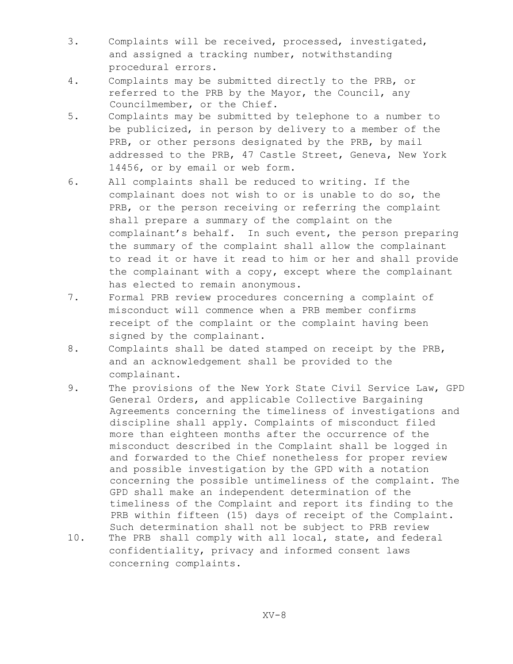- 3. Complaints will be received, processed, investigated, and assigned a tracking number, notwithstanding procedural errors.
- 4. Complaints may be submitted directly to the PRB, or referred to the PRB by the Mayor, the Council, any Councilmember, or the Chief.
- 5. Complaints may be submitted by telephone to a number to be publicized, in person by delivery to a member of the PRB, or other persons designated by the PRB, by mail addressed to the PRB, 47 Castle Street, Geneva, New York 14456, or by email or web form.
- 6. All complaints shall be reduced to writing. If the complainant does not wish to or is unable to do so, the PRB, or the person receiving or referring the complaint shall prepare a summary of the complaint on the complainant's behalf. In such event, the person preparing the summary of the complaint shall allow the complainant to read it or have it read to him or her and shall provide the complainant with a copy**,** except where the complainant has elected to remain anonymous.
- 7. Formal PRB review procedures concerning a complaint of misconduct will commence when a PRB member confirms receipt of the complaint or the complaint having been signed by the complainant.
- 8. Complaints shall be dated stamped on receipt by the PRB, and an acknowledgement shall be provided to the complainant.
- 9. The provisions of the New York State Civil Service Law, GPD General Orders, and applicable Collective Bargaining Agreements concerning the timeliness of investigations and discipline shall apply. Complaints of misconduct filed more than eighteen months after the occurrence of the misconduct described in the Complaint shall be logged in and forwarded to the Chief nonetheless for proper review and possible investigation by the GPD with a notation concerning the possible untimeliness of the complaint. The GPD shall make an independent determination of the timeliness of the Complaint and report its finding to the PRB within fifteen (15) days of receipt of the Complaint. Such determination shall not be subject to PRB review 10. The PRB shall comply with all local, state, and federal confidentiality, privacy and informed consent laws
	-

concerning complaints.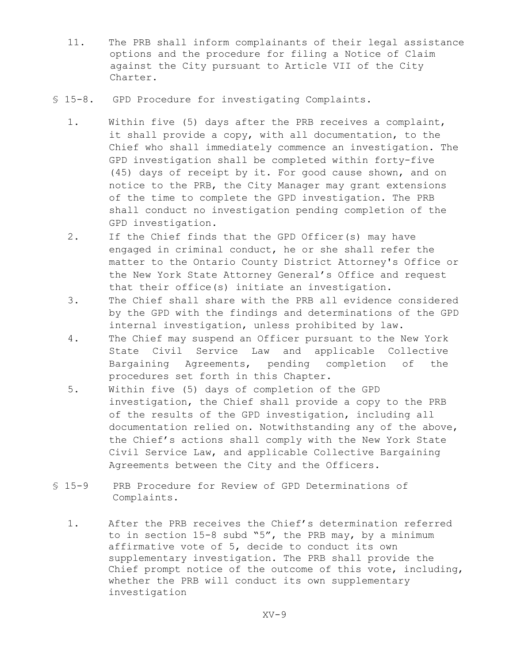- 11. The PRB shall inform complainants of their legal assistance options and the procedure for filing a Notice of Claim against the City pursuant to Article VII of the City Charter.
- § 15-8. GPD Procedure for investigating Complaints.
	- 1. Within five (5) days after the PRB receives a complaint, it shall provide a copy, with all documentation, to the Chief who shall immediately commence an investigation. The GPD investigation shall be completed within forty-five (45) days of receipt by it. For good cause shown, and on notice to the PRB, the City Manager may grant extensions of the time to complete the GPD investigation. The PRB shall conduct no investigation pending completion of the GPD investigation.
	- 2. If the Chief finds that the GPD Officer(s) may have engaged in criminal conduct, he or she shall refer the matter to the Ontario County District Attorney's Office or the New York State Attorney General's Office and request that their office(s) initiate an investigation.
	- 3. The Chief shall share with the PRB all evidence considered by the GPD with the findings and determinations of the GPD internal investigation, unless prohibited by law.
	- 4. The Chief may suspend an Officer pursuant to the New York State Civil Service Law and applicable Collective Bargaining Agreements, pending completion of the procedures set forth in this Chapter.
	- 5. Within five (5) days of completion of the GPD investigation, the Chief shall provide a copy to the PRB of the results of the GPD investigation, including all documentation relied on. Notwithstanding any of the above, the Chief's actions shall comply with the New York State Civil Service Law, and applicable Collective Bargaining Agreements between the City and the Officers.
- § 15-9 PRB Procedure for Review of GPD Determinations of Complaints.
	- 1. After the PRB receives the Chief's determination referred to in section 15-8 subd "5", the PRB may, by a minimum affirmative vote of 5, decide to conduct its own supplementary investigation**.** The PRB shall provide the Chief prompt notice of the outcome of this vote, including, whether the PRB will conduct its own supplementary investigation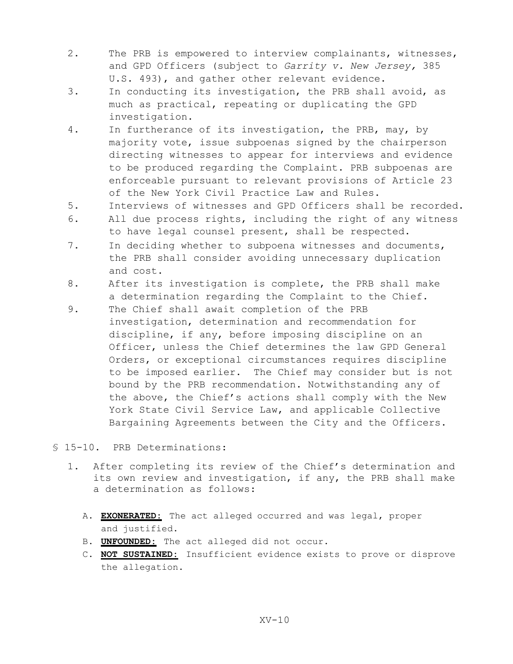- 2. The PRB is empowered to interview complainants, witnesses, and GPD Officers (subject to *Garrity v. New Jersey,* 385 U.S. 493), and gather other relevant evidence.
- 3. In conducting its investigation, the PRB shall avoid, as much as practical, repeating or duplicating the GPD investigation.
- 4. In furtherance of its investigation, the PRB, may, by majority vote, issue subpoenas signed by the chairperson directing witnesses to appear for interviews and evidence to be produced regarding the Complaint. PRB subpoenas are enforceable pursuant to relevant provisions of Article 23 of the New York Civil Practice Law and Rules.
- 5. Interviews of witnesses and GPD Officers shall be recorded.
- 6. All due process rights, including the right of any witness to have legal counsel present, shall be respected.
- 7. In deciding whether to subpoena witnesses and documents, the PRB shall consider avoiding unnecessary duplication and cost.
- 8. After its investigation is complete, the PRB shall make a determination regarding the Complaint to the Chief.
- 9. The Chief shall await completion of the PRB investigation, determination and recommendation for discipline, if any, before imposing discipline on an Officer, unless the Chief determines the law GPD General Orders, or exceptional circumstances requires discipline to be imposed earlier. The Chief may consider but is not bound by the PRB recommendation. Notwithstanding any of the above, the Chief's actions shall comply with the New York State Civil Service Law, and applicable Collective Bargaining Agreements between the City and the Officers.
- § 15-10. PRB Determinations:
	- 1. After completing its review of the Chief's determination and its own review and investigation, if any, the PRB shall make a determination as follows:
		- A. **EXONERATED:** The act alleged occurred and was legal, proper and justified.
		- B. **UNFOUNDED:** The act alleged did not occur.
		- C. **NOT SUSTAINED:** Insufficient evidence exists to prove or disprove the allegation.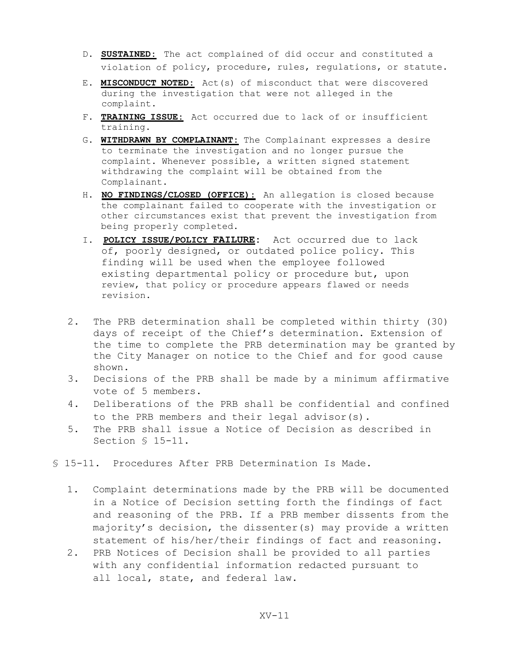- D. **SUSTAINED:** The act complained of did occur and constituted a violation of policy, procedure, rules, regulations, or statute.
- E. **MISCONDUCT NOTED:** Act(s) of misconduct that were discovered during the investigation that were not alleged in the complaint.
- F. **TRAINING ISSUE:** Act occurred due to lack of or insufficient training.
- G. **WITHDRAWN BY COMPLAINANT:** The Complainant expresses a desire to terminate the investigation and no longer pursue the complaint. Whenever possible, a written signed statement withdrawing the complaint will be obtained from the Complainant.
- H. **NO FINDINGS/CLOSED (OFFICE):** An allegation is closed because the complainant failed to cooperate with the investigation or other circumstances exist that prevent the investigation from being properly completed.
- I. **POLICY ISSUE/POLICY FAILURE:** Act occurred due to lack of, poorly designed, or outdated police policy. This finding will be used when the employee followed existing departmental policy or procedure but, upon review, that policy or procedure appears flawed or needs revision.
- 2. The PRB determination shall be completed within thirty (30) days of receipt of the Chief's determination. Extension of the time to complete the PRB determination may be granted by the City Manager on notice to the Chief and for good cause shown.
- 3. Decisions of the PRB shall be made by a minimum affirmative vote of 5 members.
- 4. Deliberations of the PRB shall be confidential and confined to the PRB members and their legal advisor(s).
- 5. The PRB shall issue a Notice of Decision as described in Section § 15-11.
- § 15-11. Procedures After PRB Determination Is Made.
	- 1. Complaint determinations made by the PRB will be documented in a Notice of Decision setting forth the findings of fact and reasoning of the PRB. If a PRB member dissents from the majority's decision, the dissenter(s) may provide a written statement of his/her/their findings of fact and reasoning.
	- 2. PRB Notices of Decision shall be provided to all parties with any confidential information redacted pursuant to all local, state, and federal law.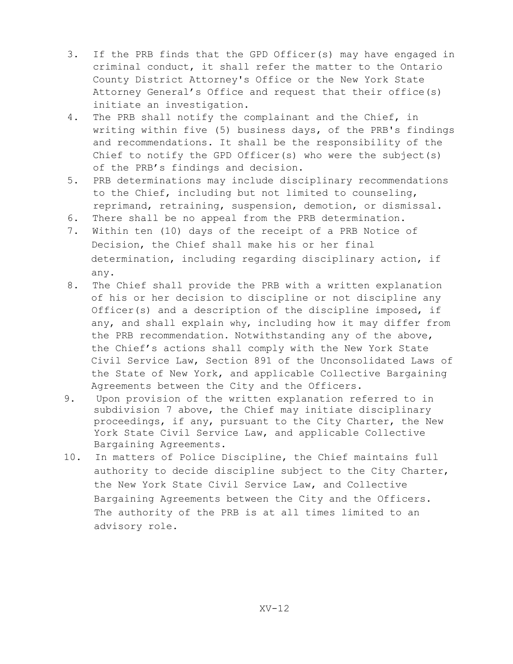- 3. If the PRB finds that the GPD Officer(s) may have engaged in criminal conduct, it shall refer the matter to the Ontario County District Attorney's Office or the New York State Attorney General's Office and request that their office(s) initiate an investigation.
- 4. The PRB shall notify the complainant and the Chief, in writing within five (5) business days, of the PRB's findings and recommendations. It shall be the responsibility of the Chief to notify the GPD Officer(s) who were the subject(s) of the PRB's findings and decision.
- 5. PRB determinations may include disciplinary recommendations to the Chief, including but not limited to counseling, reprimand, retraining, suspension, demotion, or dismissal.
- 6. There shall be no appeal from the PRB determination.
- 7. Within ten (10) days of the receipt of a PRB Notice of Decision, the Chief shall make his or her final determination, including regarding disciplinary action, if any.
- 8. The Chief shall provide the PRB with a written explanation of his or her decision to discipline or not discipline any Officer(s) and a description of the discipline imposed, if any, and shall explain why, including how it may differ from the PRB recommendation. Notwithstanding any of the above, the Chief's actions shall comply with the New York State Civil Service Law, Section 891 of the Unconsolidated Laws of the State of New York, and applicable Collective Bargaining Agreements between the City and the Officers.
- 9. Upon provision of the written explanation referred to in subdivision 7 above, the Chief may initiate disciplinary proceedings, if any, pursuant to the City Charter, the New York State Civil Service Law, and applicable Collective Bargaining Agreements.
- 10. In matters of Police Discipline, the Chief maintains full authority to decide discipline subject to the City Charter, the New York State Civil Service Law, and Collective Bargaining Agreements between the City and the Officers. The authority of the PRB is at all times limited to an advisory role.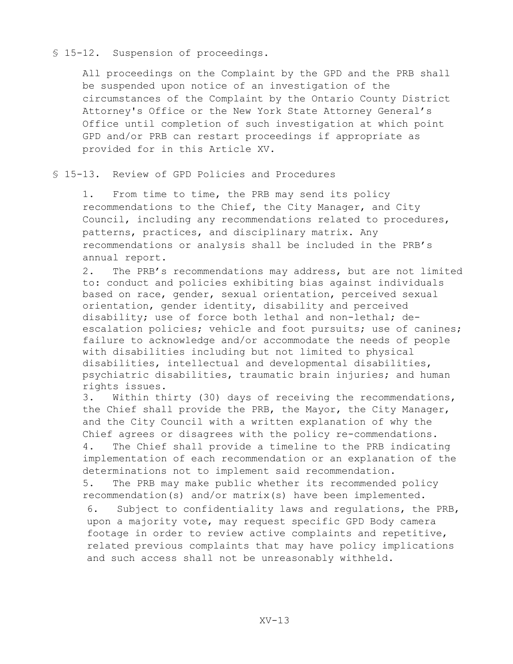#### § 15-12. Suspension of proceedings.

All proceedings on the Complaint by the GPD and the PRB shall be suspended upon notice of an investigation of the circumstances of the Complaint by the Ontario County District Attorney's Office or the New York State Attorney General's Office until completion of such investigation at which point GPD and/or PRB can restart proceedings if appropriate as provided for in this Article XV.

#### § 15-13. Review of GPD Policies and Procedures

1. From time to time, the PRB may send its policy recommendations to the Chief, the City Manager, and City Council, including any recommendations related to procedures, patterns, practices, and disciplinary matrix. Any recommendations or analysis shall be included in the PRB's annual report.

2. The PRB's recommendations may address, but are not limited to: conduct and policies exhibiting bias against individuals based on race, gender, sexual orientation, perceived sexual orientation, gender identity, disability and perceived disability; use of force both lethal and non-lethal; deescalation policies; vehicle and foot pursuits; use of canines; failure to acknowledge and/or accommodate the needs of people with disabilities including but not limited to physical disabilities, intellectual and developmental disabilities, psychiatric disabilities, traumatic brain injuries; and human rights issues.

3. Within thirty (30) days of receiving the recommendations, the Chief shall provide the PRB, the Mayor, the City Manager, and the City Council with a written explanation of why the Chief agrees or disagrees with the policy re-commendations. 4. The Chief shall provide a timeline to the PRB indicating implementation of each recommendation or an explanation of the determinations not to implement said recommendation.

5. The PRB may make public whether its recommended policy recommendation(s) and/or matrix(s) have been implemented.

6. Subject to confidentiality laws and regulations, the PRB, upon a majority vote, may request specific GPD Body camera footage in order to review active complaints and repetitive, related previous complaints that may have policy implications and such access shall not be unreasonably withheld.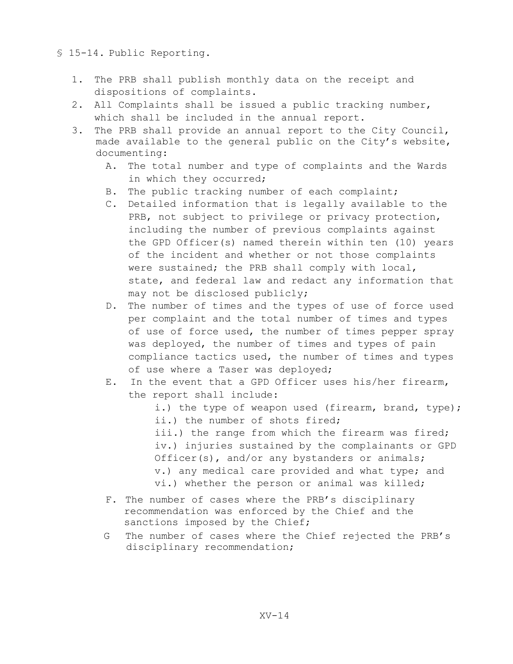- § 15-14. Public Reporting.
	- 1. The PRB shall publish monthly data on the receipt and dispositions of complaints.
	- 2. All Complaints shall be issued a public tracking number, which shall be included in the annual report.
	- 3. The PRB shall provide an annual report to the City Council, made available to the general public on the City's website, documenting:
		- A. The total number and type of complaints and the Wards in which they occurred;
		- B. The public tracking number of each complaint;
		- C. Detailed information that is legally available to the PRB, not subject to privilege or privacy protection, including the number of previous complaints against the GPD Officer(s) named therein within ten (10) years of the incident and whether or not those complaints were sustained; the PRB shall comply with local, state, and federal law and redact any information that may not be disclosed publicly;
		- D. The number of times and the types of use of force used per complaint and the total number of times and types of use of force used, the number of times pepper spray was deployed, the number of times and types of pain compliance tactics used, the number of times and types of use where a Taser was deployed;
		- E. In the event that a GPD Officer uses his/her firearm, the report shall include:

i.) the type of weapon used (firearm, brand, type); ii.) the number of shots fired; iii.) the range from which the firearm was fired; iv.) injuries sustained by the complainants or GPD Officer(s), and/or any bystanders or animals; v.) any medical care provided and what type; and vi.) whether the person or animal was killed;

- F. The number of cases where the PRB's disciplinary recommendation was enforced by the Chief and the sanctions imposed by the Chief;
- G The number of cases where the Chief rejected the PRB's disciplinary recommendation;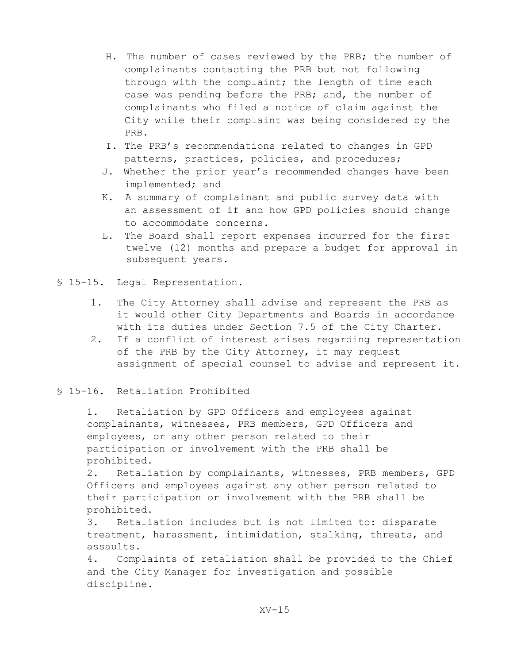- H. The number of cases reviewed by the PRB; the number of complainants contacting the PRB but not following through with the complaint; the length of time each case was pending before the PRB; and, the number of complainants who filed a notice of claim against the City while their complaint was being considered by the PRB.
- I. The PRB's recommendations related to changes in GPD patterns, practices, policies, and procedures;
- J. Whether the prior year's recommended changes have been implemented; and
- K. A summary of complainant and public survey data with an assessment of if and how GPD policies should change to accommodate concerns.
- L. The Board shall report expenses incurred for the first twelve (12) months and prepare a budget for approval in subsequent years.
- § 15-15. Legal Representation.
	- 1. The City Attorney shall advise and represent the PRB as it would other City Departments and Boards in accordance with its duties under Section 7.5 of the City Charter.
	- 2. If a conflict of interest arises regarding representation of the PRB by the City Attorney, it may request assignment of special counsel to advise and represent it.

# § 15-16. Retaliation Prohibited

1. Retaliation by GPD Officers and employees against complainants, witnesses, PRB members, GPD Officers and employees, or any other person related to their participation or involvement with the PRB shall be prohibited.

2. Retaliation by complainants, witnesses, PRB members, GPD Officers and employees against any other person related to their participation or involvement with the PRB shall be prohibited.

3. Retaliation includes but is not limited to: disparate treatment, harassment, intimidation, stalking, threats, and assaults.

4. Complaints of retaliation shall be provided to the Chief and the City Manager for investigation and possible discipline.